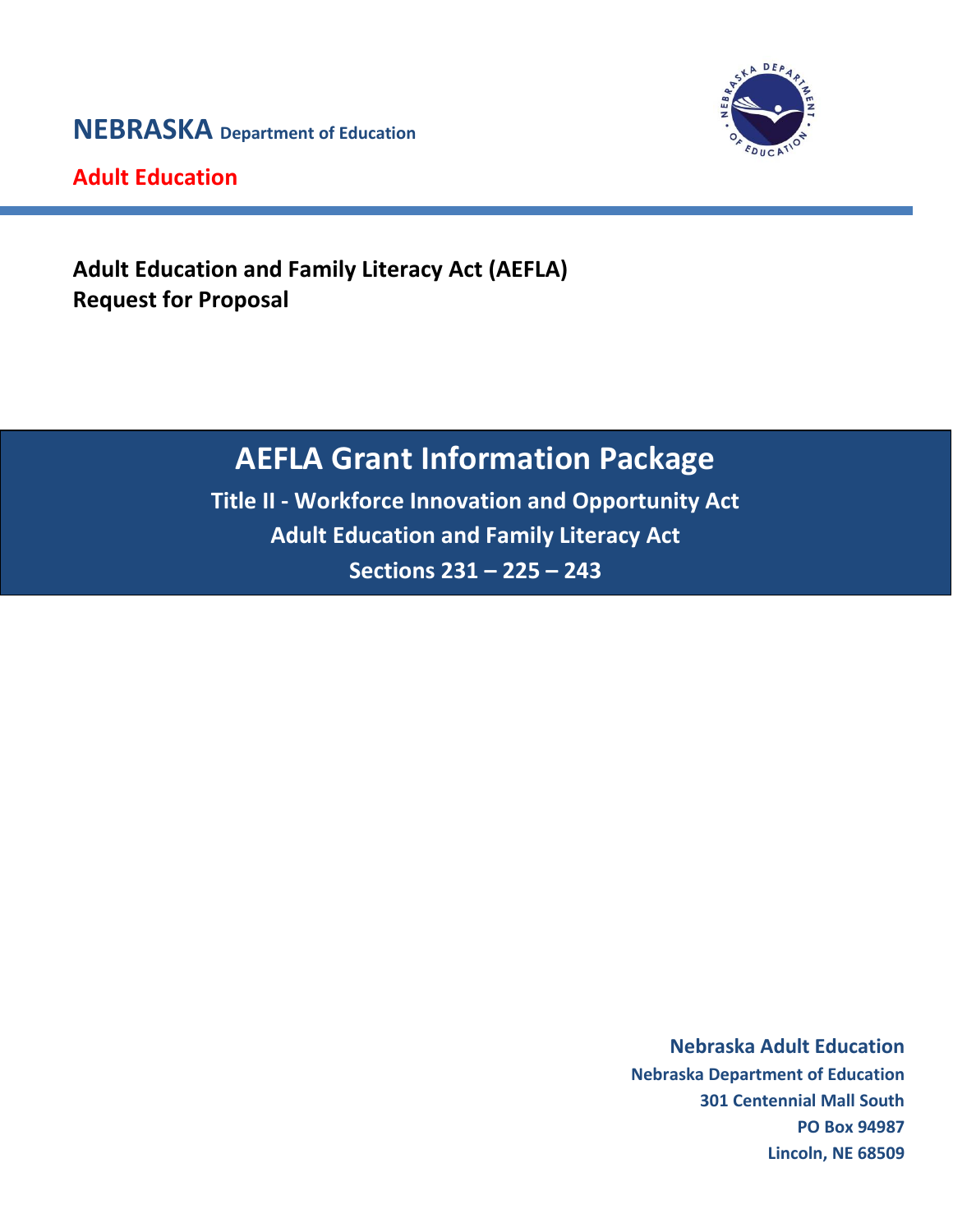**NEBRASKA Department of Education**



**Adult Education**

**Adult Education and Family Literacy Act (AEFLA) Request for Proposal**

# **AEFLA Grant Information Package**

**Title II - Workforce Innovation and Opportunity Act Adult Education and Family Literacy Act Sections 231 – 225 – 243**

> **Nebraska Adult Education Nebraska Adult Education Nebraska Department of Education Nebraska Department of Education 301 Centennial Mall South 301 Centennial Mall South PO Box 94987 PO Box 94987 Lincoln, NE 68509 Lincoln, NE 68509**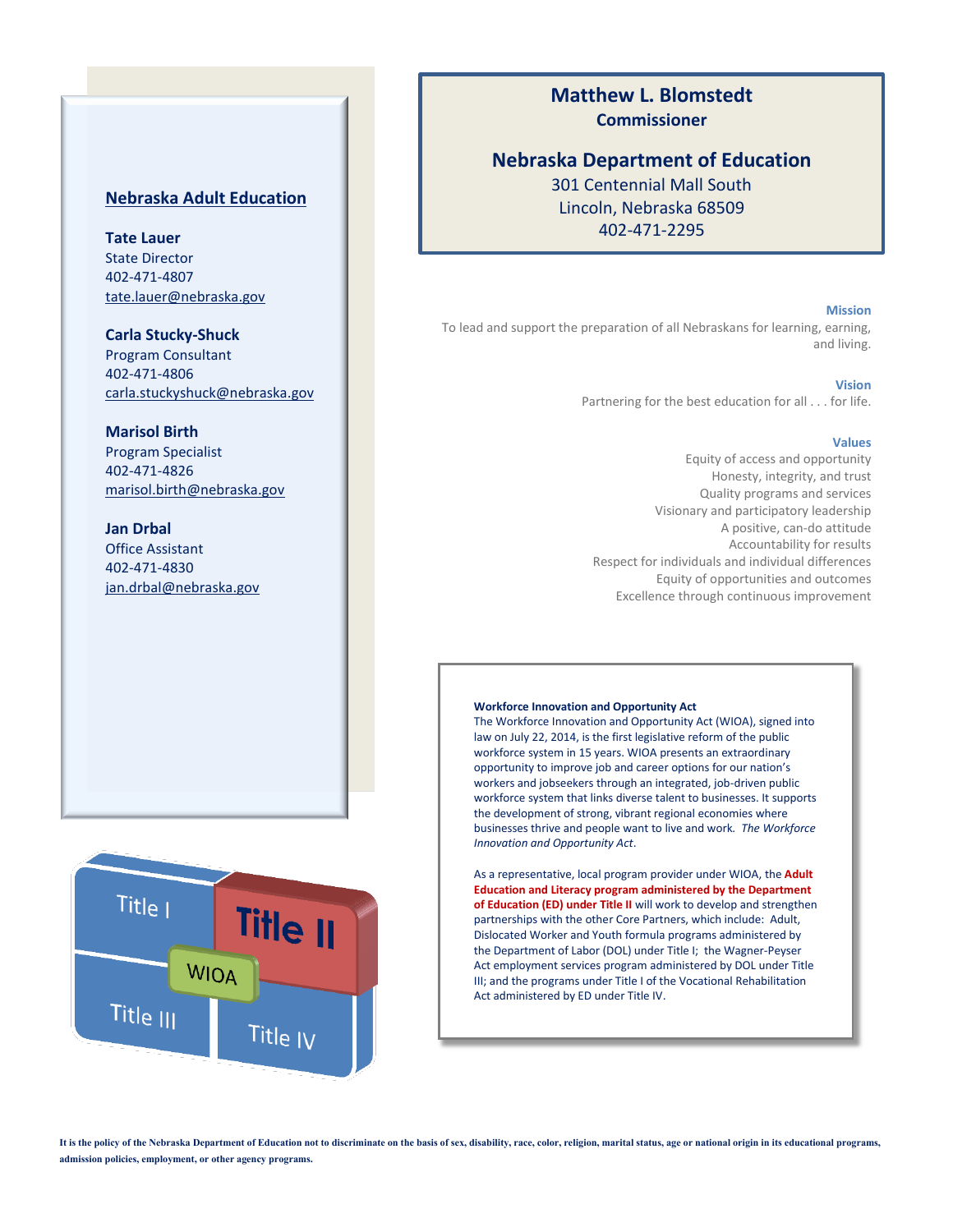# **Nebraska Adult Education**

**Tate Lauer** State Director 402-471-4807 [tate.lauer@nebraska.gov](mailto:tate.lauer@nebraska.gov)

**Carla Stucky-Shuck** Program Consultant 402-471-4806 carla.stuckyshuck@nebraska.gov

# **Marisol Birth**

Program Specialist 402-471-4826 [marisol.birth@nebraska.gov](mailto:marisol.birth@nebraska.gov)

**Jan Drbal** Office Assistant 402-471-4830 [jan.drbal@nebraska.gov](mailto:jan.drbal@nebraska.gov)



# **Matthew L. Blomstedt Commissioner**

# **Nebraska Department of Education**

301 Centennial Mall South Lincoln, Nebraska 68509 402-471-2295

#### **Mission**

To lead and support the preparation of all Nebraskans for learning, earning, and living.

#### **Vision**

Partnering for the best education for all . . . for life.

#### **Values**

Equity of access and opportunity Honesty, integrity, and trust Quality programs and services Visionary and participatory leadership A positive, can-do attitude Accountability for results Respect for individuals and individual differences Equity of opportunities and outcomes Excellence through continuous improvement

#### **Workforce Innovation and Opportunity Act**

The Workforce Innovation and Opportunity Act (WIOA), signed into law on July 22, 2014, is the first legislative reform of the public workforce system in 15 years. WIOA presents an extraordinary opportunity to improve job and career options for our nation's workers and jobseekers through an integrated, job-driven public workforce system that links diverse talent to businesses. It supports the development of strong, vibrant regional economies where businesses thrive and people want to live and work*. [The Workforce](https://doleta.gov/wioa/Docs/WIOA_OneStop_FactSheet.pdf) [Innovation and Opportunity Act](https://doleta.gov/wioa/Docs/WIOA_OneStop_FactSheet.pdf)*.

As a representative, local program provider under WIOA, the **Adult Education and Literacy program administered by the Department of Education (ED) under Title II** will work to develop and strengthen partnerships with the other Core Partners, which include: Adult, Dislocated Worker and Youth formula programs administered by the Department of Labor (DOL) under Title I; the Wagner-Peyser Act employment services program administered by DOL under Title III; and the programs under Title I of the Vocational Rehabilitation Act administered by ED under Title IV.

**It is the policy of the Nebraska Department of Education not to discriminate on the basis of sex, disability, race, color, religion, marital status, age or national origin in its educational programs, admission policies, employment, or other agency programs.**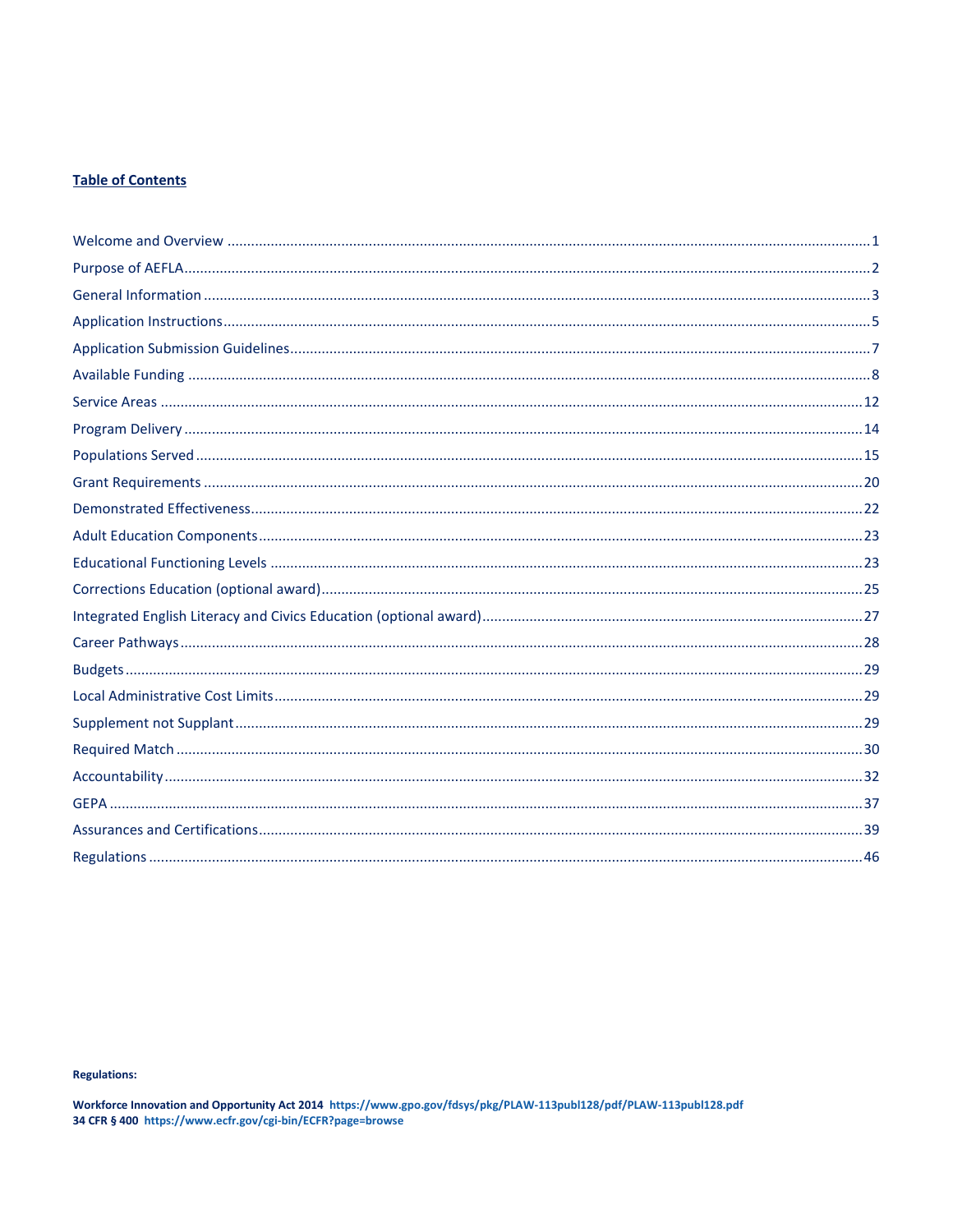# **Table of Contents**

#### **Regulations:**

Workforce Innovation and Opportunity Act 2014 https://www.gpo.gov/fdsys/pkg/PLAW-113publ128/pdf/PLAW-113publ128.pdf<br>34 CFR § 400 https://www.ecfr.gov/cgi-bin/ECFR?page=browse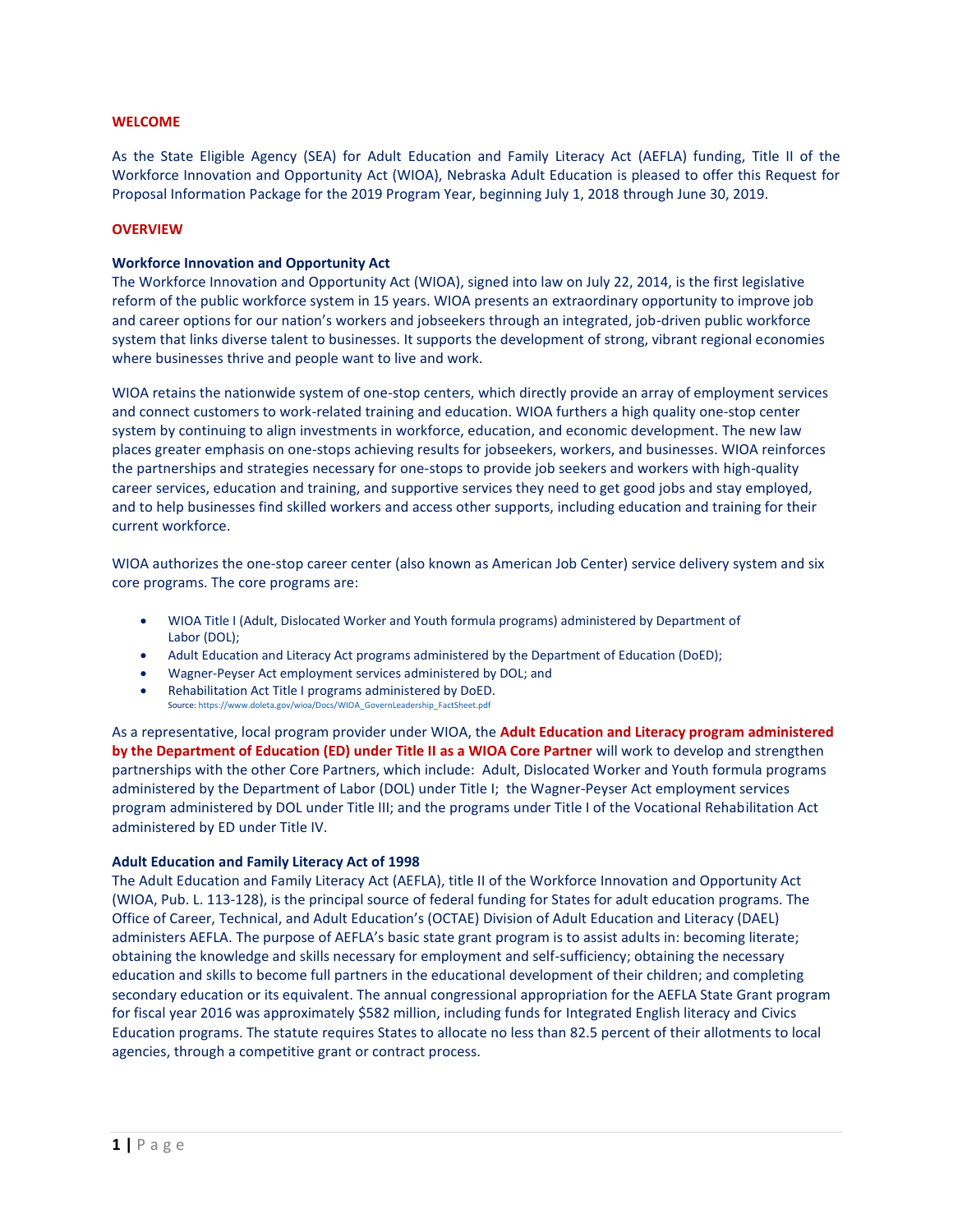#### **WELCOME**

As the State Eligible Agency (SEA) for Adult Education and Family Literacy Act (AEFLA) funding, Title II of the Workforce Innovation and Opportunity Act (WIOA), Nebraska Adult Education is pleased to offer this Request for Proposal Information Package for the 2019 Program Year, beginning July 1, 2018 through June 30, 2019.

#### **OVERVIEW**

#### **Workforce Innovation and Opportunity Act**

The Workforce Innovation and Opportunity Act (WIOA), signed into law on July 22, 2014, is the first legislative reform of the public workforce system in 15 years. WIOA presents an extraordinary opportunity to improve job and career options for our nation's workers and jobseekers through an integrated, job-driven public workforce system that links diverse talent to businesses. It supports the development of strong, vibrant regional economies where businesses thrive and people want to live and work*.* 

WIOA retains the nationwide system of one-stop centers, which directly provide an array of employment services and connect customers to work-related training and education. WIOA furthers a high quality one-stop center system by continuing to align investments in workforce, education, and economic development. The new law places greater emphasis on one-stops achieving results for jobseekers, workers, and businesses. WIOA reinforces the partnerships and strategies necessary for one-stops to provide job seekers and workers with high-quality career services, education and training, and supportive services they need to get good jobs and stay employed, and to help businesses find skilled workers and access other supports, including education and training for their current workforce.

WIOA authorizes the one-stop career center (also known as American Job Center) service delivery system and six core programs. The core programs are:

- WIOA Title I (Adult, Dislocated Worker and Youth formula programs) administered by Department of Labor (DOL);
- Adult Education and Literacy Act programs administered by the Department of Education (DoED);
- Wagner-Peyser Act employment services administered by DOL; and
- Rehabilitation Act Title I programs administered by DoED. Source[: https://www.doleta.gov/wioa/Docs/WIOA\\_GovernLeadership\\_FactSheet.pdf](https://www.doleta.gov/wioa/Docs/WIOA_GovernLeadership_FactSheet.pdf)

As a representative, local program provider under WIOA, the **Adult Education and Literacy program administered by the Department of Education (ED) under Title II as a WIOA Core Partner** will work to develop and strengthen partnerships with the other Core Partners, which include: Adult, Dislocated Worker and Youth formula programs administered by the Department of Labor (DOL) under Title I; the Wagner-Peyser Act employment services program administered by DOL under Title III; and the programs under Title I of the Vocational Rehabilitation Act administered by ED under Title IV.

#### **Adult Education and Family Literacy Act of 1998**

The Adult Education and Family Literacy Act (AEFLA), title II of the Workforce Innovation and Opportunity Act (WIOA, Pub. L. 113-128), is the principal source of federal funding for States for adult education programs. The Office of Career, Technical, and Adult Education's (OCTAE) Division of Adult Education and Literacy (DAEL) administers AEFLA. The purpose of AEFLA's basic state grant program is to assist adults in: becoming literate; obtaining the knowledge and skills necessary for employment and self-sufficiency; obtaining the necessary education and skills to become full partners in the educational development of their children; and completing secondary education or its equivalent. The annual congressional appropriation for the AEFLA State Grant program for fiscal year 2016 was approximately \$582 million, including funds for Integrated English literacy and Civics Education programs. The statute requires States to allocate no less than 82.5 percent of their allotments to local agencies, through a competitive grant or contract process.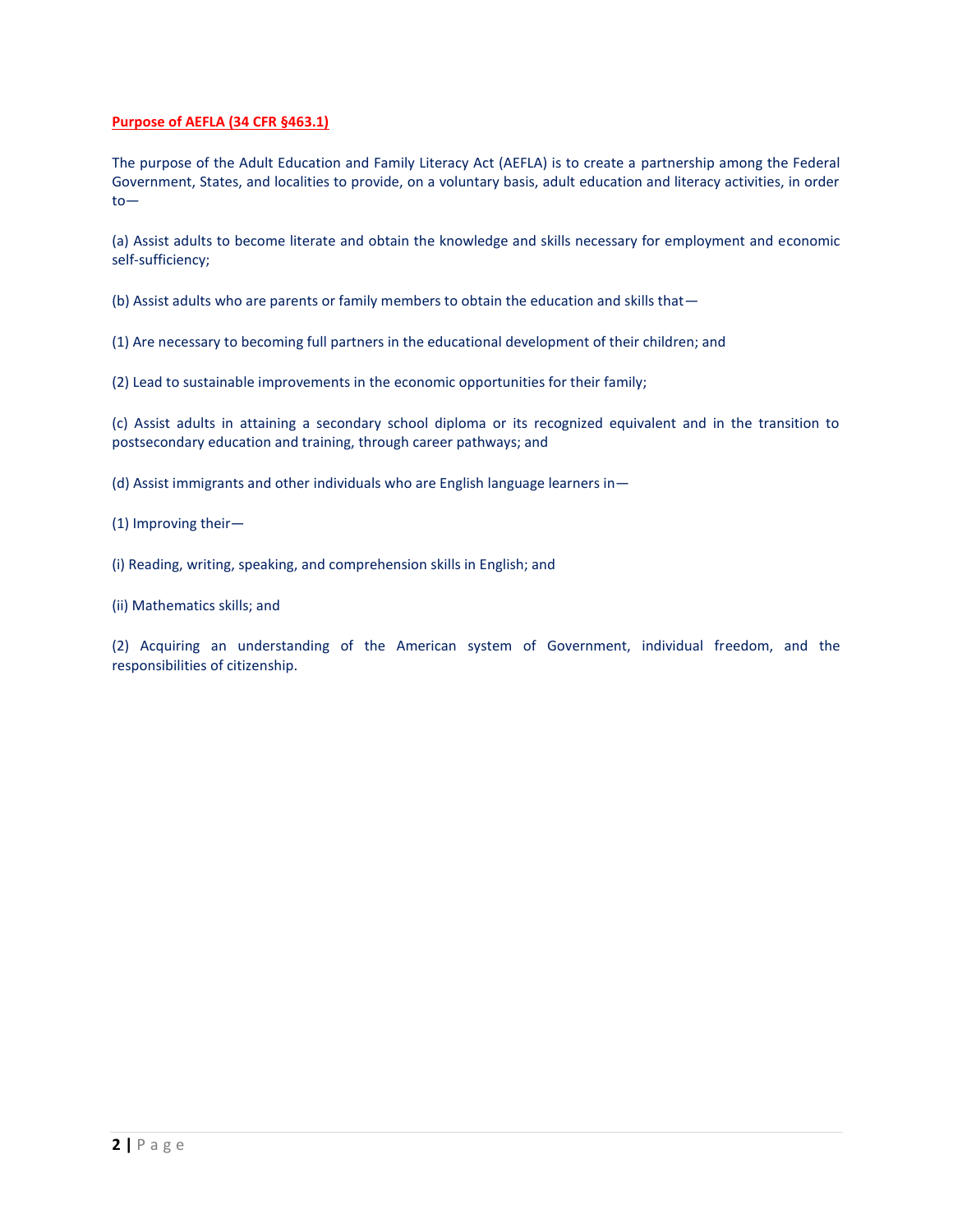# **Purpose of AEFLA (34 CFR §463.1)**

The purpose of the Adult Education and Family Literacy Act (AEFLA) is to create a partnership among the Federal Government, States, and localities to provide, on a voluntary basis, adult education and literacy activities, in order to—

(a) Assist adults to become literate and obtain the knowledge and skills necessary for employment and economic self-sufficiency;

(b) Assist adults who are parents or family members to obtain the education and skills that—

(1) Are necessary to becoming full partners in the educational development of their children; and

(2) Lead to sustainable improvements in the economic opportunities for their family;

(c) Assist adults in attaining a secondary school diploma or its recognized equivalent and in the transition to postsecondary education and training, through career pathways; and

(d) Assist immigrants and other individuals who are English language learners in—

(1) Improving their—

(i) Reading, writing, speaking, and comprehension skills in English; and

(ii) Mathematics skills; and

(2) Acquiring an understanding of the American system of Government, individual freedom, and the responsibilities of citizenship.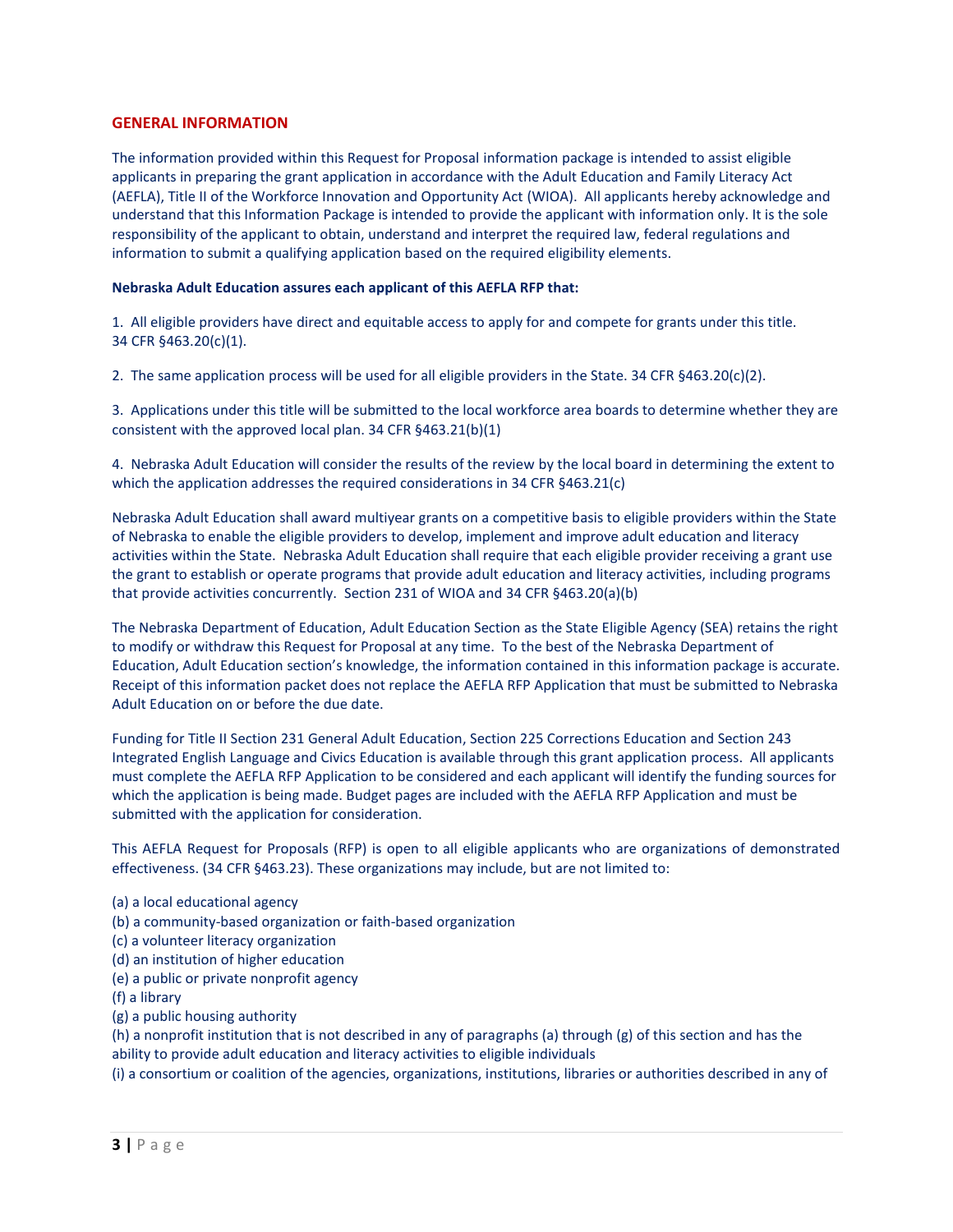# **GENERAL INFORMATION**

The information provided within this Request for Proposal information package is intended to assist eligible applicants in preparing the grant application in accordance with the Adult Education and Family Literacy Act (AEFLA), Title II of the Workforce Innovation and Opportunity Act (WIOA). All applicants hereby acknowledge and understand that this Information Package is intended to provide the applicant with information only. It is the sole responsibility of the applicant to obtain, understand and interpret the required law, federal regulations and information to submit a qualifying application based on the required eligibility elements.

## **Nebraska Adult Education assures each applicant of this AEFLA RFP that:**

1. All eligible providers have direct and equitable access to apply for and compete for grants under this title. 34 CFR §463.20(c)(1).

2. The same application process will be used for all eligible providers in the State. 34 CFR §463.20(c)(2).

3. Applications under this title will be submitted to the local workforce area boards to determine whether they are consistent with the approved local plan. 34 CFR §463.21(b)(1)

4. Nebraska Adult Education will consider the results of the review by the local board in determining the extent to which the application addresses the required considerations in 34 CFR §463.21(c)

Nebraska Adult Education shall award multiyear grants on a competitive basis to eligible providers within the State of Nebraska to enable the eligible providers to develop, implement and improve adult education and literacy activities within the State. Nebraska Adult Education shall require that each eligible provider receiving a grant use the grant to establish or operate programs that provide adult education and literacy activities, including programs that provide activities concurrently. Section 231 of WIOA and 34 CFR §463.20(a)(b)

The Nebraska Department of Education, Adult Education Section as the State Eligible Agency (SEA) retains the right to modify or withdraw this Request for Proposal at any time. To the best of the Nebraska Department of Education, Adult Education section's knowledge, the information contained in this information package is accurate. Receipt of this information packet does not replace the AEFLA RFP Application that must be submitted to Nebraska Adult Education on or before the due date.

Funding for Title II Section 231 General Adult Education, Section 225 Corrections Education and Section 243 Integrated English Language and Civics Education is available through this grant application process. All applicants must complete the AEFLA RFP Application to be considered and each applicant will identify the funding sources for which the application is being made. Budget pages are included with the AEFLA RFP Application and must be submitted with the application for consideration.

This AEFLA Request for Proposals (RFP) is open to all eligible applicants who are organizations of demonstrated effectiveness. (34 CFR §463.23). These organizations may include, but are not limited to:

- (a) a local educational agency
- (b) a community-based organization or faith-based organization
- (c) a volunteer literacy organization
- (d) an institution of higher education
- (e) a public or private nonprofit agency
- (f) a library
- (g) a public housing authority

(h) a nonprofit institution that is not described in any of paragraphs (a) through (g) of this section and has the ability to provide adult education and literacy activities to eligible individuals

(i) a consortium or coalition of the agencies, organizations, institutions, libraries or authorities described in any of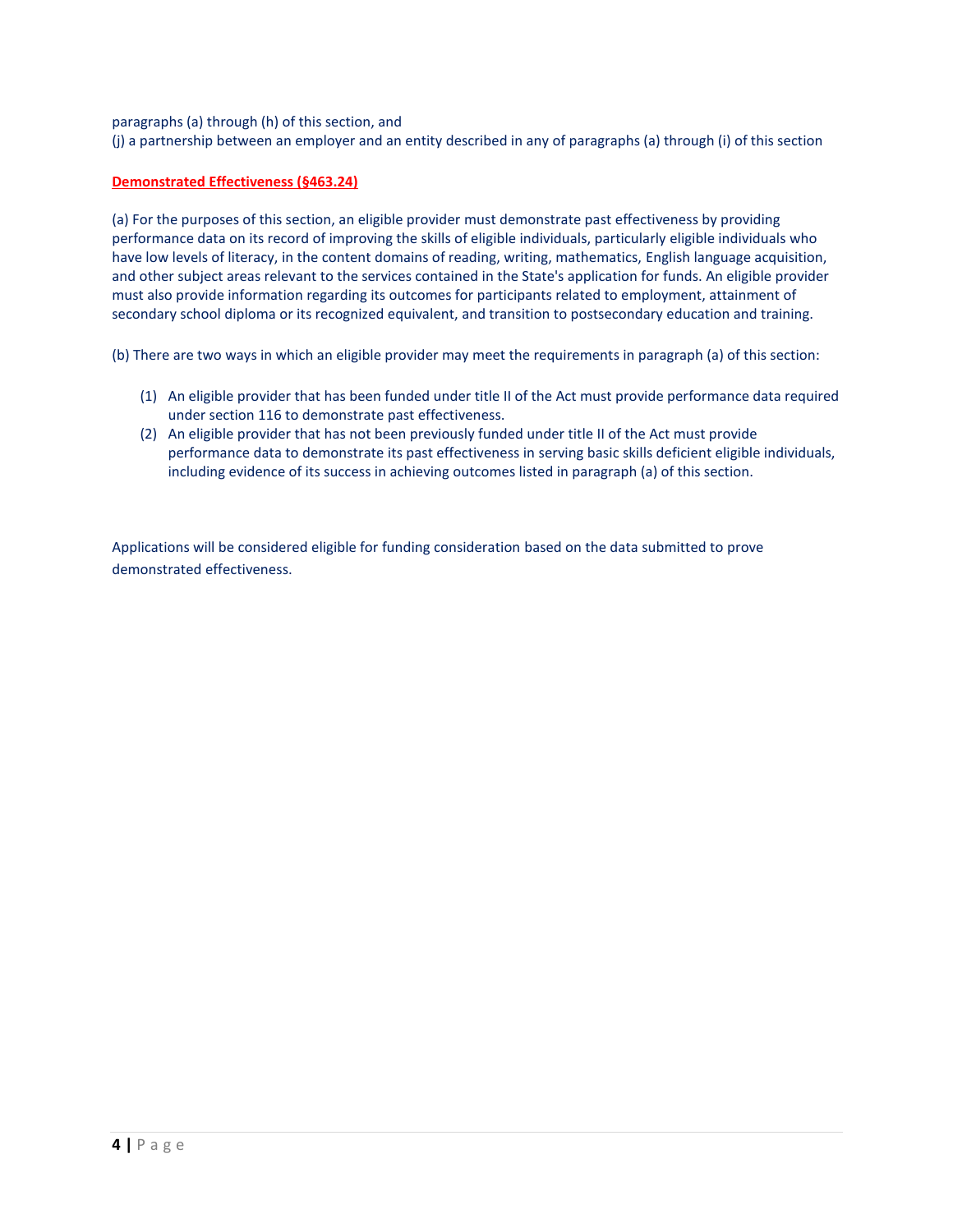paragraphs (a) through (h) of this section, and

(j) a partnership between an employer and an entity described in any of paragraphs (a) through (i) of this section

# **Demonstrated Effectiveness (§463.24)**

(a) For the purposes of this section, an eligible provider must demonstrate past effectiveness by providing performance data on its record of improving the skills of eligible individuals, particularly eligible individuals who have low levels of literacy, in the content domains of reading, writing, mathematics, English language acquisition, and other subject areas relevant to the services contained in the State's application for funds. An eligible provider must also provide information regarding its outcomes for participants related to employment, attainment of secondary school diploma or its recognized equivalent, and transition to postsecondary education and training.

(b) There are two ways in which an eligible provider may meet the requirements in paragraph (a) of this section:

- (1) An eligible provider that has been funded under title II of the Act must provide performance data required under section 116 to demonstrate past effectiveness.
- (2) An eligible provider that has not been previously funded under title II of the Act must provide performance data to demonstrate its past effectiveness in serving basic skills deficient eligible individuals, including evidence of its success in achieving outcomes listed in paragraph (a) of this section.

Applications will be considered eligible for funding consideration based on the data submitted to prove demonstrated effectiveness.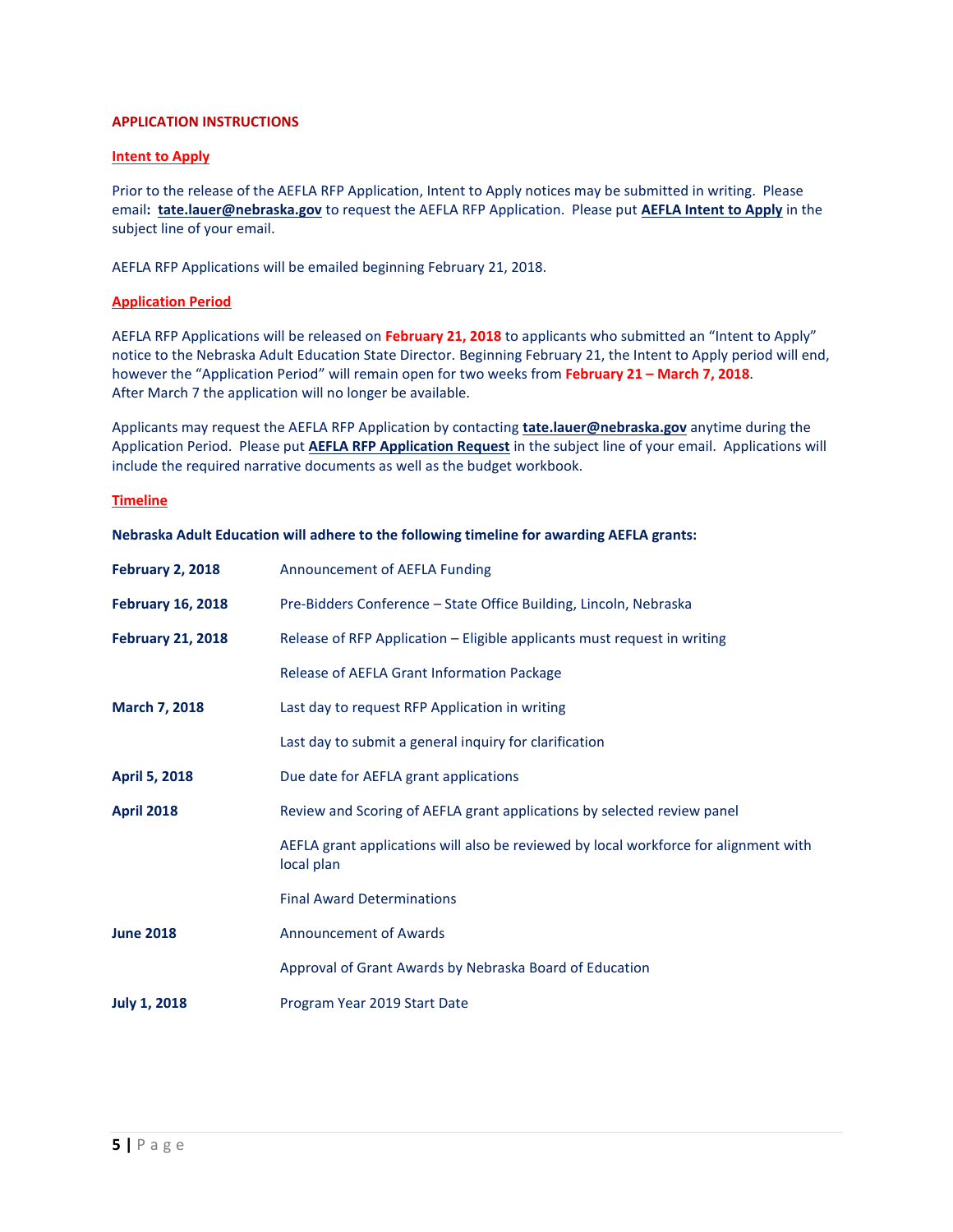# **APPLICATION INSTRUCTIONS**

# **Intent to Apply**

Prior to the release of the AEFLA RFP Application, Intent to Apply notices may be submitted in writing. Please email**: [tate.lauer@nebraska.gov](mailto:tate.lauer@nebraska.gov)** to request the AEFLA RFP Application. Please put **AEFLA Intent to Apply** in the subject line of your email.

AEFLA RFP Applications will be emailed beginning February 21, 2018.

# **Application Period**

AEFLA RFP Applications will be released on **February 21, 2018** to applicants who submitted an "Intent to Apply" notice to the Nebraska Adult Education State Director. Beginning February 21, the Intent to Apply period will end, however the "Application Period" will remain open for two weeks from **February 21 – March 7, 2018**. After March 7 the application will no longer be available.

Applicants may request the AEFLA RFP Application by contacting **[tate.lauer@nebraska.gov](mailto:tate.lauer@nebraska.gov)** anytime during the Application Period. Please put **AEFLA RFP Application Request** in the subject line of your email. Applications will include the required narrative documents as well as the budget workbook.

## **Timeline**

**Nebraska Adult Education will adhere to the following timeline for awarding AEFLA grants:**

| <b>February 2, 2018</b>  | Announcement of AEFLA Funding                                                                      |
|--------------------------|----------------------------------------------------------------------------------------------------|
| <b>February 16, 2018</b> | Pre-Bidders Conference - State Office Building, Lincoln, Nebraska                                  |
| <b>February 21, 2018</b> | Release of RFP Application - Eligible applicants must request in writing                           |
|                          | Release of AEFLA Grant Information Package                                                         |
| March 7, 2018            | Last day to request RFP Application in writing                                                     |
|                          | Last day to submit a general inquiry for clarification                                             |
| <b>April 5, 2018</b>     | Due date for AEFLA grant applications                                                              |
| <b>April 2018</b>        | Review and Scoring of AEFLA grant applications by selected review panel                            |
|                          | AEFLA grant applications will also be reviewed by local workforce for alignment with<br>local plan |
|                          | <b>Final Award Determinations</b>                                                                  |
| <b>June 2018</b>         | <b>Announcement of Awards</b>                                                                      |
|                          | Approval of Grant Awards by Nebraska Board of Education                                            |
| <b>July 1, 2018</b>      | Program Year 2019 Start Date                                                                       |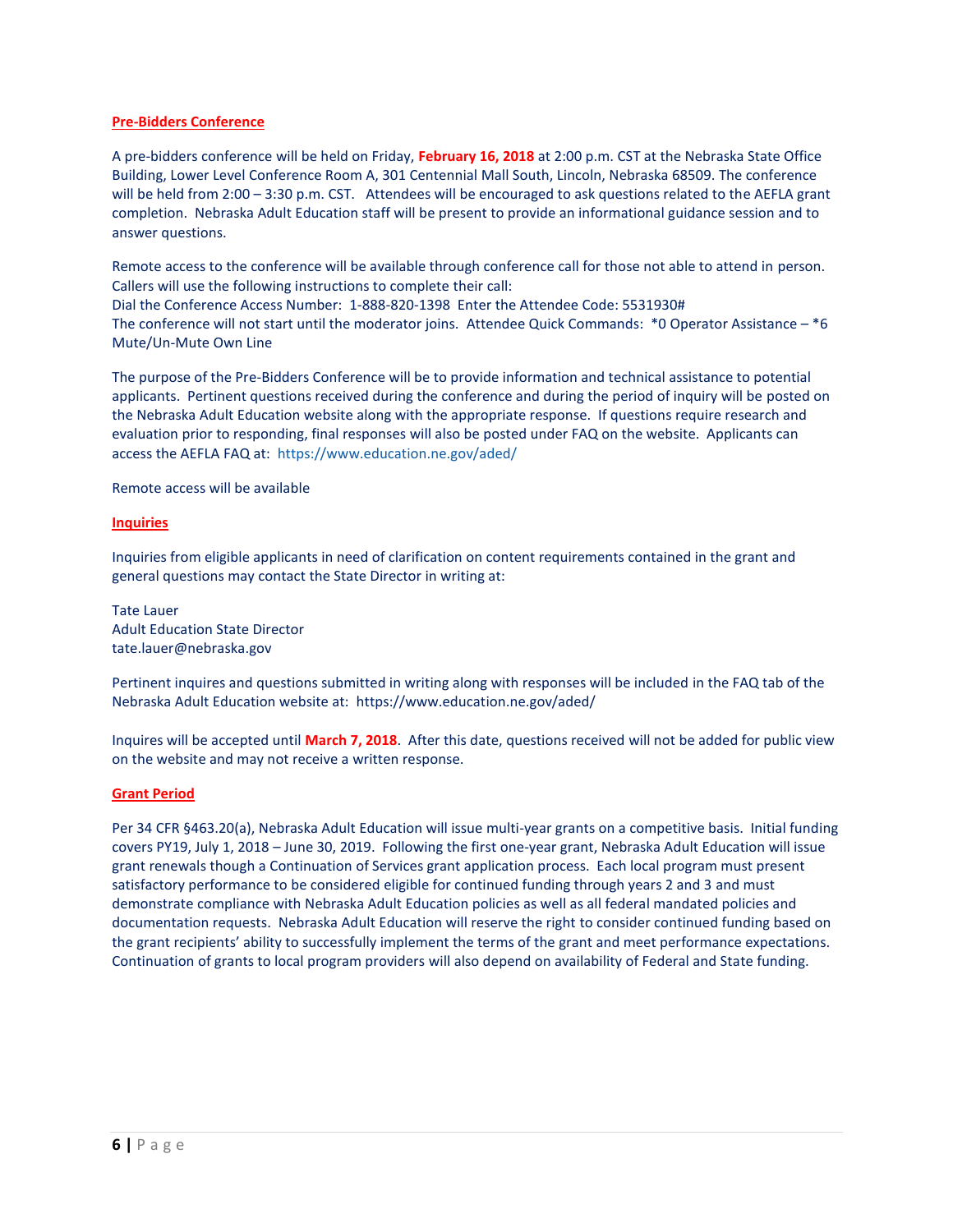# **Pre-Bidders Conference**

A pre-bidders conference will be held on Friday, **February 16, 2018** at 2:00 p.m. CST at the Nebraska State Office Building, Lower Level Conference Room A, 301 Centennial Mall South, Lincoln, Nebraska 68509. The conference will be held from 2:00 – 3:30 p.m. CST. Attendees will be encouraged to ask questions related to the AEFLA grant completion. Nebraska Adult Education staff will be present to provide an informational guidance session and to answer questions.

Remote access to the conference will be available through conference call for those not able to attend in person. Callers will use the following instructions to complete their call:

Dial the Conference Access Number: 1-888-820-1398 Enter the Attendee Code: 5531930# The conference will not start until the moderator joins. Attendee Quick Commands: \*0 Operator Assistance – \*6 Mute/Un-Mute Own Line

The purpose of the Pre-Bidders Conference will be to provide information and technical assistance to potential applicants. Pertinent questions received during the conference and during the period of inquiry will be posted on the Nebraska Adult Education website along with the appropriate response. If questions require research and evaluation prior to responding, final responses will also be posted under FAQ on the website. Applicants can access the AEFLA FAQ at: <https://www.education.ne.gov/aded/>

Remote access will be available

# **Inquiries**

Inquiries from eligible applicants in need of clarification on content requirements contained in the grant and general questions may contact the State Director in writing at:

Tate Lauer Adult Education State Director [tate.lauer@nebraska.gov](mailto:tate.lauer@nebraska.gov) 

Pertinent inquires and questions submitted in writing along with responses will be included in the FAQ tab of the Nebraska Adult Education website at: <https://www.education.ne.gov/aded/>

Inquires will be accepted until **March 7, 2018**. After this date, questions received will not be added for public view on the website and may not receive a written response.

# **Grant Period**

Per 34 CFR §463.20(a), Nebraska Adult Education will issue multi-year grants on a competitive basis. Initial funding covers PY19, July 1, 2018 – June 30, 2019. Following the first one-year grant, Nebraska Adult Education will issue grant renewals though a Continuation of Services grant application process. Each local program must present satisfactory performance to be considered eligible for continued funding through years 2 and 3 and must demonstrate compliance with Nebraska Adult Education policies as well as all federal mandated policies and documentation requests. Nebraska Adult Education will reserve the right to consider continued funding based on the grant recipients' ability to successfully implement the terms of the grant and meet performance expectations. Continuation of grants to local program providers will also depend on availability of Federal and State funding.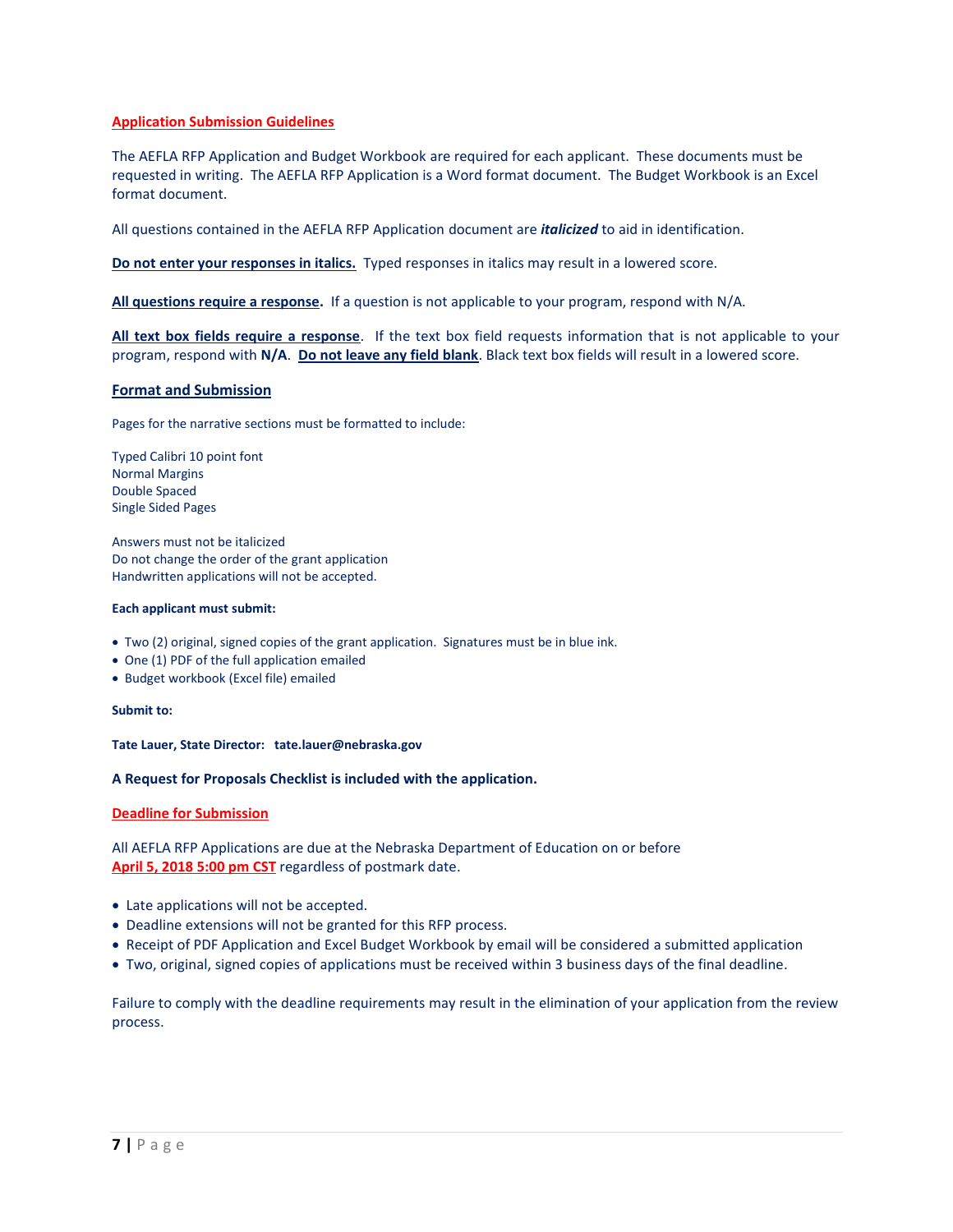# **Application Submission Guidelines**

The AEFLA RFP Application and Budget Workbook are required for each applicant. These documents must be requested in writing. The AEFLA RFP Application is a Word format document. The Budget Workbook is an Excel format document.

All questions contained in the AEFLA RFP Application document are *italicized* to aid in identification.

**Do not enter your responses in italics.** Typed responses in italics may result in a lowered score.

**All questions require a response.** If a question is not applicable to your program, respond with N/A.

**All text box fields require a response**. If the text box field requests information that is not applicable to your program, respond with **N/A**. **Do not leave any field blank**. Black text box fields will result in a lowered score.

# **Format and Submission**

Pages for the narrative sections must be formatted to include:

Typed Calibri 10 point font Normal Margins Double Spaced Single Sided Pages

Answers must not be italicized Do not change the order of the grant application Handwritten applications will not be accepted.

#### **Each applicant must submit:**

- Two (2) original, signed copies of the grant application. Signatures must be in blue ink.
- One (1) PDF of the full application emailed
- Budget workbook (Excel file) emailed

#### **Submit to:**

**Tate Lauer, State Director: [tate.lauer@nebraska.gov](mailto:tate.lauer@nebraska.gov)**

## **A Request for Proposals Checklist is included with the application.**

## **Deadline for Submission**

All AEFLA RFP Applications are due at the Nebraska Department of Education on or before **April 5, 2018 5:00 pm CST** regardless of postmark date.

- Late applications will not be accepted.
- Deadline extensions will not be granted for this RFP process.
- Receipt of PDF Application and Excel Budget Workbook by email will be considered a submitted application
- Two, original, signed copies of applications must be received within 3 business days of the final deadline.

Failure to comply with the deadline requirements may result in the elimination of your application from the review process.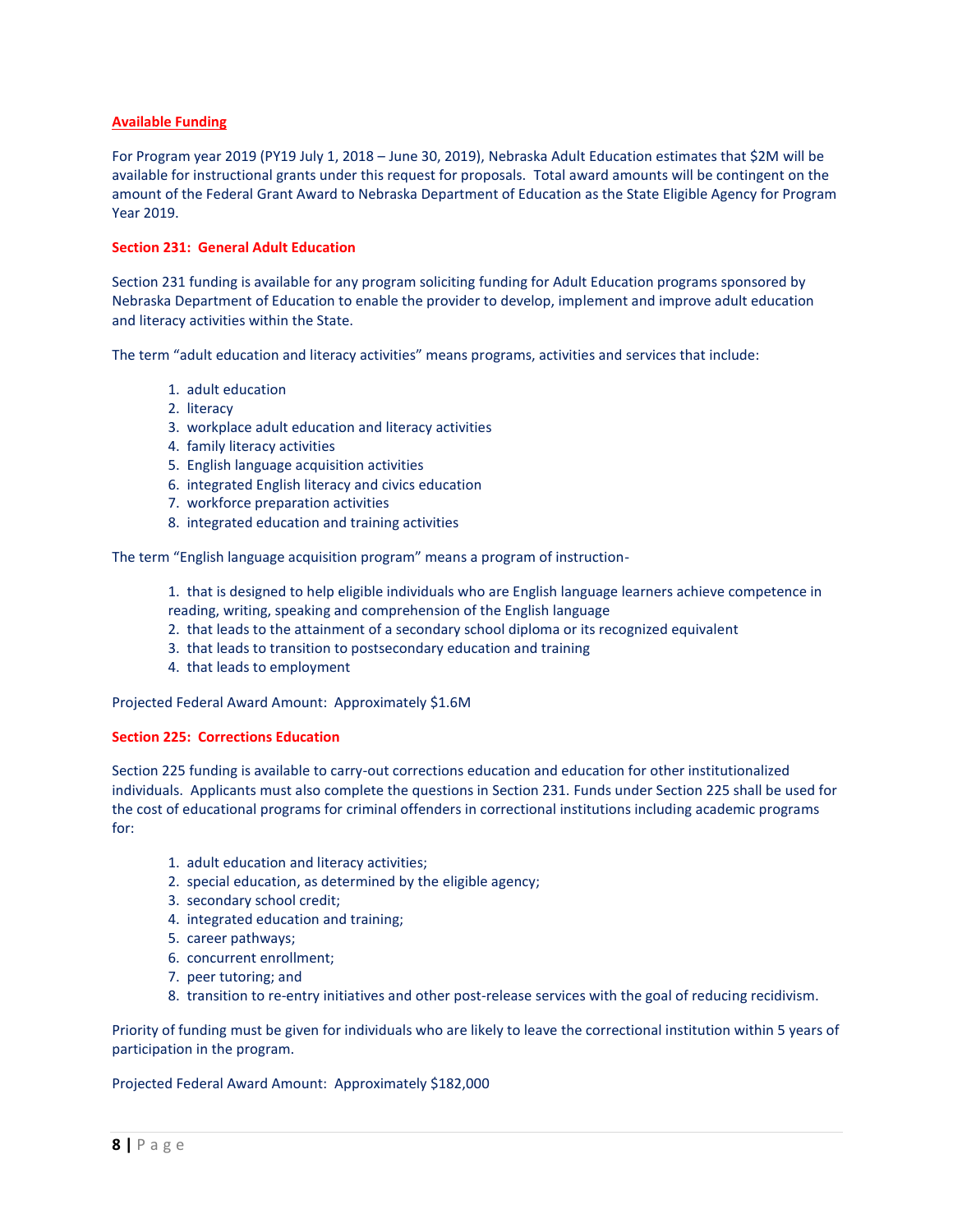# **Available Funding**

For Program year 2019 (PY19 July 1, 2018 – June 30, 2019), Nebraska Adult Education estimates that \$2M will be available for instructional grants under this request for proposals. Total award amounts will be contingent on the amount of the Federal Grant Award to Nebraska Department of Education as the State Eligible Agency for Program Year 2019.

# **Section 231: General Adult Education**

Section 231 funding is available for any program soliciting funding for Adult Education programs sponsored by Nebraska Department of Education to enable the provider to develop, implement and improve adult education and literacy activities within the State.

The term "adult education and literacy activities" means programs, activities and services that include:

- 1. adult education
- 2. literacy
- 3. workplace adult education and literacy activities
- 4. family literacy activities
- 5. English language acquisition activities
- 6. integrated English literacy and civics education
- 7. workforce preparation activities
- 8. integrated education and training activities

The term "English language acquisition program" means a program of instruction-

1. that is designed to help eligible individuals who are English language learners achieve competence in

- reading, writing, speaking and comprehension of the English language
- 2. that leads to the attainment of a secondary school diploma or its recognized equivalent
- 3. that leads to transition to postsecondary education and training
- 4. that leads to employment

Projected Federal Award Amount: Approximately \$1.6M

# **Section 225: Corrections Education**

Section 225 funding is available to carry-out corrections education and education for other institutionalized individuals. Applicants must also complete the questions in Section 231. Funds under Section 225 shall be used for the cost of educational programs for criminal offenders in correctional institutions including academic programs for:

- 1. adult education and literacy activities;
- 2. special education, as determined by the eligible agency;
- 3. secondary school credit;
- 4. integrated education and training;
- 5. career pathways;
- 6. concurrent enrollment;
- 7. peer tutoring; and
- 8. transition to re-entry initiatives and other post-release services with the goal of reducing recidivism.

Priority of funding must be given for individuals who are likely to leave the correctional institution within 5 years of participation in the program.

Projected Federal Award Amount: Approximately \$182,000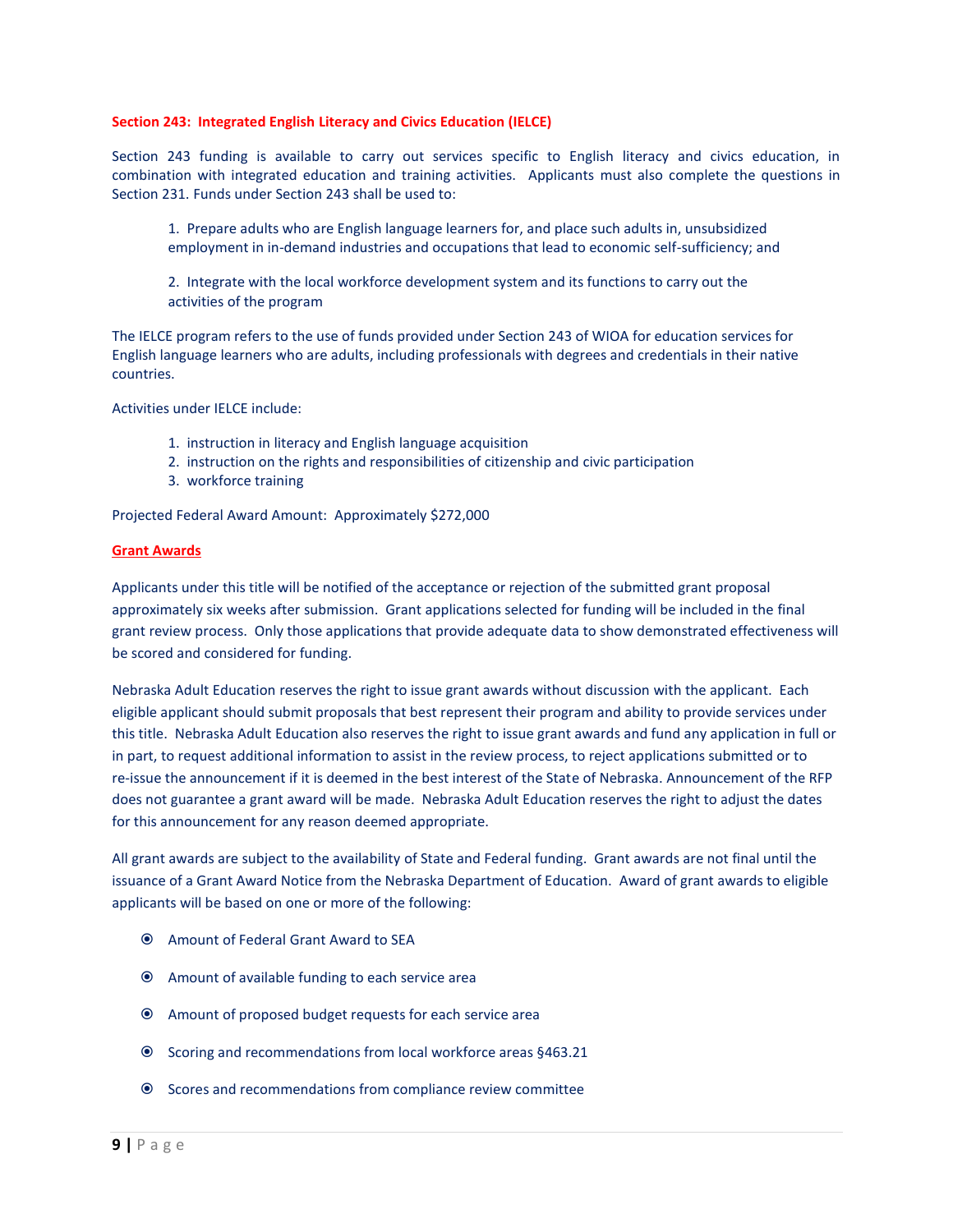#### **Section 243: Integrated English Literacy and Civics Education (IELCE)**

Section 243 funding is available to carry out services specific to English literacy and civics education, in combination with integrated education and training activities. Applicants must also complete the questions in Section 231. Funds under Section 243 shall be used to:

1. Prepare adults who are English language learners for, and place such adults in, unsubsidized employment in in-demand industries and occupations that lead to economic self-sufficiency; and

2. Integrate with the local workforce development system and its functions to carry out the activities of the program

The IELCE program refers to the use of funds provided under Section 243 of WIOA for education services for English language learners who are adults, including professionals with degrees and credentials in their native countries.

Activities under IELCE include:

- 1. instruction in literacy and English language acquisition
- 2. instruction on the rights and responsibilities of citizenship and civic participation
- 3. workforce training

Projected Federal Award Amount: Approximately \$272,000

#### **Grant Awards**

Applicants under this title will be notified of the acceptance or rejection of the submitted grant proposal approximately six weeks after submission. Grant applications selected for funding will be included in the final grant review process. Only those applications that provide adequate data to show demonstrated effectiveness will be scored and considered for funding.

Nebraska Adult Education reserves the right to issue grant awards without discussion with the applicant. Each eligible applicant should submit proposals that best represent their program and ability to provide services under this title. Nebraska Adult Education also reserves the right to issue grant awards and fund any application in full or in part, to request additional information to assist in the review process, to reject applications submitted or to re-issue the announcement if it is deemed in the best interest of the State of Nebraska. Announcement of the RFP does not guarantee a grant award will be made. Nebraska Adult Education reserves the right to adjust the dates for this announcement for any reason deemed appropriate.

All grant awards are subject to the availability of State and Federal funding. Grant awards are not final until the issuance of a Grant Award Notice from the Nebraska Department of Education. Award of grant awards to eligible applicants will be based on one or more of the following:

- Amount of Federal Grant Award to SEA
- Amount of available funding to each service area
- Amount of proposed budget requests for each service area
- Scoring and recommendations from local workforce areas §463.21
- Scores and recommendations from compliance review committee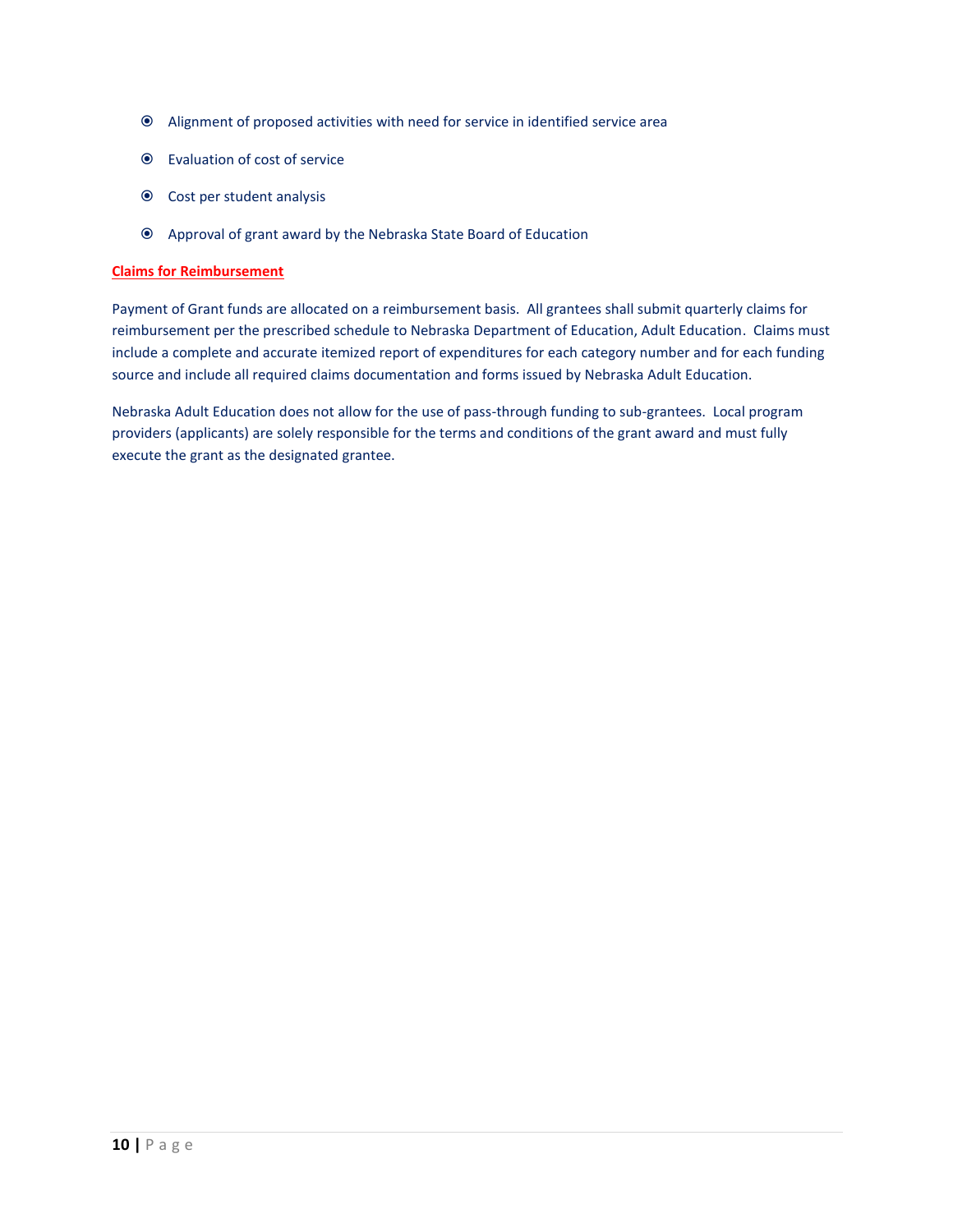- Alignment of proposed activities with need for service in identified service area
- Evaluation of cost of service
- Cost per student analysis
- Approval of grant award by the Nebraska State Board of Education

# **Claims for Reimbursement**

Payment of Grant funds are allocated on a reimbursement basis. All grantees shall submit quarterly claims for reimbursement per the prescribed schedule to Nebraska Department of Education, Adult Education. Claims must include a complete and accurate itemized report of expenditures for each category number and for each funding source and include all required claims documentation and forms issued by Nebraska Adult Education.

Nebraska Adult Education does not allow for the use of pass-through funding to sub-grantees. Local program providers (applicants) are solely responsible for the terms and conditions of the grant award and must fully execute the grant as the designated grantee.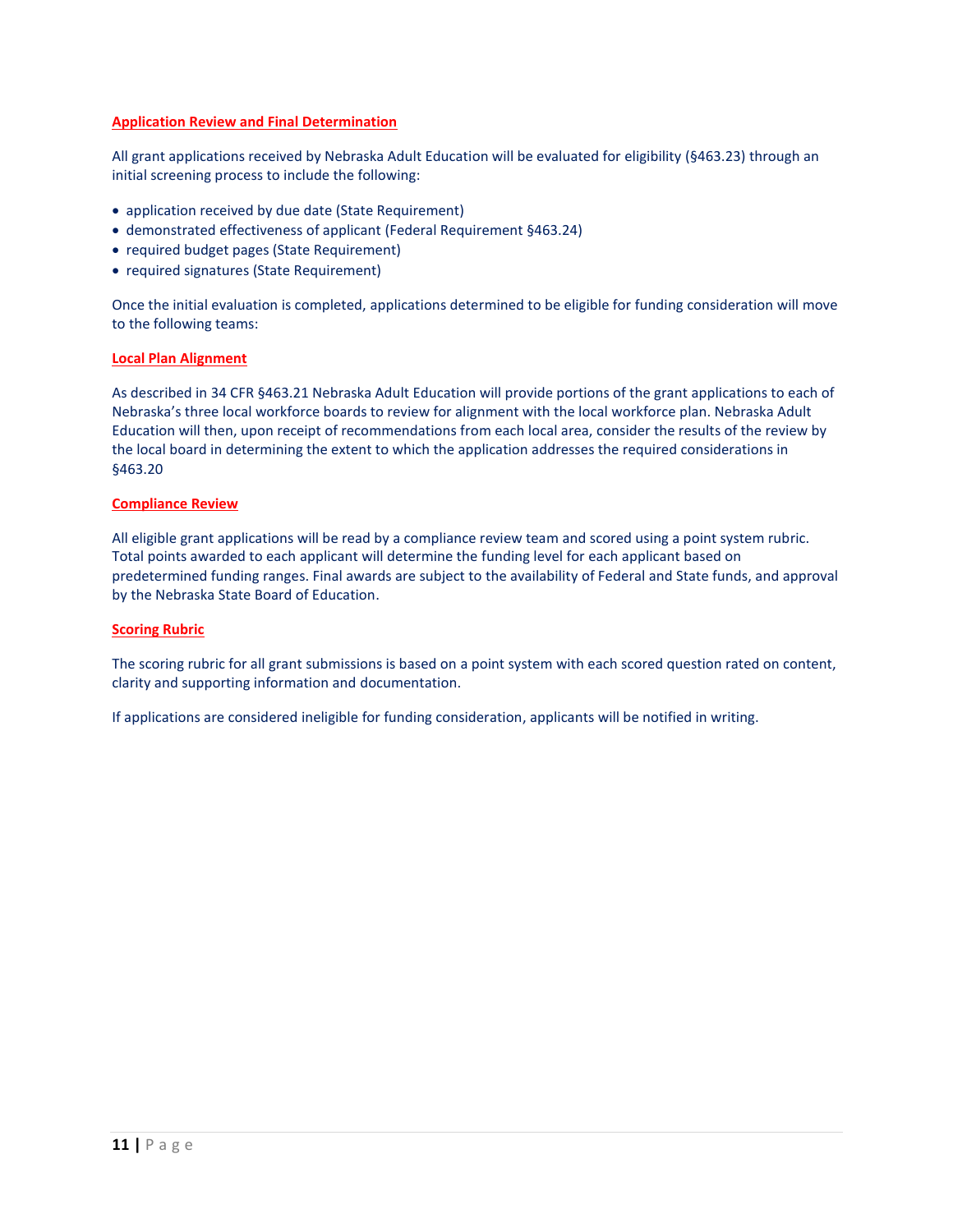# **Application Review and Final Determination**

All grant applications received by Nebraska Adult Education will be evaluated for eligibility (§463.23) through an initial screening process to include the following:

- application received by due date (State Requirement)
- demonstrated effectiveness of applicant (Federal Requirement §463.24)
- required budget pages (State Requirement)
- required signatures (State Requirement)

Once the initial evaluation is completed, applications determined to be eligible for funding consideration will move to the following teams:

## **Local Plan Alignment**

As described in 34 CFR §463.21 Nebraska Adult Education will provide portions of the grant applications to each of Nebraska's three local workforce boards to review for alignment with the local workforce plan. Nebraska Adult Education will then, upon receipt of recommendations from each local area, consider the results of the review by the local board in determining the extent to which the application addresses the required considerations in §463.20

## **Compliance Review**

All eligible grant applications will be read by a compliance review team and scored using a point system rubric. Total points awarded to each applicant will determine the funding level for each applicant based on predetermined funding ranges. Final awards are subject to the availability of Federal and State funds, and approval by the Nebraska State Board of Education.

## **Scoring Rubric**

The scoring rubric for all grant submissions is based on a point system with each scored question rated on content, clarity and supporting information and documentation.

If applications are considered ineligible for funding consideration, applicants will be notified in writing.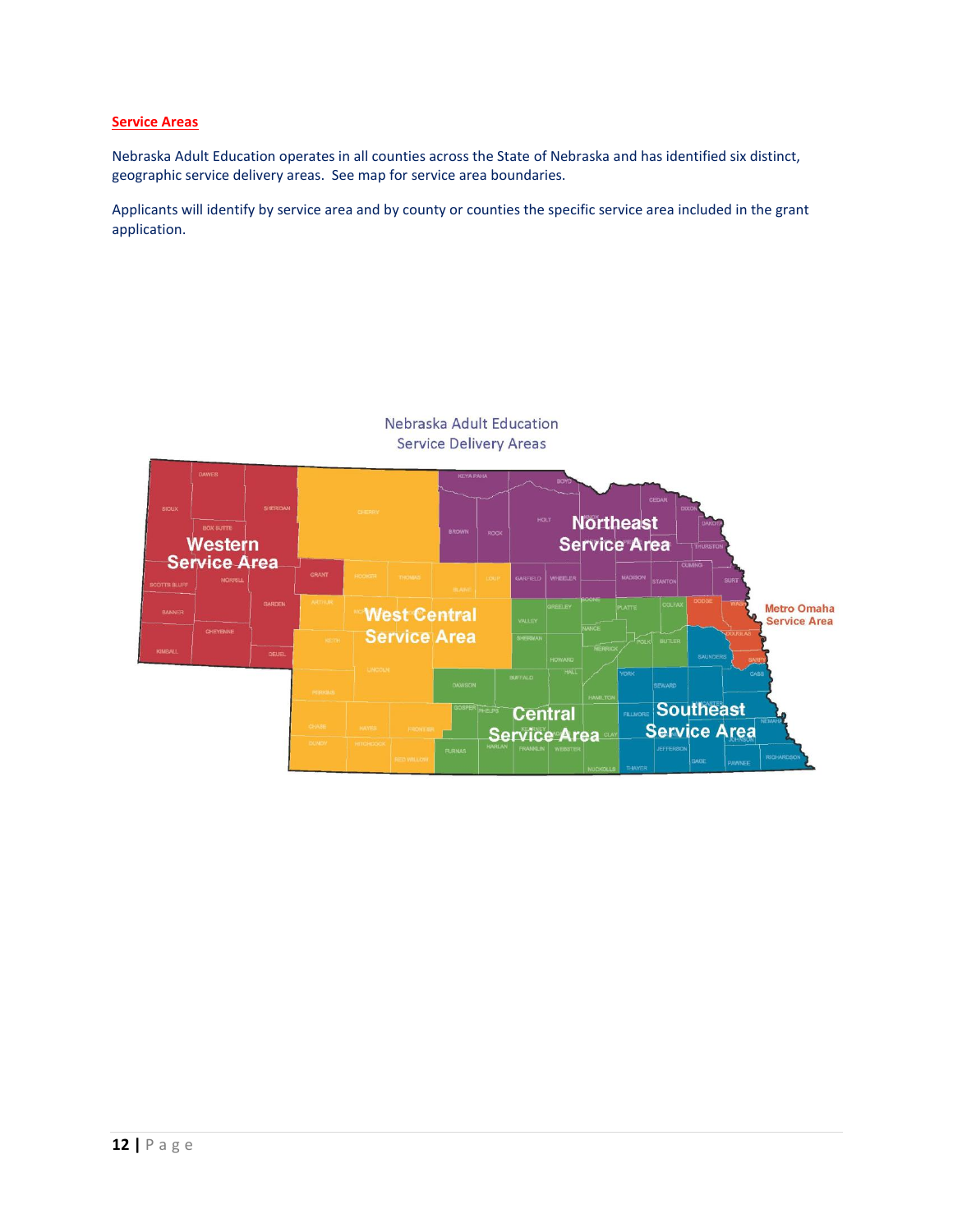# **Service Areas**

Nebraska Adult Education operates in all counties across the State of Nebraska and has identified six distinct, geographic service delivery areas. See map for service area boundaries.

Applicants will identify by service area and by county or counties the specific service area included in the grant application.

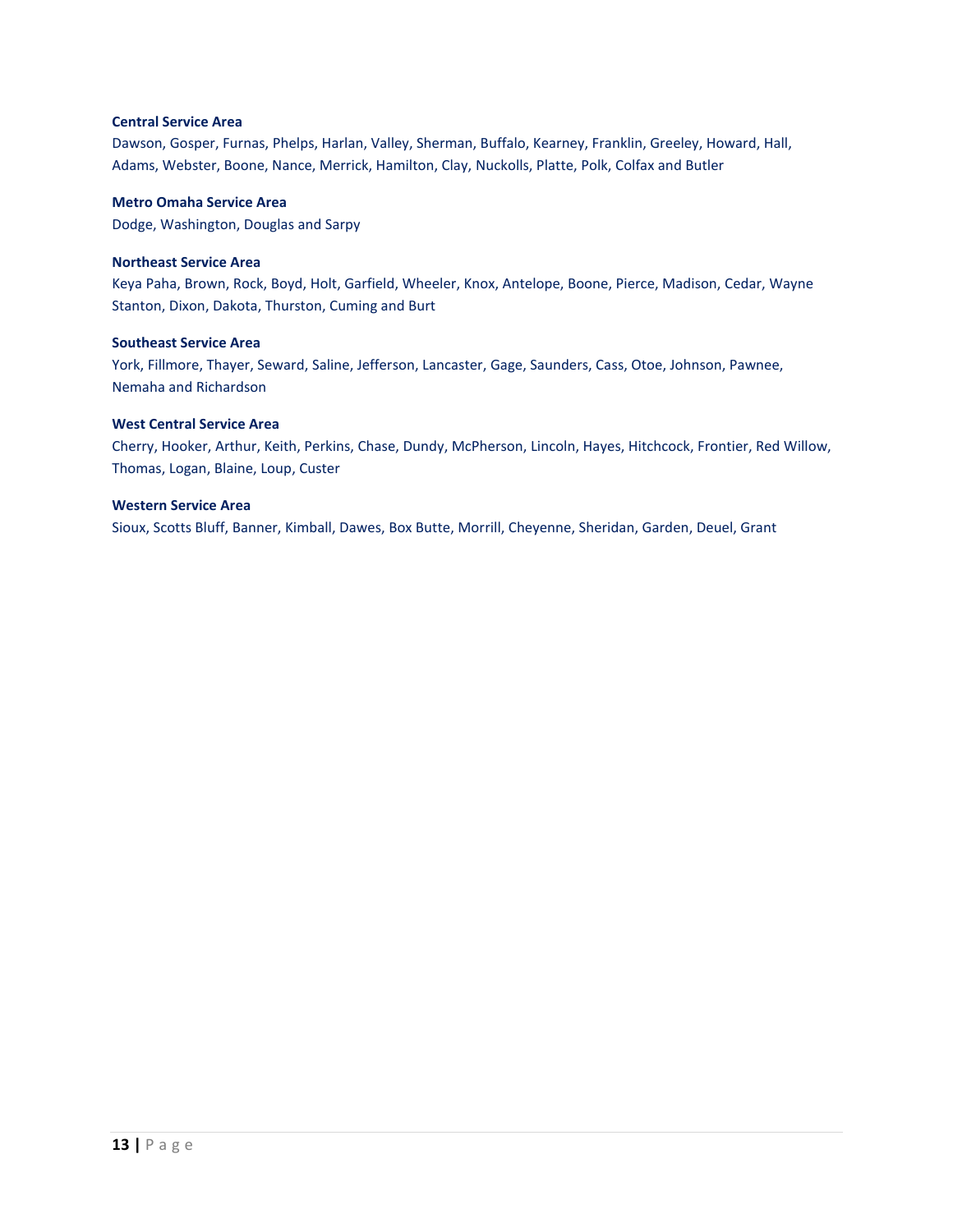## **Central Service Area**

Dawson, Gosper, Furnas, Phelps, Harlan, Valley, Sherman, Buffalo, Kearney, Franklin, Greeley, Howard, Hall, Adams, Webster, Boone, Nance, Merrick, Hamilton, Clay, Nuckolls, Platte, Polk, Colfax and Butler

# **Metro Omaha Service Area**

Dodge, Washington, Douglas and Sarpy

# **Northeast Service Area**

Keya Paha, Brown, Rock, Boyd, Holt, Garfield, Wheeler, Knox, Antelope, Boone, Pierce, Madison, Cedar, Wayne Stanton, Dixon, Dakota, Thurston, Cuming and Burt

# **Southeast Service Area**

York, Fillmore, Thayer, Seward, Saline, Jefferson, Lancaster, Gage, Saunders, Cass, Otoe, Johnson, Pawnee, Nemaha and Richardson

# **West Central Service Area**

Cherry, Hooker, Arthur, Keith, Perkins, Chase, Dundy, McPherson, Lincoln, Hayes, Hitchcock, Frontier, Red Willow, Thomas, Logan, Blaine, Loup, Custer

## **Western Service Area**

Sioux, Scotts Bluff, Banner, Kimball, Dawes, Box Butte, Morrill, Cheyenne, Sheridan, Garden, Deuel, Grant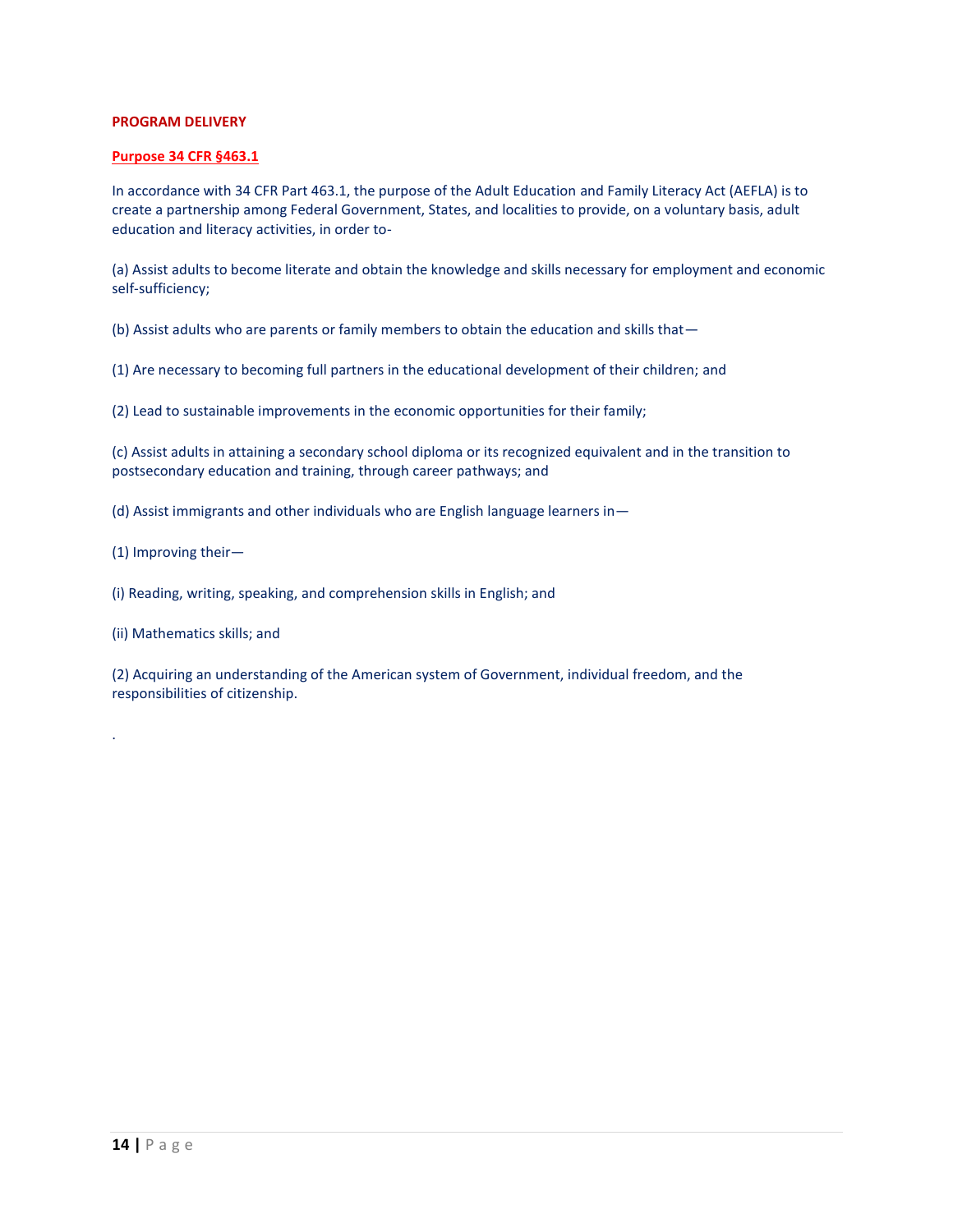# **PROGRAM DELIVERY**

## **Purpose 34 CFR §463.1**

In accordance with 34 CFR Part 463.1, the purpose of the Adult Education and Family Literacy Act (AEFLA) is to create a partnership among Federal Government, States, and localities to provide, on a voluntary basis, adult education and literacy activities, in order to-

(a) Assist adults to become literate and obtain the knowledge and skills necessary for employment and economic self-sufficiency;

(b) Assist adults who are parents or family members to obtain the education and skills that—

(1) Are necessary to becoming full partners in the educational development of their children; and

(2) Lead to sustainable improvements in the economic opportunities for their family;

(c) Assist adults in attaining a secondary school diploma or its recognized equivalent and in the transition to postsecondary education and training, through career pathways; and

- (d) Assist immigrants and other individuals who are English language learners in—
- (1) Improving their—

.

(i) Reading, writing, speaking, and comprehension skills in English; and

(ii) Mathematics skills; and

(2) Acquiring an understanding of the American system of Government, individual freedom, and the responsibilities of citizenship.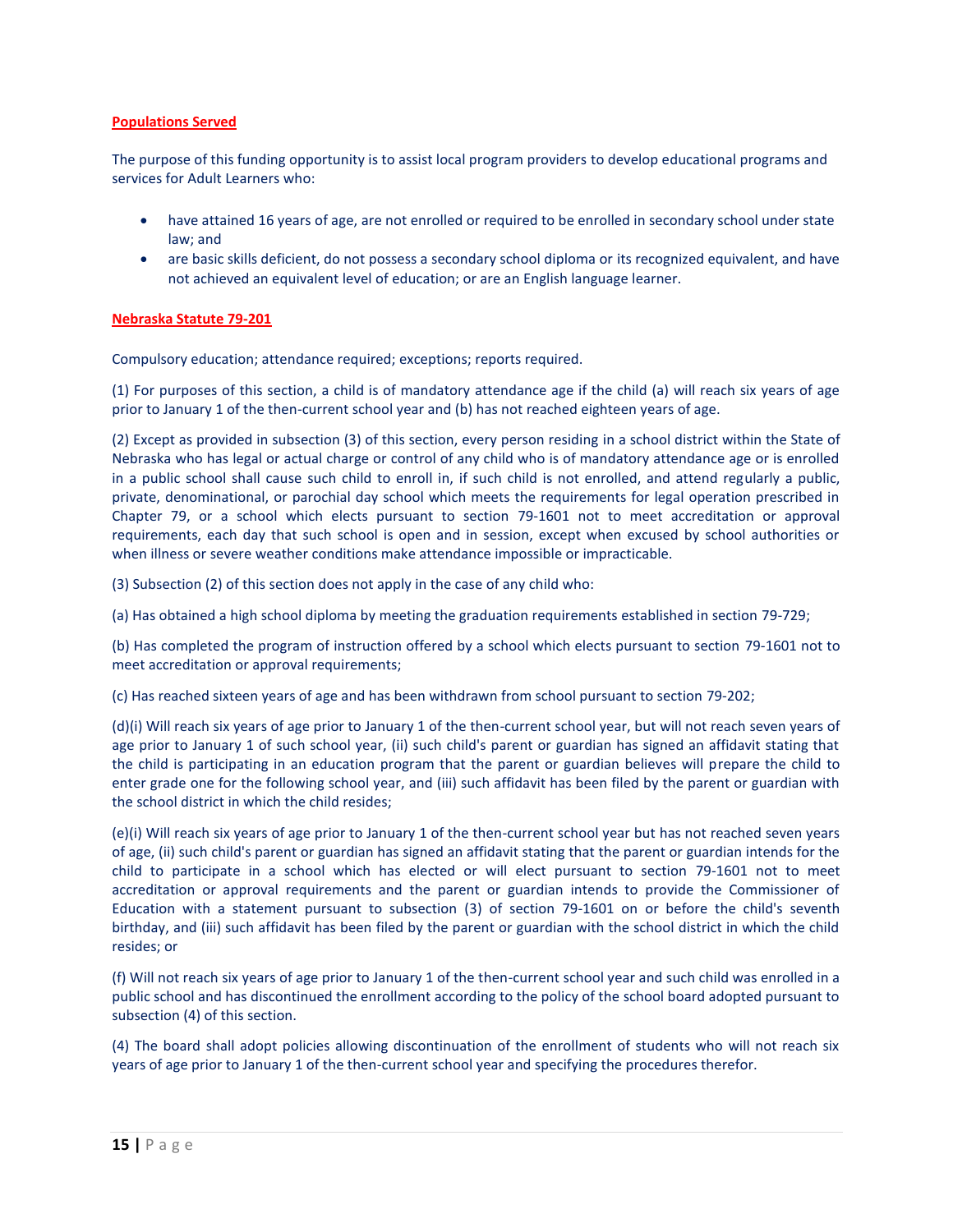# **Populations Served**

The purpose of this funding opportunity is to assist local program providers to develop educational programs and services for Adult Learners who:

- have attained 16 years of age, are not enrolled or required to be enrolled in secondary school under state law; and
- are basic skills deficient, do not possess a secondary school diploma or its recognized equivalent, and have not achieved an equivalent level of education; or are an English language learner.

# **Nebraska Statute 79-201**

Compulsory education; attendance required; exceptions; reports required.

(1) For purposes of this section, a child is of mandatory attendance age if the child (a) will reach six years of age prior to January 1 of the then-current school year and (b) has not reached eighteen years of age.

(2) Except as provided in subsection (3) of this section, every person residing in a school district within the State of Nebraska who has legal or actual charge or control of any child who is of mandatory attendance age or is enrolled in a public school shall cause such child to enroll in, if such child is not enrolled, and attend regularly a public, private, denominational, or parochial day school which meets the requirements for legal operation prescribed in Chapter 79, or a school which elects pursuant to section [79-1601](https://nebraskalegislature.gov/laws/statutes.php?statute=79-1601) not to meet accreditation or approval requirements, each day that such school is open and in session, except when excused by school authorities or when illness or severe weather conditions make attendance impossible or impracticable.

(3) Subsection (2) of this section does not apply in the case of any child who:

(a) Has obtained a high school diploma by meeting the graduation requirements established in section [79-729;](https://nebraskalegislature.gov/laws/statutes.php?statute=79-729)

(b) Has completed the program of instruction offered by a school which elects pursuant to section [79-1601](https://nebraskalegislature.gov/laws/statutes.php?statute=79-1601) not to meet accreditation or approval requirements;

(c) Has reached sixteen years of age and has been withdrawn from school pursuant to section [79-202;](https://nebraskalegislature.gov/laws/statutes.php?statute=79-202)

(d)(i) Will reach six years of age prior to January 1 of the then-current school year, but will not reach seven years of age prior to January 1 of such school year, (ii) such child's parent or guardian has signed an affidavit stating that the child is participating in an education program that the parent or guardian believes will prepare the child to enter grade one for the following school year, and (iii) such affidavit has been filed by the parent or guardian with the school district in which the child resides;

(e)(i) Will reach six years of age prior to January 1 of the then-current school year but has not reached seven years of age, (ii) such child's parent or guardian has signed an affidavit stating that the parent or guardian intends for the child to participate in a school which has elected or will elect pursuant to section [79-1601](https://nebraskalegislature.gov/laws/statutes.php?statute=79-1601) not to meet accreditation or approval requirements and the parent or guardian intends to provide the Commissioner of Education with a statement pursuant to subsection (3) of section [79-1601](https://nebraskalegislature.gov/laws/statutes.php?statute=79-1601) on or before the child's seventh birthday, and (iii) such affidavit has been filed by the parent or guardian with the school district in which the child resides; or

(f) Will not reach six years of age prior to January 1 of the then-current school year and such child was enrolled in a public school and has discontinued the enrollment according to the policy of the school board adopted pursuant to subsection (4) of this section.

(4) The board shall adopt policies allowing discontinuation of the enrollment of students who will not reach six years of age prior to January 1 of the then-current school year and specifying the procedures therefor.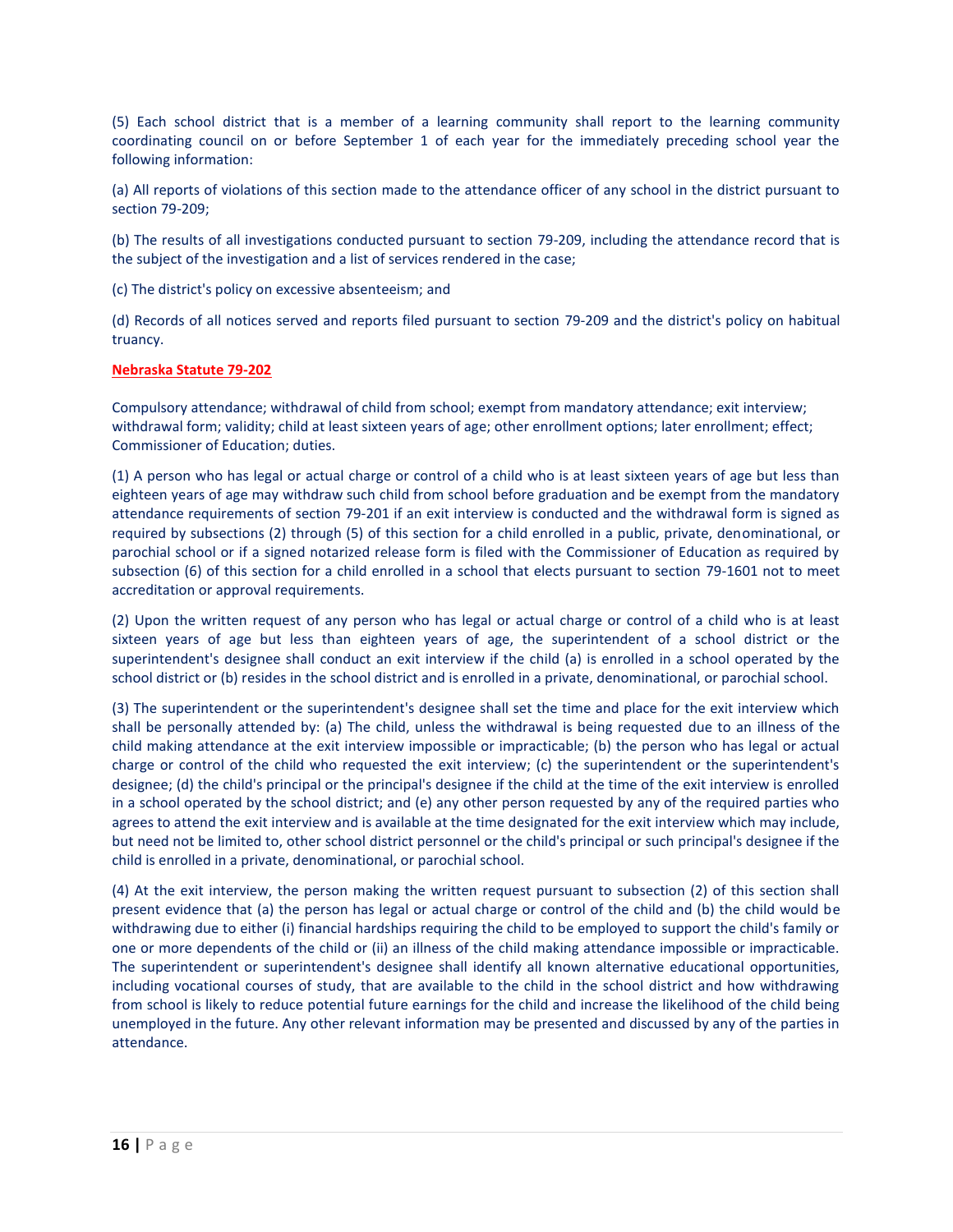(5) Each school district that is a member of a learning community shall report to the learning community coordinating council on or before September 1 of each year for the immediately preceding school year the following information:

(a) All reports of violations of this section made to the attendance officer of any school in the district pursuant to sectio[n 79-209;](https://nebraskalegislature.gov/laws/statutes.php?statute=79-209)

(b) The results of all investigations conducted pursuant to section [79-209,](https://nebraskalegislature.gov/laws/statutes.php?statute=79-209) including the attendance record that is the subject of the investigation and a list of services rendered in the case;

(c) The district's policy on excessive absenteeism; and

(d) Records of all notices served and reports filed pursuant to section [79-209](https://nebraskalegislature.gov/laws/statutes.php?statute=79-209) and the district's policy on habitual truancy.

# **Nebraska Statute 79-202**

Compulsory attendance; withdrawal of child from school; exempt from mandatory attendance; exit interview; withdrawal form; validity; child at least sixteen years of age; other enrollment options; later enrollment; effect; Commissioner of Education; duties.

(1) A person who has legal or actual charge or control of a child who is at least sixteen years of age but less than eighteen years of age may withdraw such child from school before graduation and be exempt from the mandatory attendance requirements of section [79-201](https://nebraskalegislature.gov/laws/statutes.php?statute=79-201) if an exit interview is conducted and the withdrawal form is signed as required by subsections (2) through (5) of this section for a child enrolled in a public, private, denominational, or parochial school or if a signed notarized release form is filed with the Commissioner of Education as required by subsection (6) of this section for a child enrolled in a school that elects pursuant to section [79-1601](https://nebraskalegislature.gov/laws/statutes.php?statute=79-1601) not to meet accreditation or approval requirements.

(2) Upon the written request of any person who has legal or actual charge or control of a child who is at least sixteen years of age but less than eighteen years of age, the superintendent of a school district or the superintendent's designee shall conduct an exit interview if the child (a) is enrolled in a school operated by the school district or (b) resides in the school district and is enrolled in a private, denominational, or parochial school.

(3) The superintendent or the superintendent's designee shall set the time and place for the exit interview which shall be personally attended by: (a) The child, unless the withdrawal is being requested due to an illness of the child making attendance at the exit interview impossible or impracticable; (b) the person who has legal or actual charge or control of the child who requested the exit interview; (c) the superintendent or the superintendent's designee; (d) the child's principal or the principal's designee if the child at the time of the exit interview is enrolled in a school operated by the school district; and (e) any other person requested by any of the required parties who agrees to attend the exit interview and is available at the time designated for the exit interview which may include, but need not be limited to, other school district personnel or the child's principal or such principal's designee if the child is enrolled in a private, denominational, or parochial school.

(4) At the exit interview, the person making the written request pursuant to subsection (2) of this section shall present evidence that (a) the person has legal or actual charge or control of the child and (b) the child would be withdrawing due to either (i) financial hardships requiring the child to be employed to support the child's family or one or more dependents of the child or (ii) an illness of the child making attendance impossible or impracticable. The superintendent or superintendent's designee shall identify all known alternative educational opportunities, including vocational courses of study, that are available to the child in the school district and how withdrawing from school is likely to reduce potential future earnings for the child and increase the likelihood of the child being unemployed in the future. Any other relevant information may be presented and discussed by any of the parties in attendance.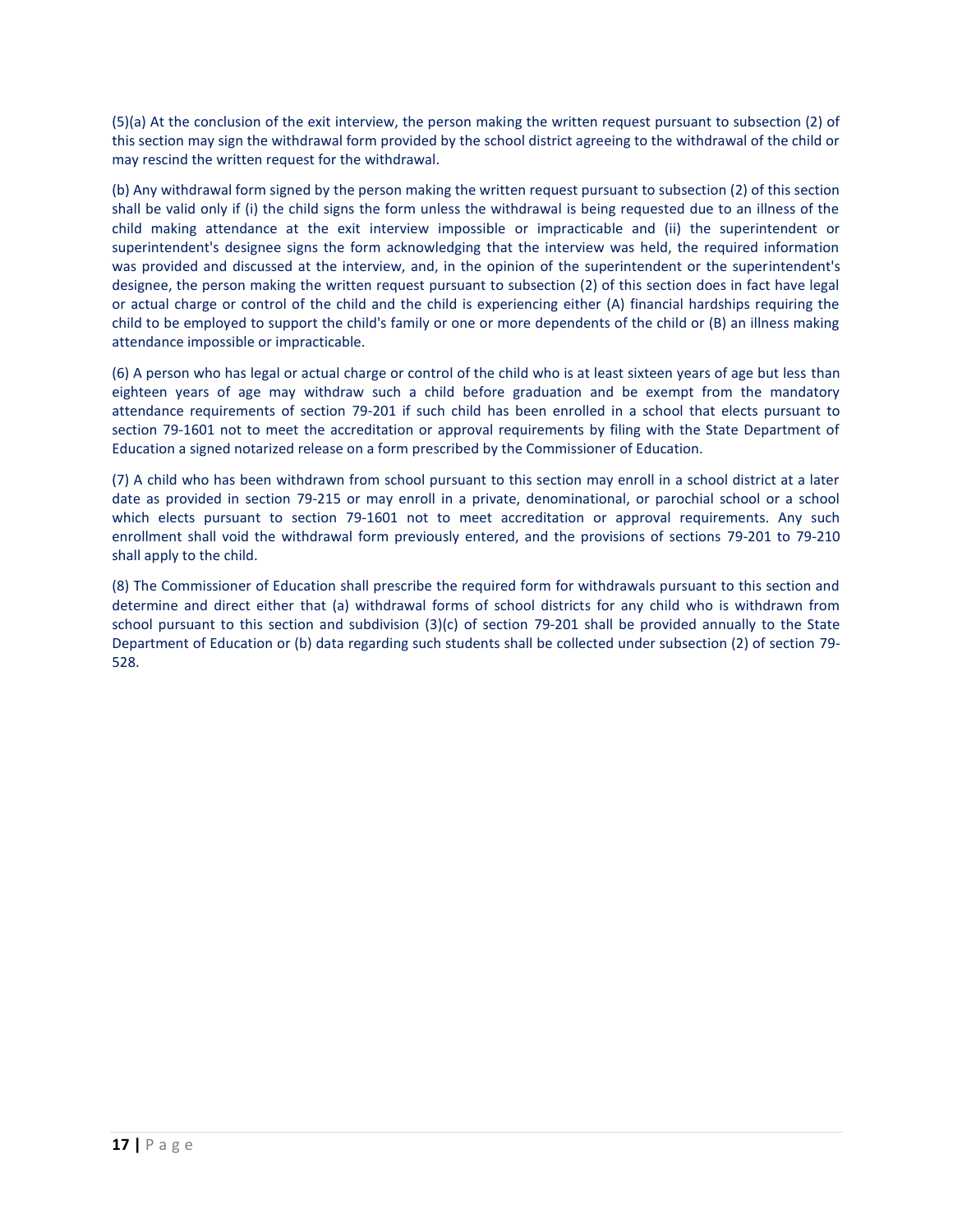(5)(a) At the conclusion of the exit interview, the person making the written request pursuant to subsection (2) of this section may sign the withdrawal form provided by the school district agreeing to the withdrawal of the child or may rescind the written request for the withdrawal.

(b) Any withdrawal form signed by the person making the written request pursuant to subsection (2) of this section shall be valid only if (i) the child signs the form unless the withdrawal is being requested due to an illness of the child making attendance at the exit interview impossible or impracticable and (ii) the superintendent or superintendent's designee signs the form acknowledging that the interview was held, the required information was provided and discussed at the interview, and, in the opinion of the superintendent or the superintendent's designee, the person making the written request pursuant to subsection (2) of this section does in fact have legal or actual charge or control of the child and the child is experiencing either (A) financial hardships requiring the child to be employed to support the child's family or one or more dependents of the child or (B) an illness making attendance impossible or impracticable.

(6) A person who has legal or actual charge or control of the child who is at least sixteen years of age but less than eighteen years of age may withdraw such a child before graduation and be exempt from the mandatory attendance requirements of section [79-201](https://nebraskalegislature.gov/laws/statutes.php?statute=79-201) if such child has been enrolled in a school that elects pursuant to section [79-1601](https://nebraskalegislature.gov/laws/statutes.php?statute=79-1601) not to meet the accreditation or approval requirements by filing with the State Department of Education a signed notarized release on a form prescribed by the Commissioner of Education.

(7) A child who has been withdrawn from school pursuant to this section may enroll in a school district at a later date as provided in section [79-215](https://nebraskalegislature.gov/laws/statutes.php?statute=79-215) or may enroll in a private, denominational, or parochial school or a school which elects pursuant to section [79-1601](https://nebraskalegislature.gov/laws/statutes.php?statute=79-1601) not to meet accreditation or approval requirements. Any such enrollment shall void the withdrawal form previously entered, and the provisions of sections [79-201](https://nebraskalegislature.gov/laws/statutes.php?statute=79-201) to [79-210](https://nebraskalegislature.gov/laws/statutes.php?statute=79-210) shall apply to the child.

(8) The Commissioner of Education shall prescribe the required form for withdrawals pursuant to this section and determine and direct either that (a) withdrawal forms of school districts for any child who is withdrawn from school pursuant to this section and subdivision (3)(c) of section [79-201](https://nebraskalegislature.gov/laws/statutes.php?statute=79-201) shall be provided annually to the State Department of Education or (b) data regarding such students shall be collected under subsection (2) of section [79-](https://nebraskalegislature.gov/laws/statutes.php?statute=79-528) [528.](https://nebraskalegislature.gov/laws/statutes.php?statute=79-528)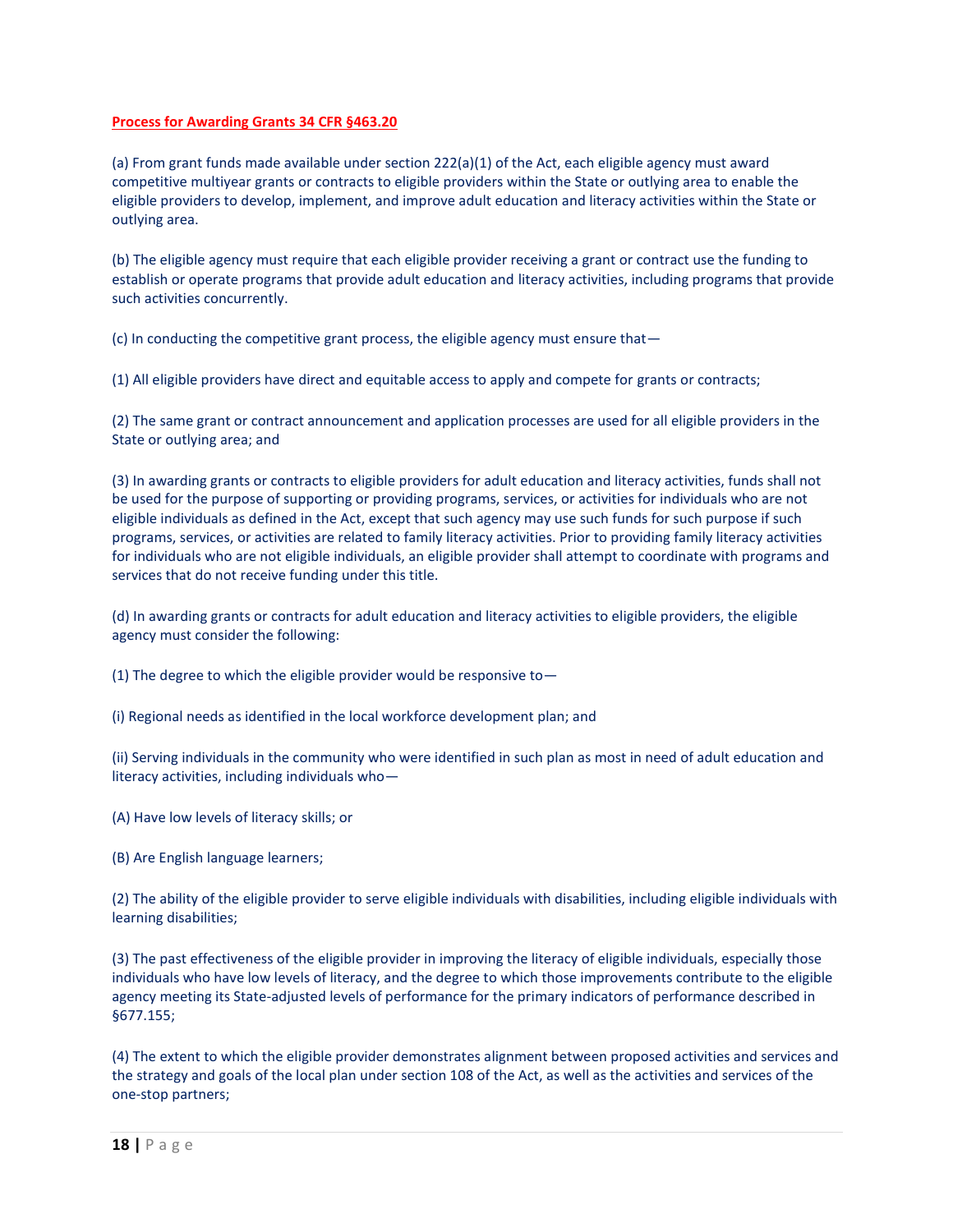# **Process for Awarding Grants 34 CFR §463.20**

(a) From grant funds made available under section 222(a)(1) of the Act, each eligible agency must award competitive multiyear grants or contracts to eligible providers within the State or outlying area to enable the eligible providers to develop, implement, and improve adult education and literacy activities within the State or outlying area.

(b) The eligible agency must require that each eligible provider receiving a grant or contract use the funding to establish or operate programs that provide adult education and literacy activities, including programs that provide such activities concurrently.

(c) In conducting the competitive grant process, the eligible agency must ensure that—

(1) All eligible providers have direct and equitable access to apply and compete for grants or contracts;

(2) The same grant or contract announcement and application processes are used for all eligible providers in the State or outlying area; and

(3) In awarding grants or contracts to eligible providers for adult education and literacy activities, funds shall not be used for the purpose of supporting or providing programs, services, or activities for individuals who are not eligible individuals as defined in the Act, except that such agency may use such funds for such purpose if such programs, services, or activities are related to family literacy activities. Prior to providing family literacy activities for individuals who are not eligible individuals, an eligible provider shall attempt to coordinate with programs and services that do not receive funding under this title.

(d) In awarding grants or contracts for adult education and literacy activities to eligible providers, the eligible agency must consider the following:

(1) The degree to which the eligible provider would be responsive to—

(i) Regional needs as identified in the local workforce development plan; and

(ii) Serving individuals in the community who were identified in such plan as most in need of adult education and literacy activities, including individuals who—

(A) Have low levels of literacy skills; or

(B) Are English language learners;

(2) The ability of the eligible provider to serve eligible individuals with disabilities, including eligible individuals with learning disabilities;

(3) The past effectiveness of the eligible provider in improving the literacy of eligible individuals, especially those individuals who have low levels of literacy, and the degree to which those improvements contribute to the eligible agency meeting its State-adjusted levels of performance for the primary indicators of performance described in §677.155;

(4) The extent to which the eligible provider demonstrates alignment between proposed activities and services and the strategy and goals of the local plan under section 108 of the Act, as well as the activities and services of the one-stop partners;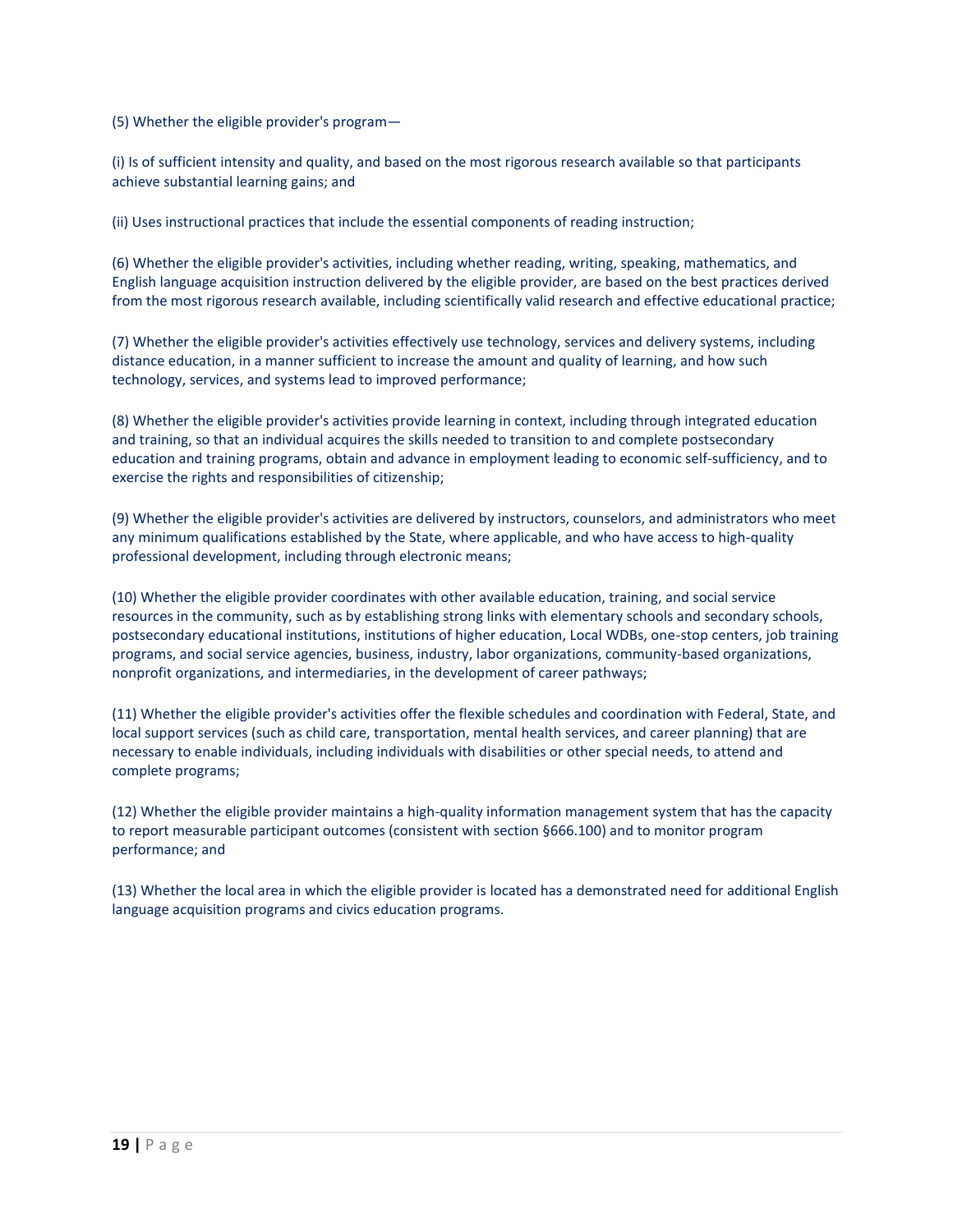(5) Whether the eligible provider's program—

(i) Is of sufficient intensity and quality, and based on the most rigorous research available so that participants achieve substantial learning gains; and

(ii) Uses instructional practices that include the essential components of reading instruction;

(6) Whether the eligible provider's activities, including whether reading, writing, speaking, mathematics, and English language acquisition instruction delivered by the eligible provider, are based on the best practices derived from the most rigorous research available, including scientifically valid research and effective educational practice;

(7) Whether the eligible provider's activities effectively use technology, services and delivery systems, including distance education, in a manner sufficient to increase the amount and quality of learning, and how such technology, services, and systems lead to improved performance;

(8) Whether the eligible provider's activities provide learning in context, including through integrated education and training, so that an individual acquires the skills needed to transition to and complete postsecondary education and training programs, obtain and advance in employment leading to economic self-sufficiency, and to exercise the rights and responsibilities of citizenship;

(9) Whether the eligible provider's activities are delivered by instructors, counselors, and administrators who meet any minimum qualifications established by the State, where applicable, and who have access to high-quality professional development, including through electronic means;

(10) Whether the eligible provider coordinates with other available education, training, and social service resources in the community, such as by establishing strong links with elementary schools and secondary schools, postsecondary educational institutions, institutions of higher education, Local WDBs, one-stop centers, job training programs, and social service agencies, business, industry, labor organizations, community-based organizations, nonprofit organizations, and intermediaries, in the development of career pathways;

(11) Whether the eligible provider's activities offer the flexible schedules and coordination with Federal, State, and local support services (such as child care, transportation, mental health services, and career planning) that are necessary to enable individuals, including individuals with disabilities or other special needs, to attend and complete programs;

(12) Whether the eligible provider maintains a high-quality information management system that has the capacity to report measurable participant outcomes (consistent with section §666.100) and to monitor program performance; and

(13) Whether the local area in which the eligible provider is located has a demonstrated need for additional English language acquisition programs and civics education programs.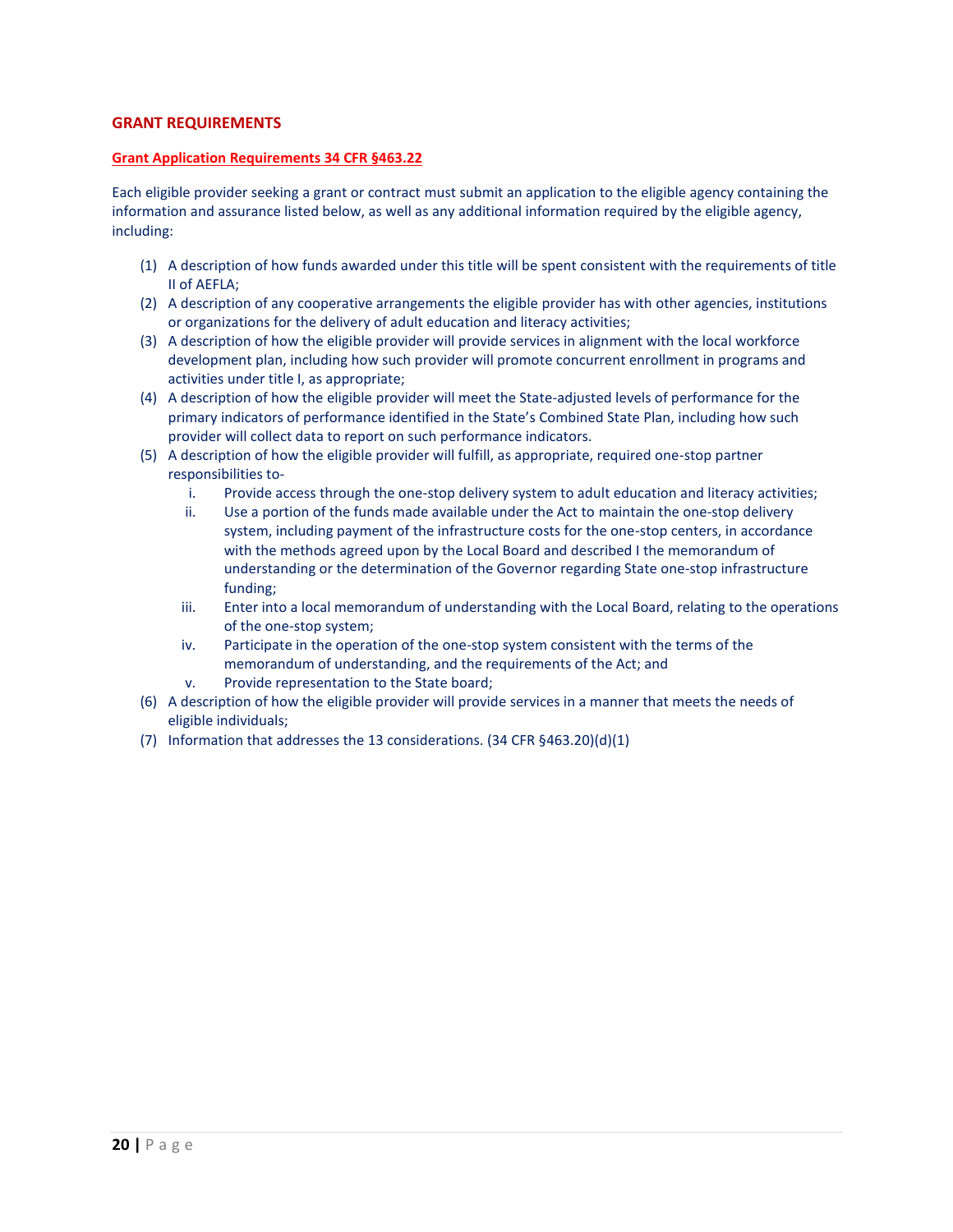# **GRANT REQUIREMENTS**

# **Grant Application Requirements 34 CFR §463.22**

Each eligible provider seeking a grant or contract must submit an application to the eligible agency containing the information and assurance listed below, as well as any additional information required by the eligible agency, including:

- (1) A description of how funds awarded under this title will be spent consistent with the requirements of title II of AEFLA;
- (2) A description of any cooperative arrangements the eligible provider has with other agencies, institutions or organizations for the delivery of adult education and literacy activities;
- (3) A description of how the eligible provider will provide services in alignment with the local workforce development plan, including how such provider will promote concurrent enrollment in programs and activities under title I, as appropriate;
- (4) A description of how the eligible provider will meet the State-adjusted levels of performance for the primary indicators of performance identified in the State's Combined State Plan, including how such provider will collect data to report on such performance indicators.
- (5) A description of how the eligible provider will fulfill, as appropriate, required one-stop partner responsibilities to
	- i. Provide access through the one-stop delivery system to adult education and literacy activities;
	- ii. Use a portion of the funds made available under the Act to maintain the one-stop delivery system, including payment of the infrastructure costs for the one-stop centers, in accordance with the methods agreed upon by the Local Board and described I the memorandum of understanding or the determination of the Governor regarding State one-stop infrastructure funding;
	- iii. Enter into a local memorandum of understanding with the Local Board, relating to the operations of the one-stop system;
	- iv. Participate in the operation of the one-stop system consistent with the terms of the memorandum of understanding, and the requirements of the Act; and
	- v. Provide representation to the State board;
- (6) A description of how the eligible provider will provide services in a manner that meets the needs of eligible individuals;
- (7) Information that addresses the 13 considerations. (34 CFR §463.20)(d)(1)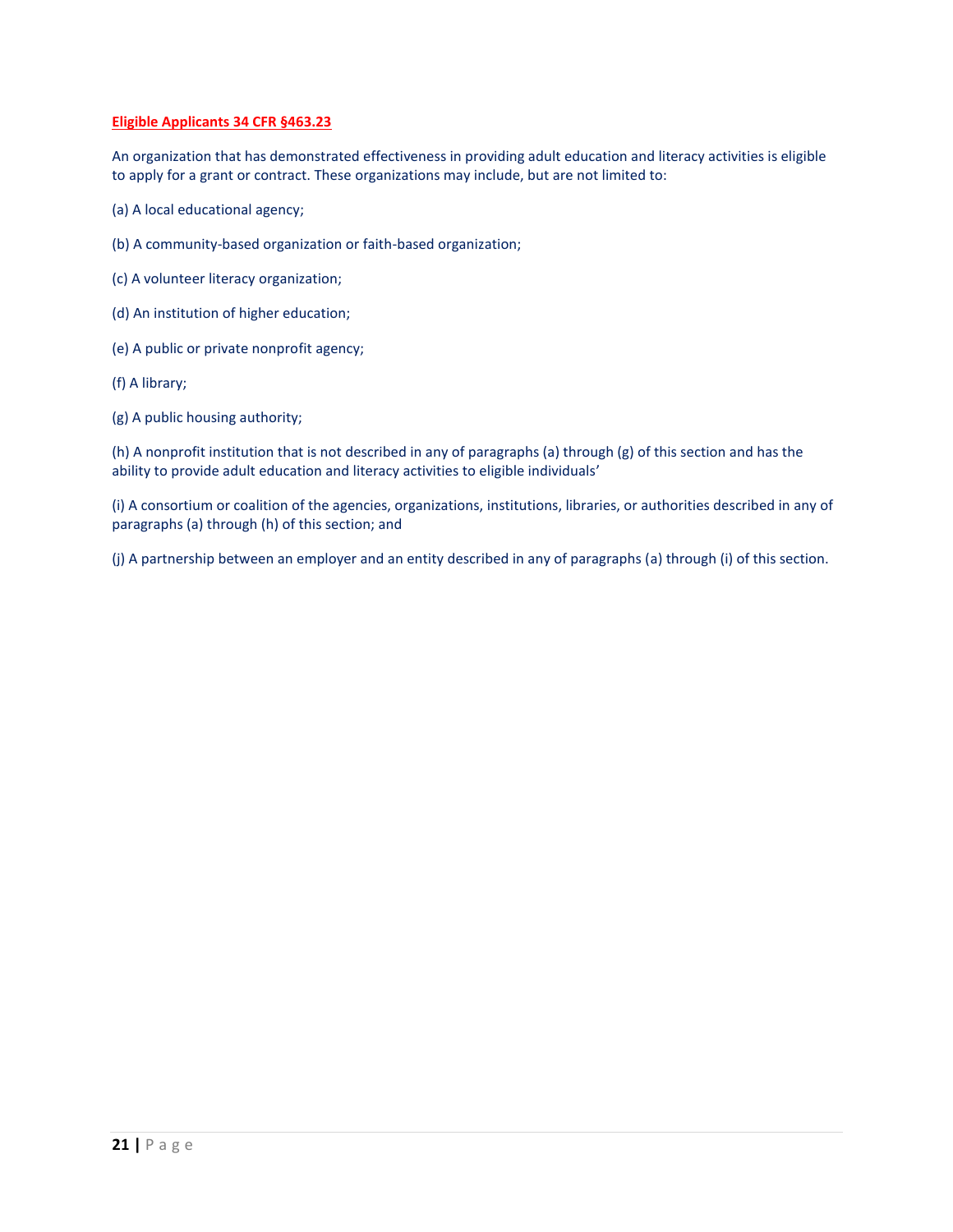# **Eligible Applicants 34 CFR §463.23**

An organization that has demonstrated effectiveness in providing adult education and literacy activities is eligible to apply for a grant or contract. These organizations may include, but are not limited to:

- (a) A local educational agency;
- (b) A community-based organization or faith-based organization;
- (c) A volunteer literacy organization;
- (d) An institution of higher education;
- (e) A public or private nonprofit agency;
- (f) A library;
- (g) A public housing authority;

(h) A nonprofit institution that is not described in any of paragraphs (a) through (g) of this section and has the ability to provide adult education and literacy activities to eligible individuals'

(i) A consortium or coalition of the agencies, organizations, institutions, libraries, or authorities described in any of paragraphs (a) through (h) of this section; and

(j) A partnership between an employer and an entity described in any of paragraphs (a) through (i) of this section.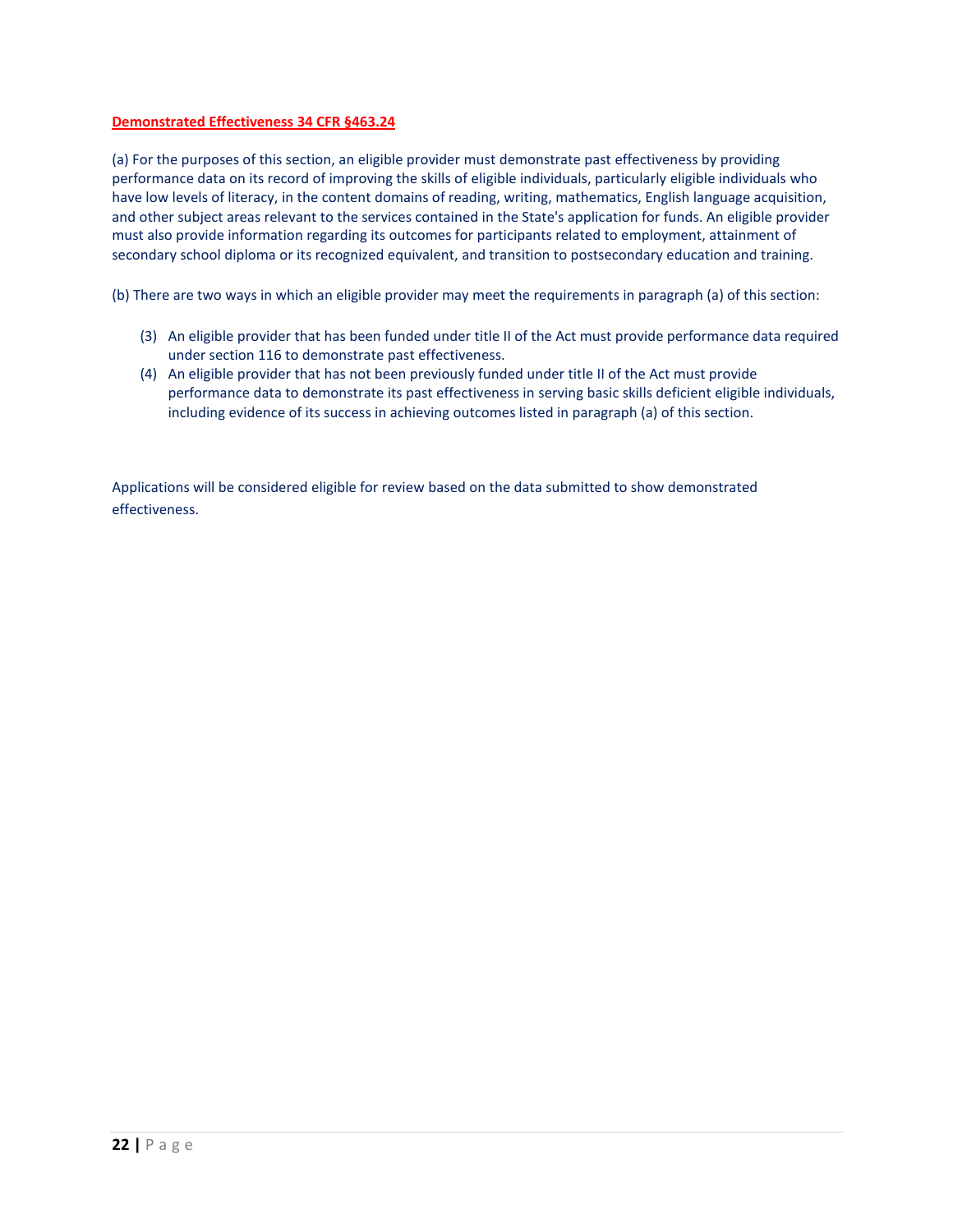# **Demonstrated Effectiveness 34 CFR §463.24**

(a) For the purposes of this section, an eligible provider must demonstrate past effectiveness by providing performance data on its record of improving the skills of eligible individuals, particularly eligible individuals who have low levels of literacy, in the content domains of reading, writing, mathematics, English language acquisition, and other subject areas relevant to the services contained in the State's application for funds. An eligible provider must also provide information regarding its outcomes for participants related to employment, attainment of secondary school diploma or its recognized equivalent, and transition to postsecondary education and training.

(b) There are two ways in which an eligible provider may meet the requirements in paragraph (a) of this section:

- (3) An eligible provider that has been funded under title II of the Act must provide performance data required under section 116 to demonstrate past effectiveness.
- (4) An eligible provider that has not been previously funded under title II of the Act must provide performance data to demonstrate its past effectiveness in serving basic skills deficient eligible individuals, including evidence of its success in achieving outcomes listed in paragraph (a) of this section.

Applications will be considered eligible for review based on the data submitted to show demonstrated effectiveness.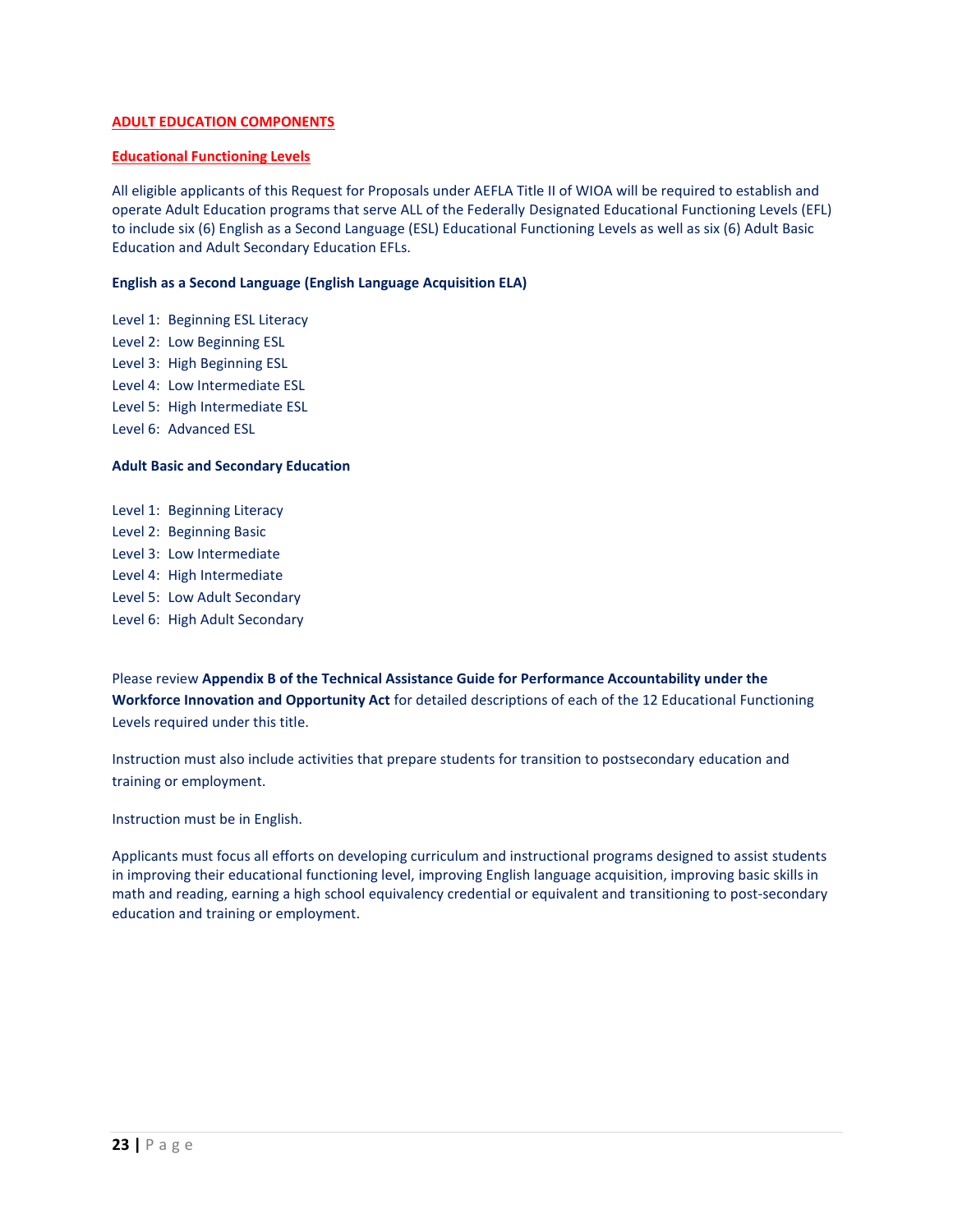# **ADULT EDUCATION COMPONENTS**

#### **Educational Functioning Levels**

All eligible applicants of this Request for Proposals under AEFLA Title II of WIOA will be required to establish and operate Adult Education programs that serve ALL of the Federally Designated Educational Functioning Levels (EFL) to include six (6) English as a Second Language (ESL) Educational Functioning Levels as well as six (6) Adult Basic Education and Adult Secondary Education EFLs.

## **English as a Second Language (English Language Acquisition ELA)**

Level 1: Beginning ESL Literacy Level 2: Low Beginning ESL Level 3: High Beginning ESL Level 4: Low Intermediate ESL Level 5: High Intermediate ESL Level 6: Advanced ESL

## **Adult Basic and Secondary Education**

Level 1: Beginning Literacy Level 2: Beginning Basic Level 3: Low Intermediate Level 4: High Intermediate Level 5: Low Adult Secondary Level 6: High Adult Secondary

Please review **Appendix B of the Technical Assistance Guide for Performance Accountability under the Workforce Innovation and Opportunity Act** for detailed descriptions of each of the 12 Educational Functioning Levels required under this title.

Instruction must also include activities that prepare students for transition to postsecondary education and training or employment.

Instruction must be in English.

Applicants must focus all efforts on developing curriculum and instructional programs designed to assist students in improving their educational functioning level, improving English language acquisition, improving basic skills in math and reading, earning a high school equivalency credential or equivalent and transitioning to post-secondary education and training or employment.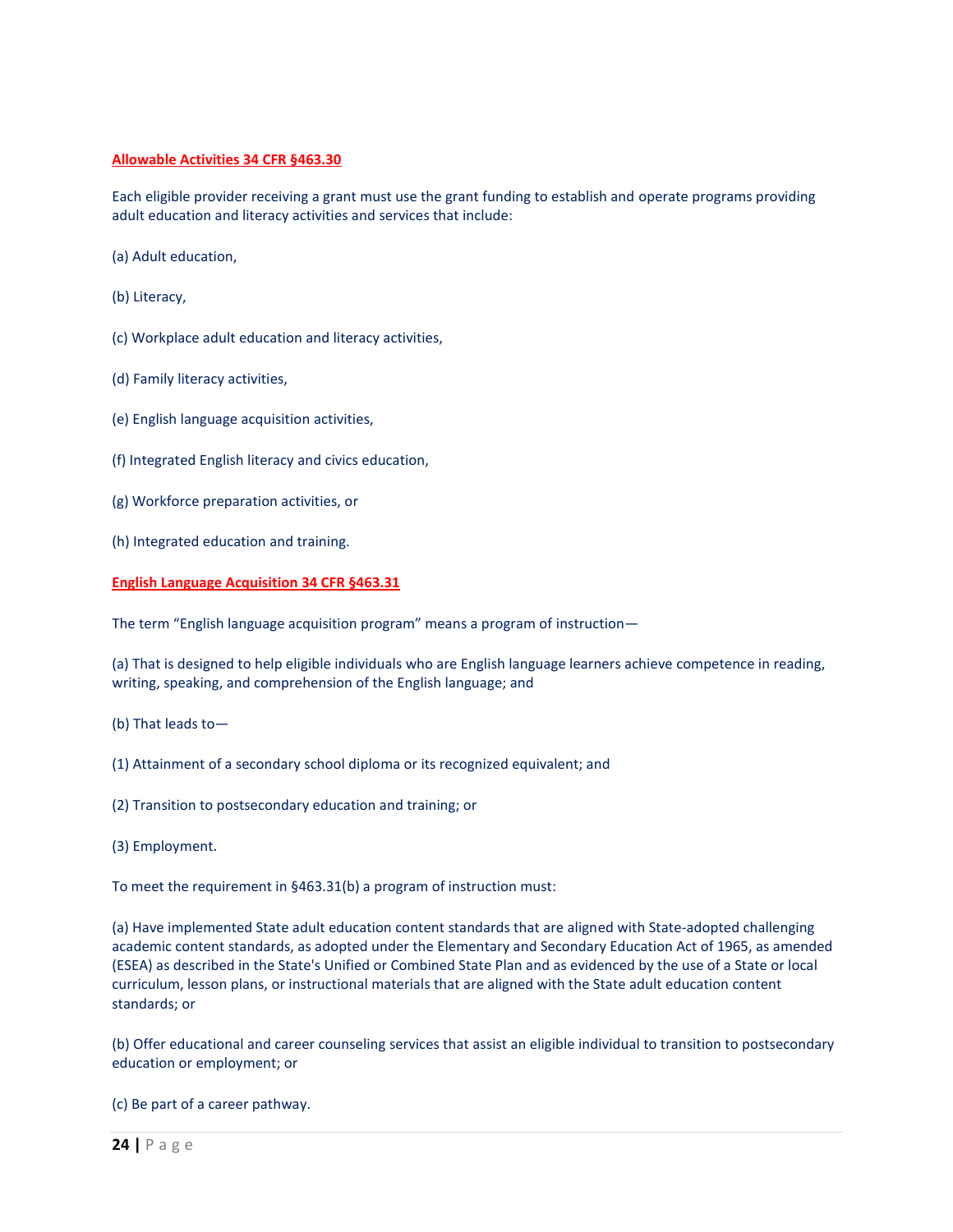# **Allowable Activities 34 CFR §463.30**

Each eligible provider receiving a grant must use the grant funding to establish and operate programs providing adult education and literacy activities and services that include:

- (a) Adult education,
- (b) Literacy,
- (c) Workplace adult education and literacy activities,
- (d) Family literacy activities,
- (e) English language acquisition activities,
- (f) Integrated English literacy and civics education,
- (g) Workforce preparation activities, or
- (h) Integrated education and training.

## **English Language Acquisition 34 CFR §463.31**

The term "English language acquisition program" means a program of instruction—

(a) That is designed to help eligible individuals who are English language learners achieve competence in reading, writing, speaking, and comprehension of the English language; and

- (b) That leads to—
- (1) Attainment of a secondary school diploma or its recognized equivalent; and
- (2) Transition to postsecondary education and training; or
- (3) Employment.

To meet the requirement in §463.31(b) a program of instruction must:

(a) Have implemented State adult education content standards that are aligned with State-adopted challenging academic content standards, as adopted under the Elementary and Secondary Education Act of 1965, as amended (ESEA) as described in the State's Unified or Combined State Plan and as evidenced by the use of a State or local curriculum, lesson plans, or instructional materials that are aligned with the State adult education content standards; or

(b) Offer educational and career counseling services that assist an eligible individual to transition to postsecondary education or employment; or

(c) Be part of a career pathway.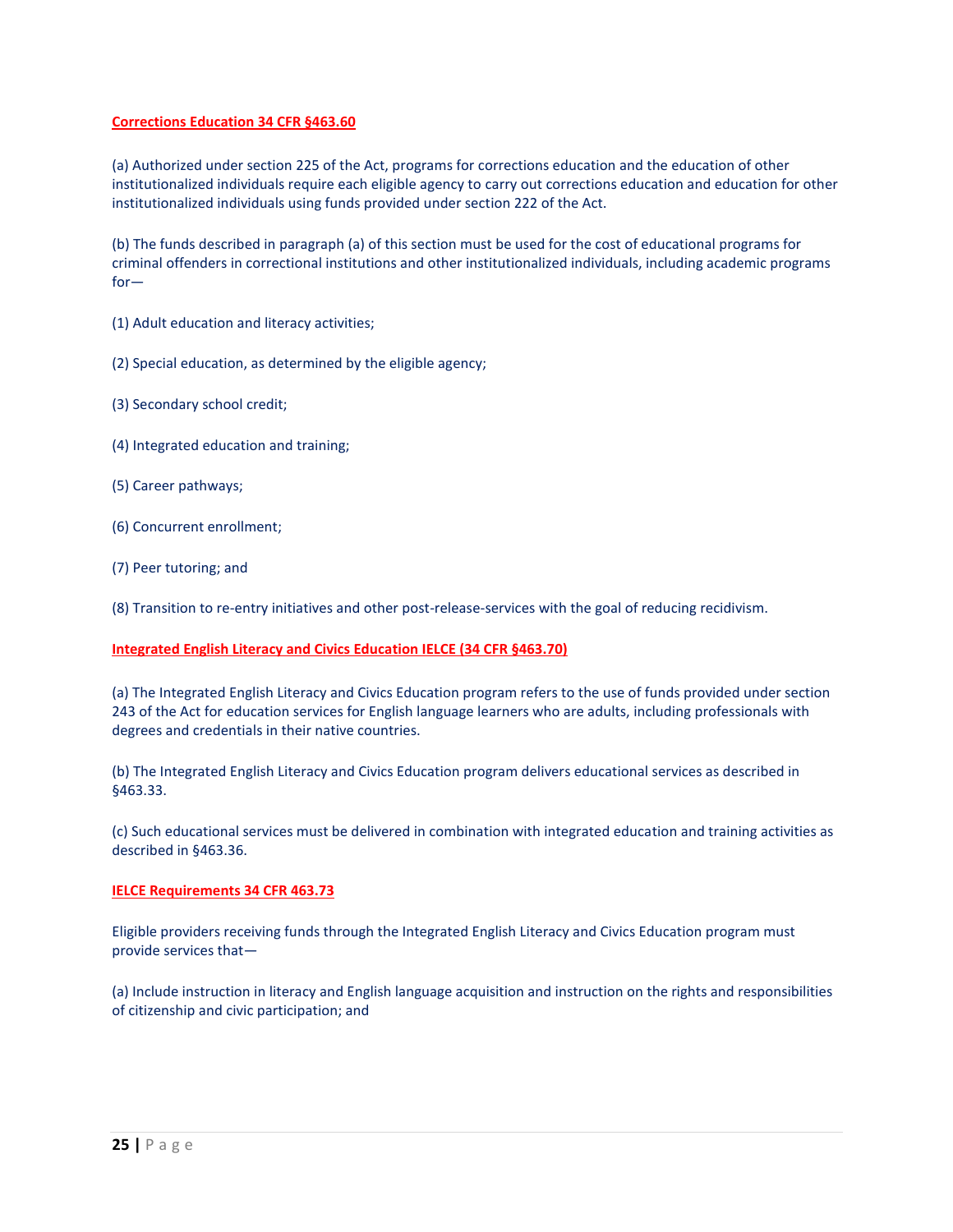# **Corrections Education 34 CFR §463.60**

(a) Authorized under section 225 of the Act, programs for corrections education and the education of other institutionalized individuals require each eligible agency to carry out corrections education and education for other institutionalized individuals using funds provided under section 222 of the Act.

(b) The funds described in paragraph (a) of this section must be used for the cost of educational programs for criminal offenders in correctional institutions and other institutionalized individuals, including academic programs for—

- (1) Adult education and literacy activities;
- (2) Special education, as determined by the eligible agency;
- (3) Secondary school credit;
- (4) Integrated education and training;
- (5) Career pathways;
- (6) Concurrent enrollment;
- (7) Peer tutoring; and

(8) Transition to re-entry initiatives and other post-release-services with the goal of reducing recidivism.

## **Integrated English Literacy and Civics Education IELCE (34 CFR §463.70)**

(a) The Integrated English Literacy and Civics Education program refers to the use of funds provided under section 243 of the Act for education services for English language learners who are adults, including professionals with degrees and credentials in their native countries.

(b) The Integrated English Literacy and Civics Education program delivers educational services as described in §463.33.

(c) Such educational services must be delivered in combination with integrated education and training activities as described in §463.36.

## **IELCE Requirements 34 CFR 463.73**

Eligible providers receiving funds through the Integrated English Literacy and Civics Education program must provide services that—

(a) Include instruction in literacy and English language acquisition and instruction on the rights and responsibilities of citizenship and civic participation; and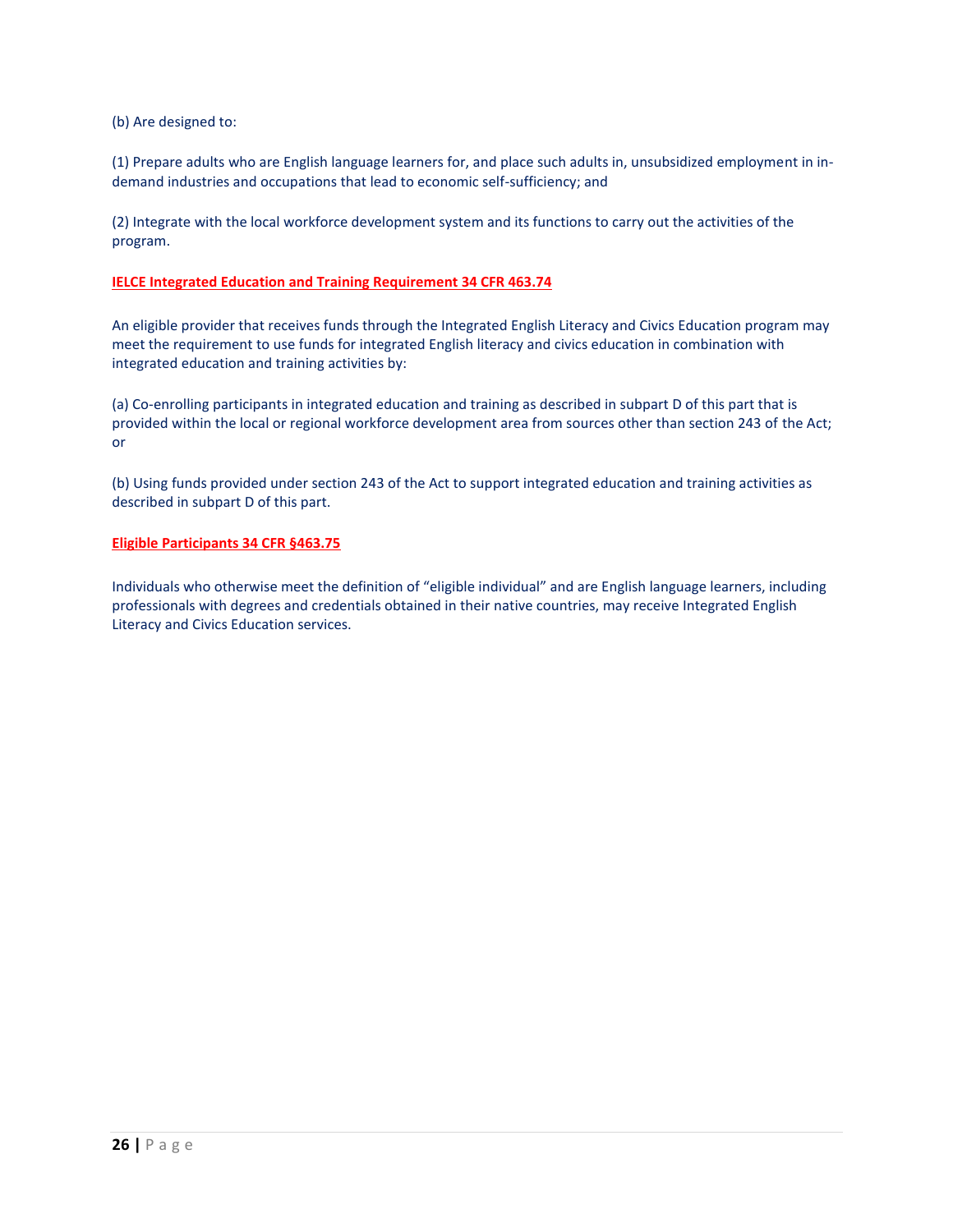# (b) Are designed to:

(1) Prepare adults who are English language learners for, and place such adults in, unsubsidized employment in indemand industries and occupations that lead to economic self-sufficiency; and

(2) Integrate with the local workforce development system and its functions to carry out the activities of the program.

# **IELCE Integrated Education and Training Requirement 34 CFR 463.74**

An eligible provider that receives funds through the Integrated English Literacy and Civics Education program may meet the requirement to use funds for integrated English literacy and civics education in combination with integrated education and training activities by:

(a) Co-enrolling participants in integrated education and training as described in subpart D of this part that is provided within the local or regional workforce development area from sources other than section 243 of the Act; or

(b) Using funds provided under section 243 of the Act to support integrated education and training activities as described in subpart D of this part.

#### **Eligible Participants 34 CFR §463.75**

Individuals who otherwise meet the definition of "eligible individual" and are English language learners, including professionals with degrees and credentials obtained in their native countries, may receive Integrated English Literacy and Civics Education services.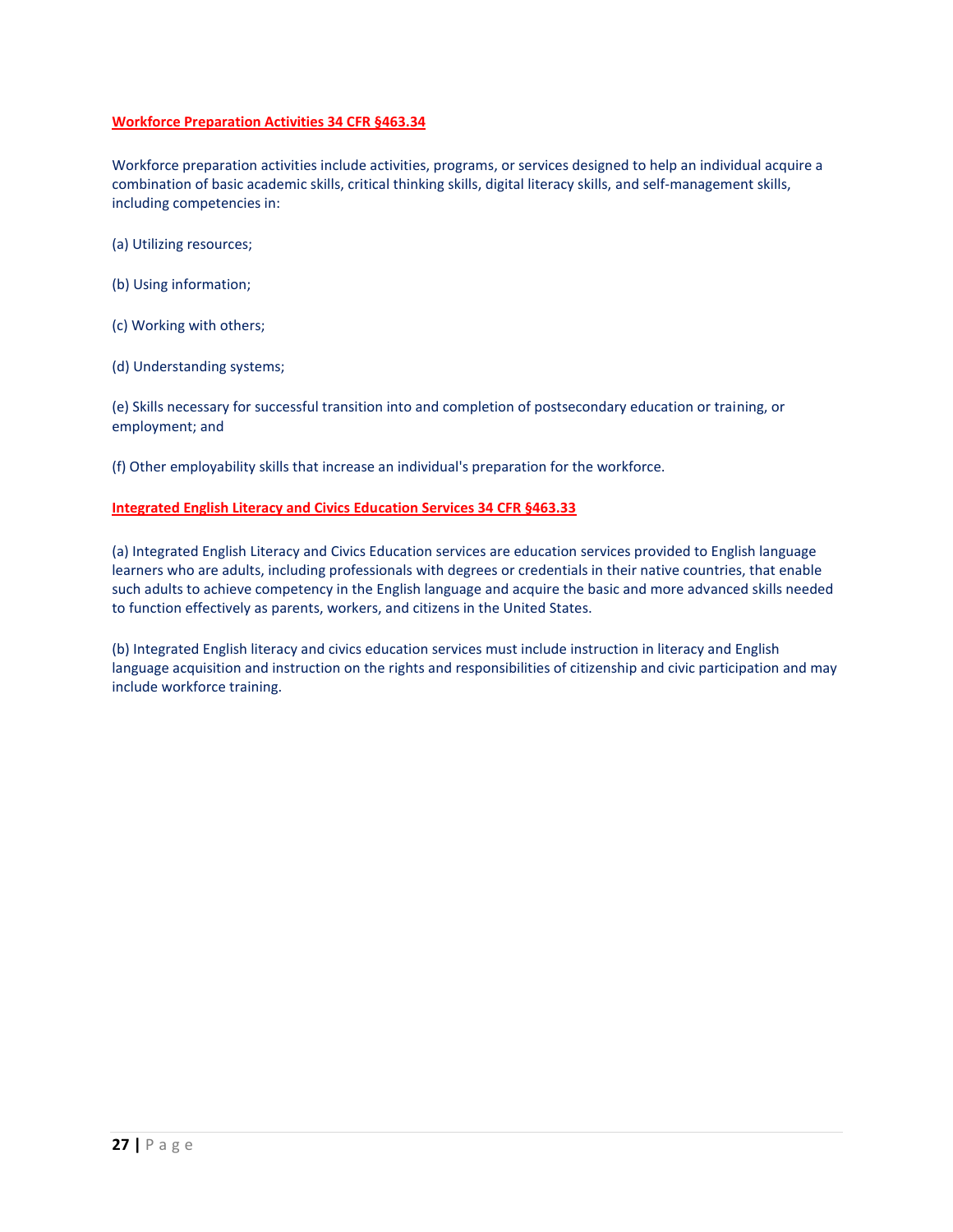# **Workforce Preparation Activities 34 CFR §463.34**

Workforce preparation activities include activities, programs, or services designed to help an individual acquire a combination of basic academic skills, critical thinking skills, digital literacy skills, and self-management skills, including competencies in:

- (a) Utilizing resources;
- (b) Using information;
- (c) Working with others;
- (d) Understanding systems;

(e) Skills necessary for successful transition into and completion of postsecondary education or training, or employment; and

(f) Other employability skills that increase an individual's preparation for the workforce.

# **Integrated English Literacy and Civics Education Services 34 CFR §463.33**

(a) Integrated English Literacy and Civics Education services are education services provided to English language learners who are adults, including professionals with degrees or credentials in their native countries, that enable such adults to achieve competency in the English language and acquire the basic and more advanced skills needed to function effectively as parents, workers, and citizens in the United States.

(b) Integrated English literacy and civics education services must include instruction in literacy and English language acquisition and instruction on the rights and responsibilities of citizenship and civic participation and may include workforce training.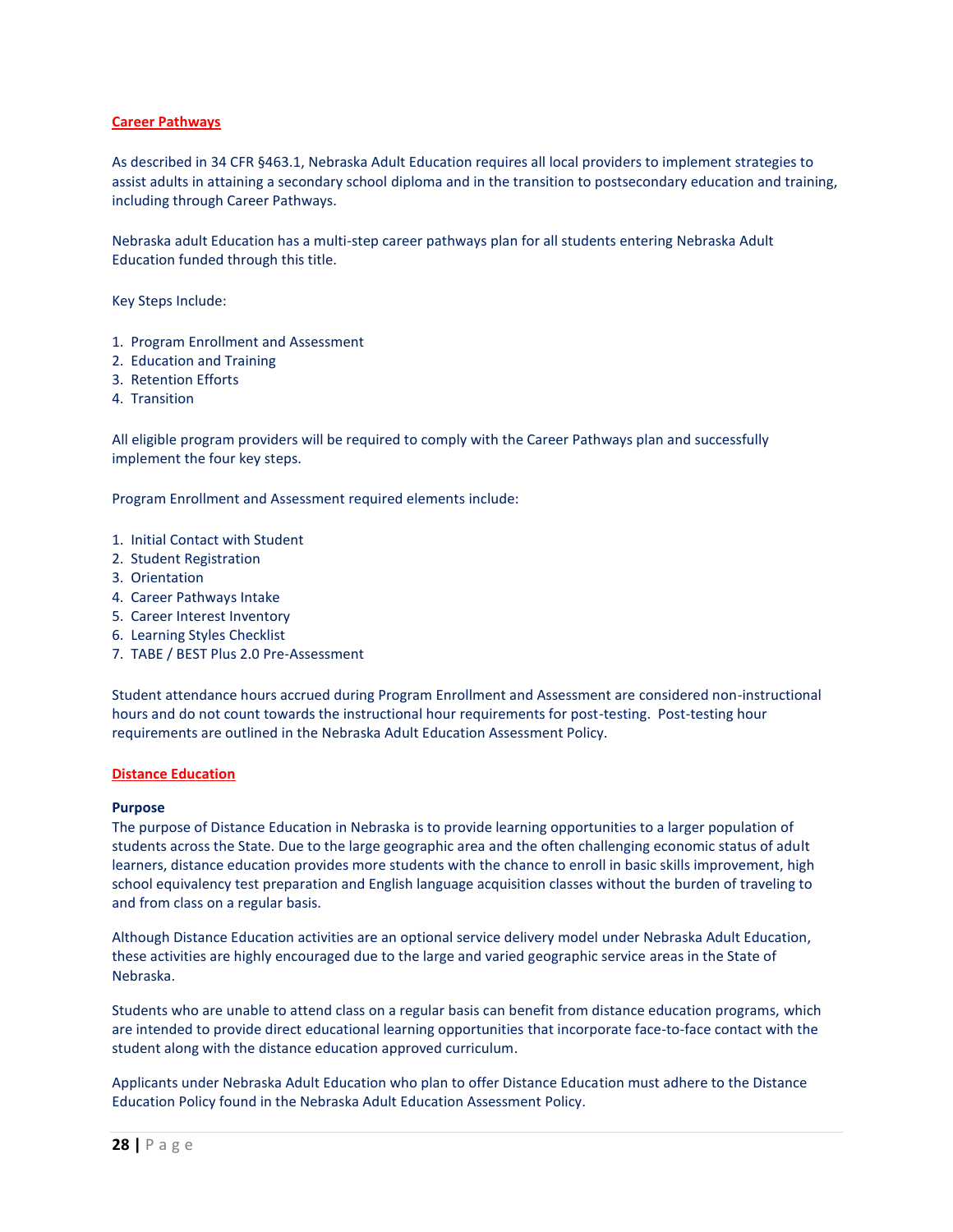#### **Career Pathways**

As described in 34 CFR §463.1, Nebraska Adult Education requires all local providers to implement strategies to assist adults in attaining a secondary school diploma and in the transition to postsecondary education and training, including through Career Pathways.

Nebraska adult Education has a multi-step career pathways plan for all students entering Nebraska Adult Education funded through this title.

Key Steps Include:

- 1. Program Enrollment and Assessment
- 2. Education and Training
- 3. Retention Efforts
- 4. Transition

All eligible program providers will be required to comply with the Career Pathways plan and successfully implement the four key steps.

Program Enrollment and Assessment required elements include:

- 1. Initial Contact with Student
- 2. Student Registration
- 3. Orientation
- 4. Career Pathways Intake
- 5. Career Interest Inventory
- 6. Learning Styles Checklist
- 7. TABE / BEST Plus 2.0 Pre-Assessment

Student attendance hours accrued during Program Enrollment and Assessment are considered non-instructional hours and do not count towards the instructional hour requirements for post-testing. Post-testing hour requirements are outlined in the Nebraska Adult Education Assessment Policy.

#### **Distance Education**

#### **Purpose**

The purpose of Distance Education in Nebraska is to provide learning opportunities to a larger population of students across the State. Due to the large geographic area and the often challenging economic status of adult learners, distance education provides more students with the chance to enroll in basic skills improvement, high school equivalency test preparation and English language acquisition classes without the burden of traveling to and from class on a regular basis.

Although Distance Education activities are an optional service delivery model under Nebraska Adult Education, these activities are highly encouraged due to the large and varied geographic service areas in the State of Nebraska.

Students who are unable to attend class on a regular basis can benefit from distance education programs, which are intended to provide direct educational learning opportunities that incorporate face-to-face contact with the student along with the distance education approved curriculum.

Applicants under Nebraska Adult Education who plan to offer Distance Education must adhere to the Distance Education Policy found in the Nebraska Adult Education Assessment Policy.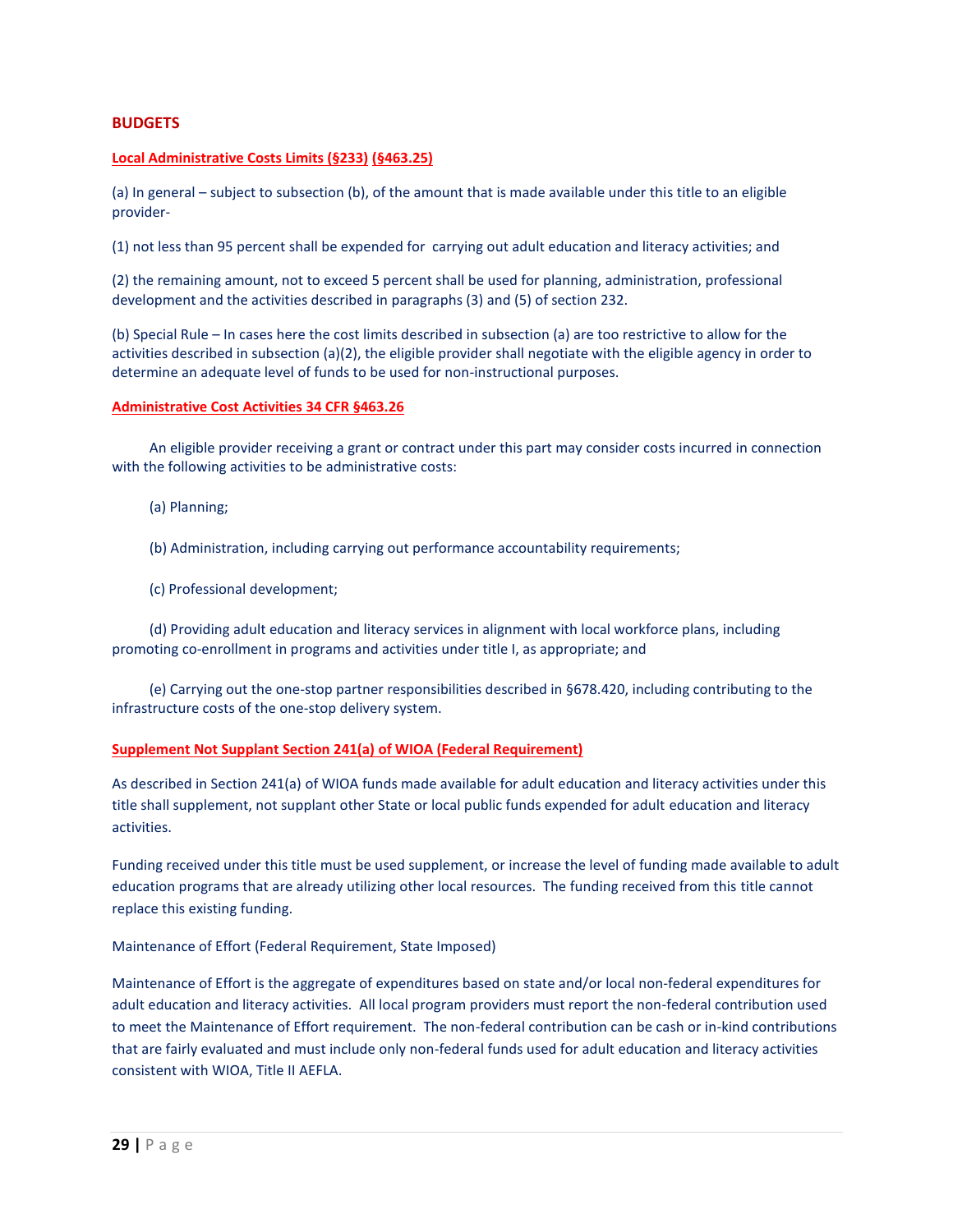# **BUDGETS**

# **Local Administrative Costs Limits (§233) (§463.25)**

(a) In general – subject to subsection (b), of the amount that is made available under this title to an eligible provider-

(1) not less than 95 percent shall be expended for carrying out adult education and literacy activities; and

(2) the remaining amount, not to exceed 5 percent shall be used for planning, administration, professional development and the activities described in paragraphs (3) and (5) of section 232.

(b) Special Rule – In cases here the cost limits described in subsection (a) are too restrictive to allow for the activities described in subsection (a)(2), the eligible provider shall negotiate with the eligible agency in order to determine an adequate level of funds to be used for non-instructional purposes.

## **Administrative Cost Activities 34 CFR §463.26**

An eligible provider receiving a grant or contract under this part may consider costs incurred in connection with the following activities to be administrative costs:

- (a) Planning;
- (b) Administration, including carrying out performance accountability requirements;
- (c) Professional development;

(d) Providing adult education and literacy services in alignment with local workforce plans, including promoting co-enrollment in programs and activities under title I, as appropriate; and

(e) Carrying out the one-stop partner responsibilities described in §678.420, including contributing to the infrastructure costs of the one-stop delivery system.

## **Supplement Not Supplant Section 241(a) of WIOA (Federal Requirement)**

As described in Section 241(a) of WIOA funds made available for adult education and literacy activities under this title shall supplement, not supplant other State or local public funds expended for adult education and literacy activities.

Funding received under this title must be used supplement, or increase the level of funding made available to adult education programs that are already utilizing other local resources. The funding received from this title cannot replace this existing funding.

Maintenance of Effort (Federal Requirement, State Imposed)

Maintenance of Effort is the aggregate of expenditures based on state and/or local non-federal expenditures for adult education and literacy activities. All local program providers must report the non-federal contribution used to meet the Maintenance of Effort requirement. The non-federal contribution can be cash or in-kind contributions that are fairly evaluated and must include only non-federal funds used for adult education and literacy activities consistent with WIOA, Title II AEFLA.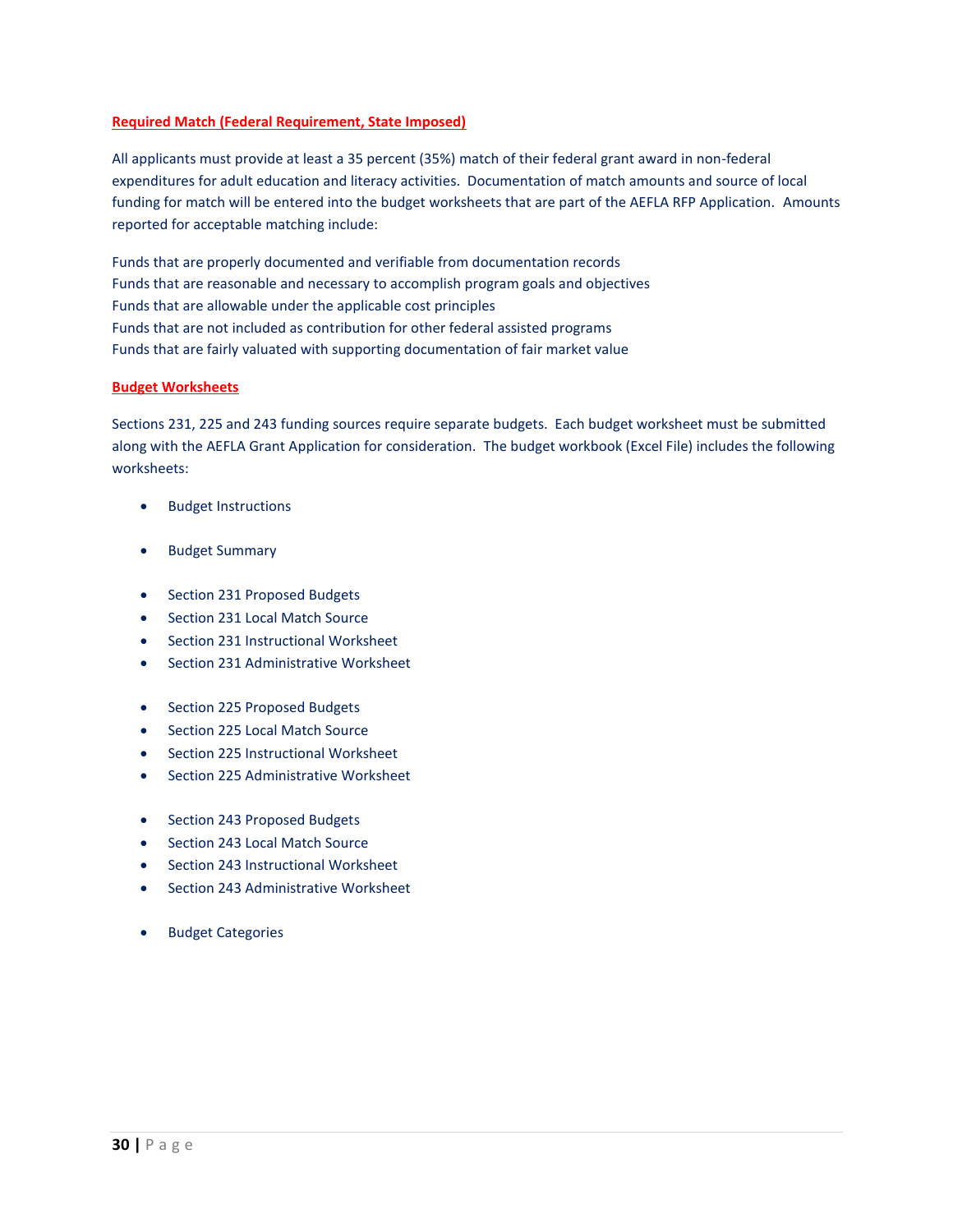# **Required Match (Federal Requirement, State Imposed)**

All applicants must provide at least a 35 percent (35%) match of their federal grant award in non-federal expenditures for adult education and literacy activities. Documentation of match amounts and source of local funding for match will be entered into the budget worksheets that are part of the AEFLA RFP Application. Amounts reported for acceptable matching include:

Funds that are properly documented and verifiable from documentation records Funds that are reasonable and necessary to accomplish program goals and objectives Funds that are allowable under the applicable cost principles Funds that are not included as contribution for other federal assisted programs Funds that are fairly valuated with supporting documentation of fair market value

## **Budget Worksheets**

Sections 231, 225 and 243 funding sources require separate budgets. Each budget worksheet must be submitted along with the AEFLA Grant Application for consideration. The budget workbook (Excel File) includes the following worksheets:

- Budget Instructions
- **•** Budget Summary
- Section 231 Proposed Budgets
- Section 231 Local Match Source
- Section 231 Instructional Worksheet
- Section 231 Administrative Worksheet
- Section 225 Proposed Budgets
- Section 225 Local Match Source
- Section 225 Instructional Worksheet
- Section 225 Administrative Worksheet
- Section 243 Proposed Budgets
- Section 243 Local Match Source
- Section 243 Instructional Worksheet
- Section 243 Administrative Worksheet
- **•** Budget Categories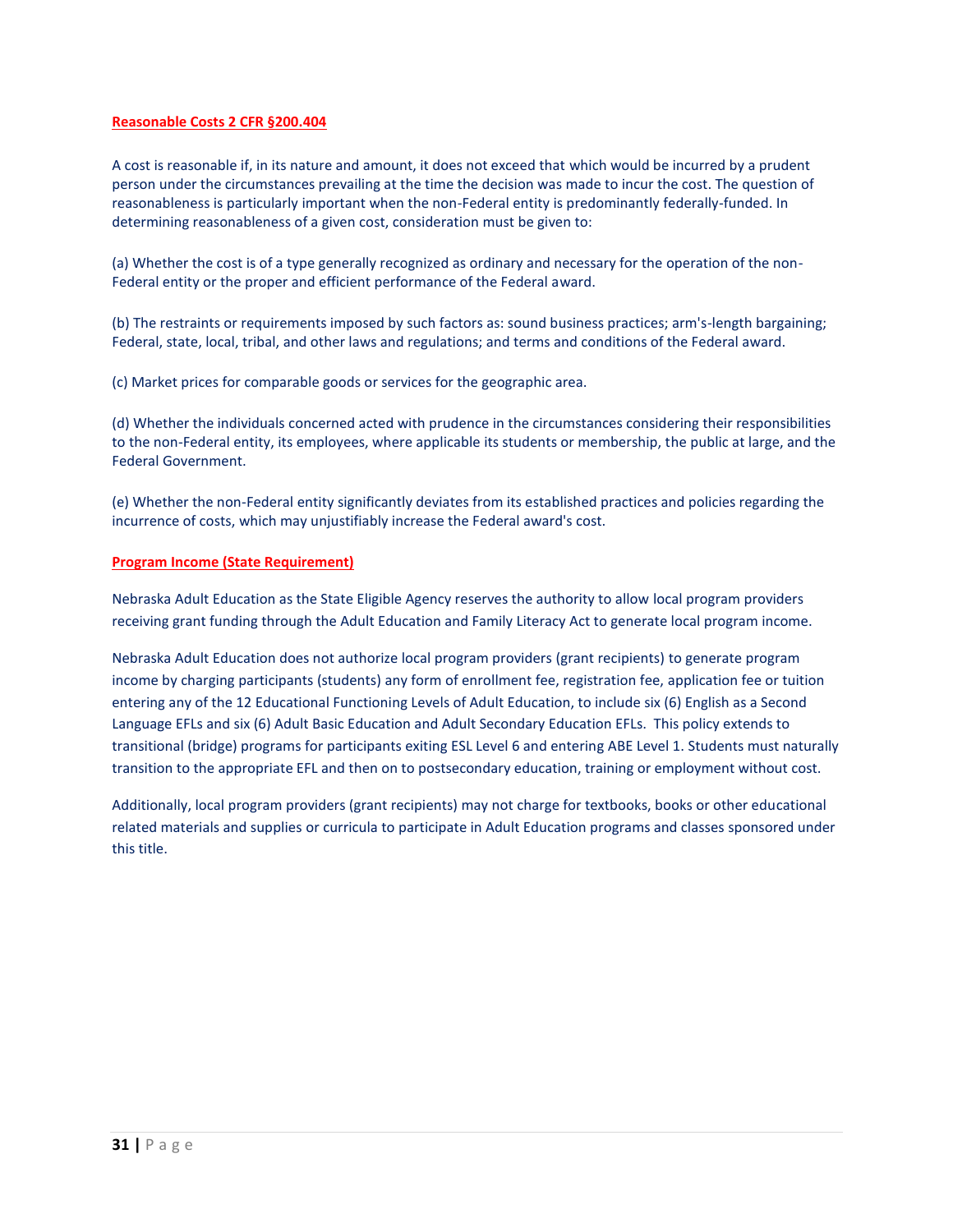# **Reasonable Costs 2 CFR §200.404**

A cost is reasonable if, in its nature and amount, it does not exceed that which would be incurred by a prudent person under the circumstances prevailing at the time the decision was made to incur the cost. The question of reasonableness is particularly important when the non-Federal entity is predominantly federally-funded. In determining reasonableness of a given cost, consideration must be given to:

(a) Whether the cost is of a type generally recognized as ordinary and necessary for the operation of the non-Federal entity or the proper and efficient performance of the Federal award.

(b) The restraints or requirements imposed by such factors as: sound business practices; arm's-length bargaining; Federal, state, local, tribal, and other laws and regulations; and terms and conditions of the Federal award.

(c) Market prices for comparable goods or services for the geographic area.

(d) Whether the individuals concerned acted with prudence in the circumstances considering their responsibilities to the non-Federal entity, its employees, where applicable its students or membership, the public at large, and the Federal Government.

(e) Whether the non-Federal entity significantly deviates from its established practices and policies regarding the incurrence of costs, which may unjustifiably increase the Federal award's cost.

# **Program Income (State Requirement)**

Nebraska Adult Education as the State Eligible Agency reserves the authority to allow local program providers receiving grant funding through the Adult Education and Family Literacy Act to generate local program income.

Nebraska Adult Education does not authorize local program providers (grant recipients) to generate program income by charging participants (students) any form of enrollment fee, registration fee, application fee or tuition entering any of the 12 Educational Functioning Levels of Adult Education, to include six (6) English as a Second Language EFLs and six (6) Adult Basic Education and Adult Secondary Education EFLs. This policy extends to transitional (bridge) programs for participants exiting ESL Level 6 and entering ABE Level 1. Students must naturally transition to the appropriate EFL and then on to postsecondary education, training or employment without cost.

Additionally, local program providers (grant recipients) may not charge for textbooks, books or other educational related materials and supplies or curricula to participate in Adult Education programs and classes sponsored under this title.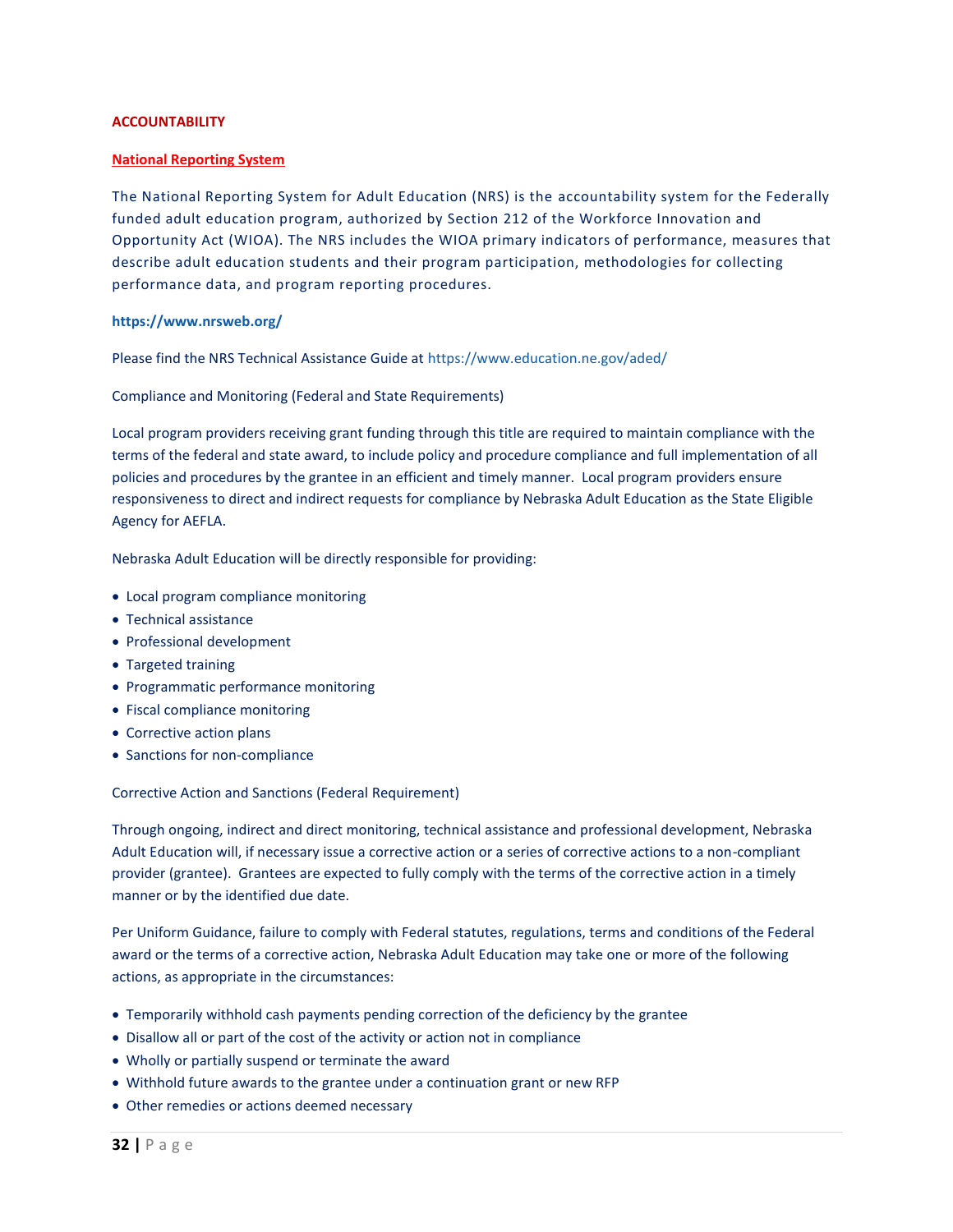# **ACCOUNTABILITY**

# **National Reporting System**

The National Reporting System for Adult Education (NRS) is the accountability system for the Federally funded adult education program, authorized by Section 212 of the Workforce Innovation and Opportunity Act (WIOA). The NRS includes the WIOA primary indicators of performance, measures that describe adult education students and their program participation, methodologies for collecting performance data, and program reporting procedures.

# **<https://www.nrsweb.org/>**

Please find the NRS Technical Assistance Guide at <https://www.education.ne.gov/aded/>

Compliance and Monitoring (Federal and State Requirements)

Local program providers receiving grant funding through this title are required to maintain compliance with the terms of the federal and state award, to include policy and procedure compliance and full implementation of all policies and procedures by the grantee in an efficient and timely manner. Local program providers ensure responsiveness to direct and indirect requests for compliance by Nebraska Adult Education as the State Eligible Agency for AEFLA.

Nebraska Adult Education will be directly responsible for providing:

- Local program compliance monitoring
- Technical assistance
- Professional development
- Targeted training
- Programmatic performance monitoring
- Fiscal compliance monitoring
- Corrective action plans
- Sanctions for non-compliance

Corrective Action and Sanctions (Federal Requirement)

Through ongoing, indirect and direct monitoring, technical assistance and professional development, Nebraska Adult Education will, if necessary issue a corrective action or a series of corrective actions to a non-compliant provider (grantee). Grantees are expected to fully comply with the terms of the corrective action in a timely manner or by the identified due date.

Per Uniform Guidance, failure to comply with Federal statutes, regulations, terms and conditions of the Federal award or the terms of a corrective action, Nebraska Adult Education may take one or more of the following actions, as appropriate in the circumstances:

- Temporarily withhold cash payments pending correction of the deficiency by the grantee
- Disallow all or part of the cost of the activity or action not in compliance
- Wholly or partially suspend or terminate the award
- Withhold future awards to the grantee under a continuation grant or new RFP
- Other remedies or actions deemed necessary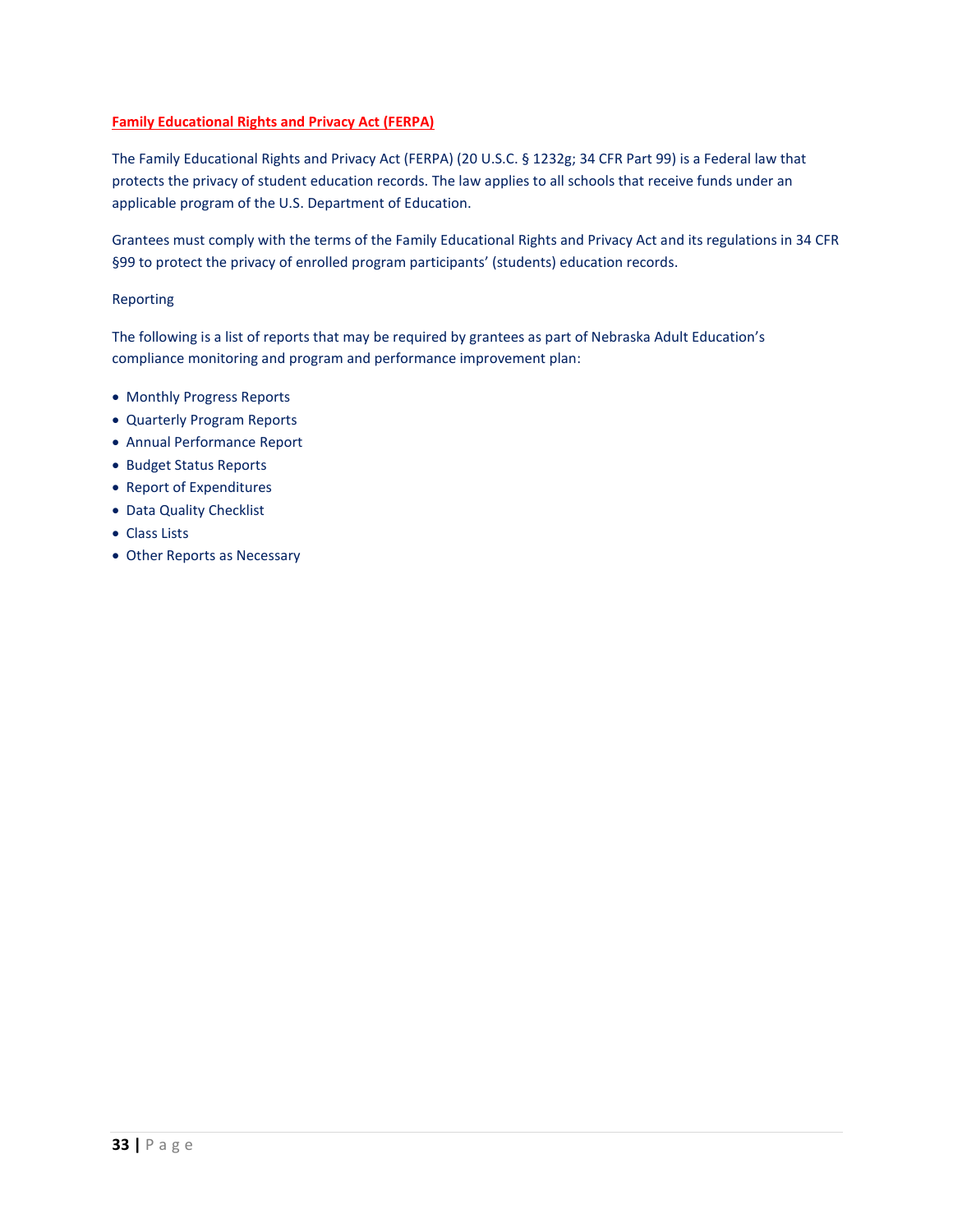# **Family Educational Rights and Privacy Act (FERPA)**

The Family Educational Rights and Privacy Act (FERPA) (20 U.S.C. § 1232g; 34 CFR Part 99) is a Federal law that protects the privacy of student education records. The law applies to all schools that receive funds under an applicable program of the U.S. Department of Education.

Grantees must comply with the terms of the Family Educational Rights and Privacy Act and its regulations in 34 CFR §99 to protect the privacy of enrolled program participants' (students) education records.

# Reporting

The following is a list of reports that may be required by grantees as part of Nebraska Adult Education's compliance monitoring and program and performance improvement plan:

- Monthly Progress Reports
- Quarterly Program Reports
- Annual Performance Report
- Budget Status Reports
- Report of Expenditures
- Data Quality Checklist
- Class Lists
- Other Reports as Necessary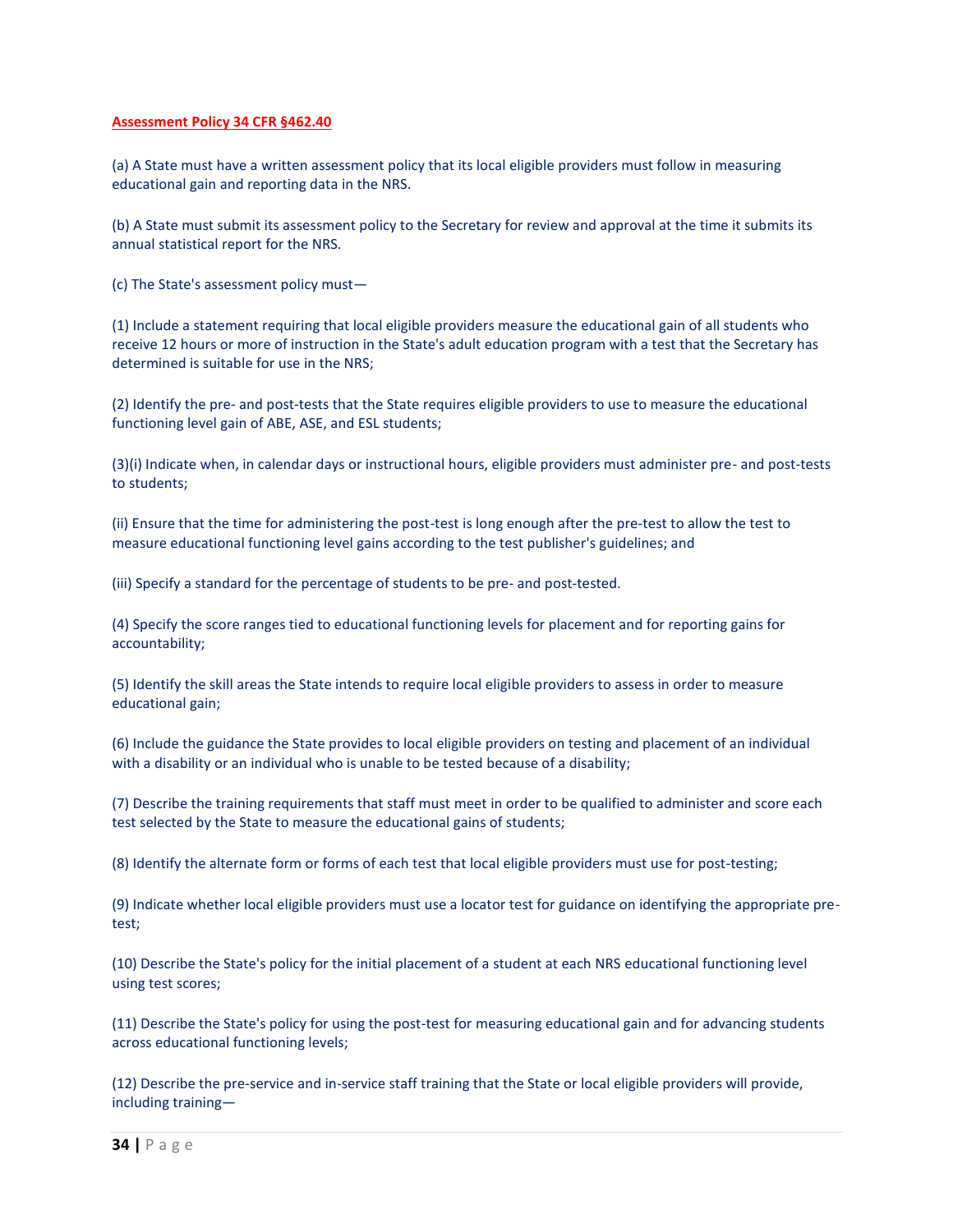## **Assessment Policy 34 CFR §462.40**

(a) A State must have a written assessment policy that its local eligible providers must follow in measuring educational gain and reporting data in the NRS.

(b) A State must submit its assessment policy to the Secretary for review and approval at the time it submits its annual statistical report for the NRS.

(c) The State's assessment policy must—

(1) Include a statement requiring that local eligible providers measure the educational gain of all students who receive 12 hours or more of instruction in the State's adult education program with a test that the Secretary has determined is suitable for use in the NRS;

(2) Identify the pre- and post-tests that the State requires eligible providers to use to measure the educational functioning level gain of ABE, ASE, and ESL students;

(3)(i) Indicate when, in calendar days or instructional hours, eligible providers must administer pre- and post-tests to students;

(ii) Ensure that the time for administering the post-test is long enough after the pre-test to allow the test to measure educational functioning level gains according to the test publisher's guidelines; and

(iii) Specify a standard for the percentage of students to be pre- and post-tested.

(4) Specify the score ranges tied to educational functioning levels for placement and for reporting gains for accountability;

(5) Identify the skill areas the State intends to require local eligible providers to assess in order to measure educational gain;

(6) Include the guidance the State provides to local eligible providers on testing and placement of an individual with a disability or an individual who is unable to be tested because of a disability;

(7) Describe the training requirements that staff must meet in order to be qualified to administer and score each test selected by the State to measure the educational gains of students;

(8) Identify the alternate form or forms of each test that local eligible providers must use for post-testing;

(9) Indicate whether local eligible providers must use a locator test for guidance on identifying the appropriate pretest;

(10) Describe the State's policy for the initial placement of a student at each NRS educational functioning level using test scores;

(11) Describe the State's policy for using the post-test for measuring educational gain and for advancing students across educational functioning levels;

(12) Describe the pre-service and in-service staff training that the State or local eligible providers will provide, including training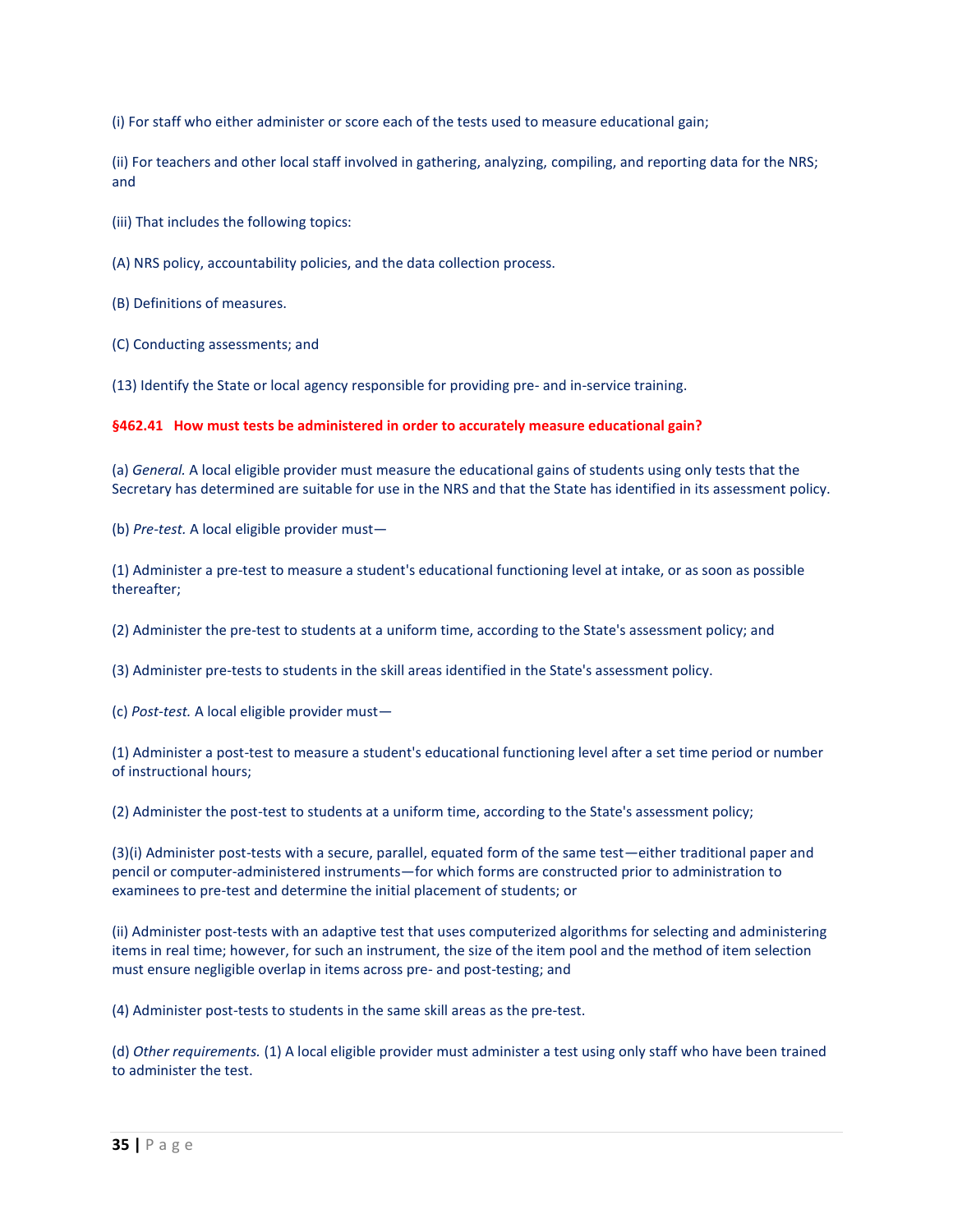(i) For staff who either administer or score each of the tests used to measure educational gain;

(ii) For teachers and other local staff involved in gathering, analyzing, compiling, and reporting data for the NRS; and

(iii) That includes the following topics:

(A) NRS policy, accountability policies, and the data collection process.

(B) Definitions of measures.

(C) Conducting assessments; and

(13) Identify the State or local agency responsible for providing pre- and in-service training.

# **§462.41 How must tests be administered in order to accurately measure educational gain?**

(a) *General.* A local eligible provider must measure the educational gains of students using only tests that the Secretary has determined are suitable for use in the NRS and that the State has identified in its assessment policy.

(b) *Pre-test.* A local eligible provider must—

(1) Administer a pre-test to measure a student's educational functioning level at intake, or as soon as possible thereafter;

(2) Administer the pre-test to students at a uniform time, according to the State's assessment policy; and

(3) Administer pre-tests to students in the skill areas identified in the State's assessment policy.

(c) *Post-test.* A local eligible provider must—

(1) Administer a post-test to measure a student's educational functioning level after a set time period or number of instructional hours;

(2) Administer the post-test to students at a uniform time, according to the State's assessment policy;

(3)(i) Administer post-tests with a secure, parallel, equated form of the same test—either traditional paper and pencil or computer-administered instruments—for which forms are constructed prior to administration to examinees to pre-test and determine the initial placement of students; or

(ii) Administer post-tests with an adaptive test that uses computerized algorithms for selecting and administering items in real time; however, for such an instrument, the size of the item pool and the method of item selection must ensure negligible overlap in items across pre- and post-testing; and

(4) Administer post-tests to students in the same skill areas as the pre-test.

(d) *Other requirements.* (1) A local eligible provider must administer a test using only staff who have been trained to administer the test.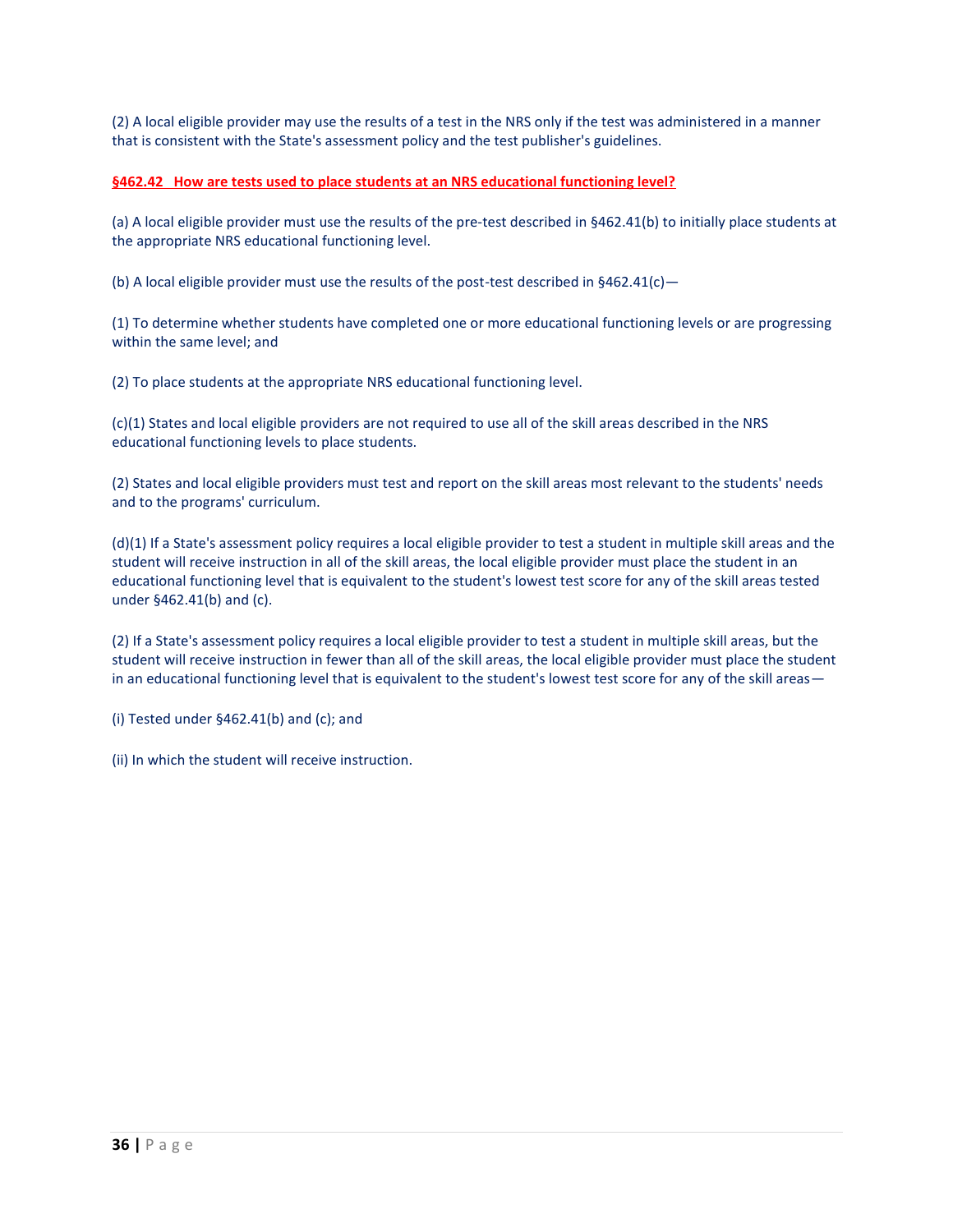(2) A local eligible provider may use the results of a test in the NRS only if the test was administered in a manner that is consistent with the State's assessment policy and the test publisher's guidelines.

# **§462.42 How are tests used to place students at an NRS educational functioning level?**

(a) A local eligible provider must use the results of the pre-test described in §462.41(b) to initially place students at the appropriate NRS educational functioning level.

(b) A local eligible provider must use the results of the post-test described in  $§462.41(c)$  -

(1) To determine whether students have completed one or more educational functioning levels or are progressing within the same level; and

(2) To place students at the appropriate NRS educational functioning level.

(c)(1) States and local eligible providers are not required to use all of the skill areas described in the NRS educational functioning levels to place students.

(2) States and local eligible providers must test and report on the skill areas most relevant to the students' needs and to the programs' curriculum.

(d)(1) If a State's assessment policy requires a local eligible provider to test a student in multiple skill areas and the student will receive instruction in all of the skill areas, the local eligible provider must place the student in an educational functioning level that is equivalent to the student's lowest test score for any of the skill areas tested under §462.41(b) and (c).

(2) If a State's assessment policy requires a local eligible provider to test a student in multiple skill areas, but the student will receive instruction in fewer than all of the skill areas, the local eligible provider must place the student in an educational functioning level that is equivalent to the student's lowest test score for any of the skill areas—

(i) Tested under §462.41(b) and (c); and

(ii) In which the student will receive instruction.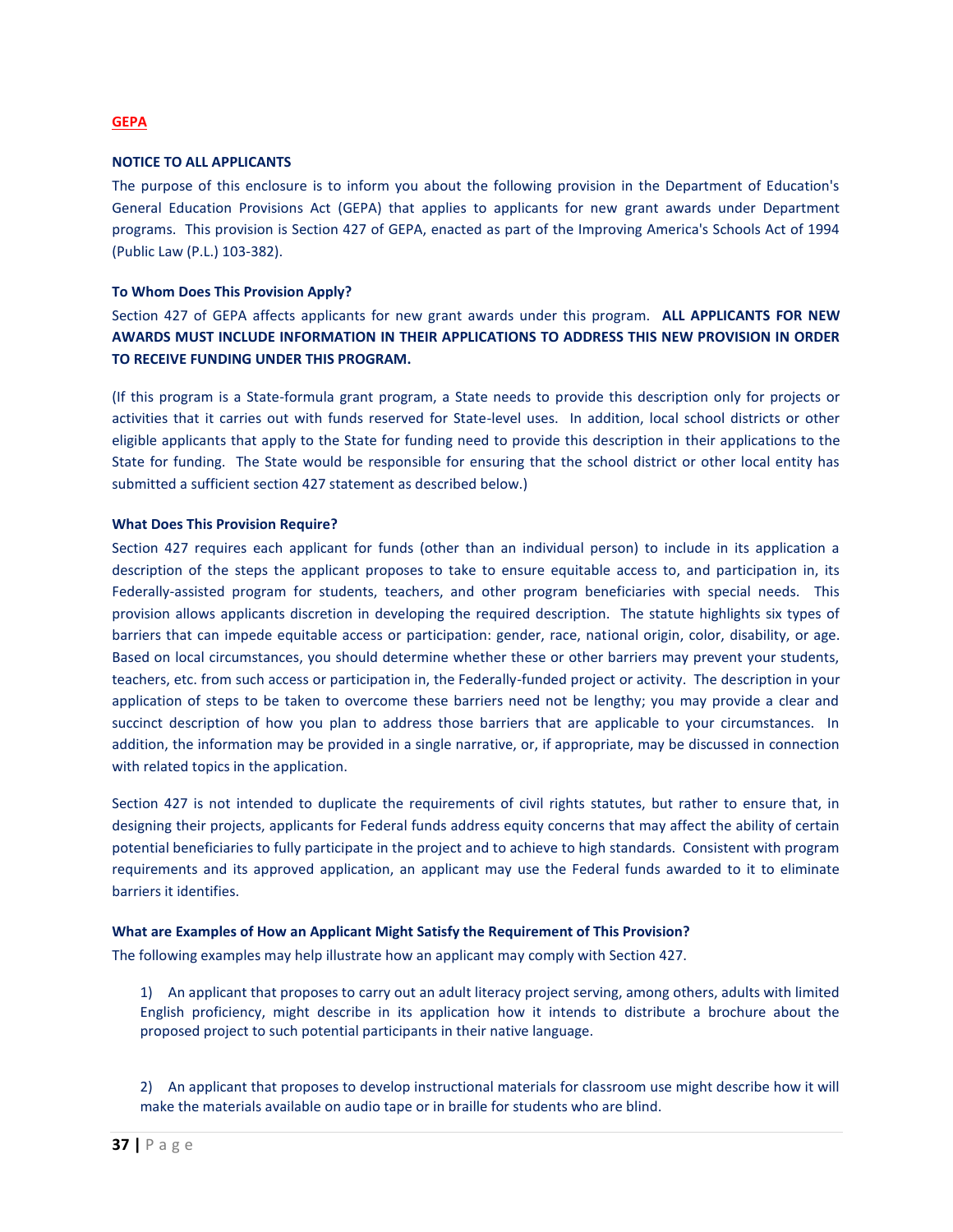#### **GEPA**

# **NOTICE TO ALL APPLICANTS**

The purpose of this enclosure is to inform you about the following provision in the Department of Education's General Education Provisions Act (GEPA) that applies to applicants for new grant awards under Department programs. This provision is Section 427 of GEPA, enacted as part of the Improving America's Schools Act of 1994 (Public Law (P.L.) 103-382).

## **To Whom Does This Provision Apply?**

Section 427 of GEPA affects applicants for new grant awards under this program. **ALL APPLICANTS FOR NEW AWARDS MUST INCLUDE INFORMATION IN THEIR APPLICATIONS TO ADDRESS THIS NEW PROVISION IN ORDER TO RECEIVE FUNDING UNDER THIS PROGRAM.**

(If this program is a State-formula grant program, a State needs to provide this description only for projects or activities that it carries out with funds reserved for State-level uses. In addition, local school districts or other eligible applicants that apply to the State for funding need to provide this description in their applications to the State for funding. The State would be responsible for ensuring that the school district or other local entity has submitted a sufficient section 427 statement as described below.)

#### **What Does This Provision Require?**

Section 427 requires each applicant for funds (other than an individual person) to include in its application a description of the steps the applicant proposes to take to ensure equitable access to, and participation in, its Federally-assisted program for students, teachers, and other program beneficiaries with special needs. This provision allows applicants discretion in developing the required description. The statute highlights six types of barriers that can impede equitable access or participation: gender, race, national origin, color, disability, or age. Based on local circumstances, you should determine whether these or other barriers may prevent your students, teachers, etc. from such access or participation in, the Federally-funded project or activity. The description in your application of steps to be taken to overcome these barriers need not be lengthy; you may provide a clear and succinct description of how you plan to address those barriers that are applicable to your circumstances. In addition, the information may be provided in a single narrative, or, if appropriate, may be discussed in connection with related topics in the application.

Section 427 is not intended to duplicate the requirements of civil rights statutes, but rather to ensure that, in designing their projects, applicants for Federal funds address equity concerns that may affect the ability of certain potential beneficiaries to fully participate in the project and to achieve to high standards. Consistent with program requirements and its approved application, an applicant may use the Federal funds awarded to it to eliminate barriers it identifies.

#### **What are Examples of How an Applicant Might Satisfy the Requirement of This Provision?**

The following examples may help illustrate how an applicant may comply with Section 427.

1) An applicant that proposes to carry out an adult literacy project serving, among others, adults with limited English proficiency, might describe in its application how it intends to distribute a brochure about the proposed project to such potential participants in their native language.

2) An applicant that proposes to develop instructional materials for classroom use might describe how it will make the materials available on audio tape or in braille for students who are blind.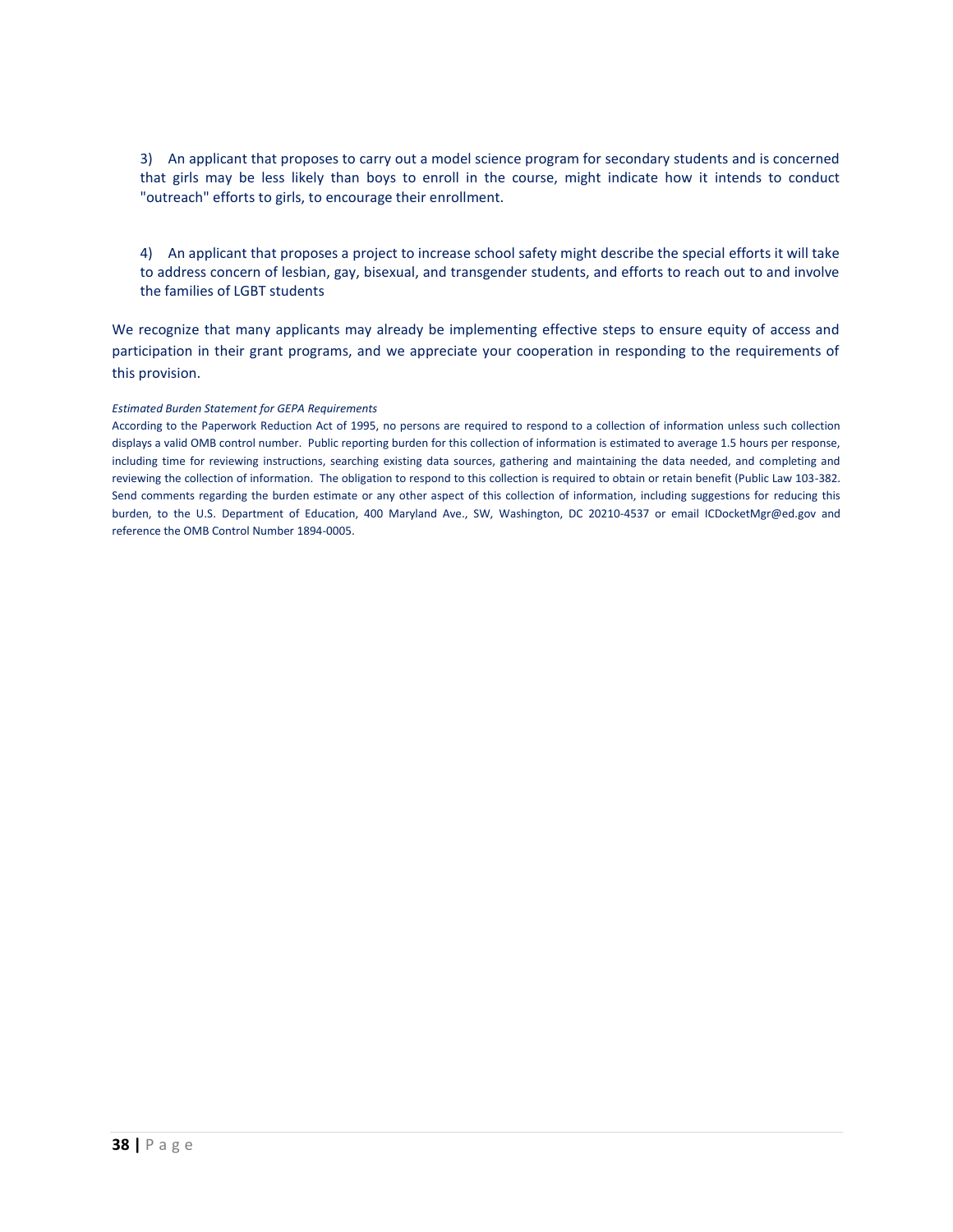3) An applicant that proposes to carry out a model science program for secondary students and is concerned that girls may be less likely than boys to enroll in the course, might indicate how it intends to conduct "outreach" efforts to girls, to encourage their enrollment.

4) An applicant that proposes a project to increase school safety might describe the special efforts it will take to address concern of lesbian, gay, bisexual, and transgender students, and efforts to reach out to and involve the families of LGBT students

We recognize that many applicants may already be implementing effective steps to ensure equity of access and participation in their grant programs, and we appreciate your cooperation in responding to the requirements of this provision.

#### *Estimated Burden Statement for GEPA Requirements*

According to the Paperwork Reduction Act of 1995, no persons are required to respond to a collection of information unless such collection displays a valid OMB control number. Public reporting burden for this collection of information is estimated to average 1.5 hours per response, including time for reviewing instructions, searching existing data sources, gathering and maintaining the data needed, and completing and reviewing the collection of information. The obligation to respond to this collection is required to obtain or retain benefit (Public Law 103-382. Send comments regarding the burden estimate or any other aspect of this collection of information, including suggestions for reducing this burden, to the U.S. Department of Education, 400 Maryland Ave., SW, Washington, DC 20210-4537 or email [ICDocketMgr@ed.gov](mailto:ICDocketMgr@ed.gov) and reference the OMB Control Number 1894-0005.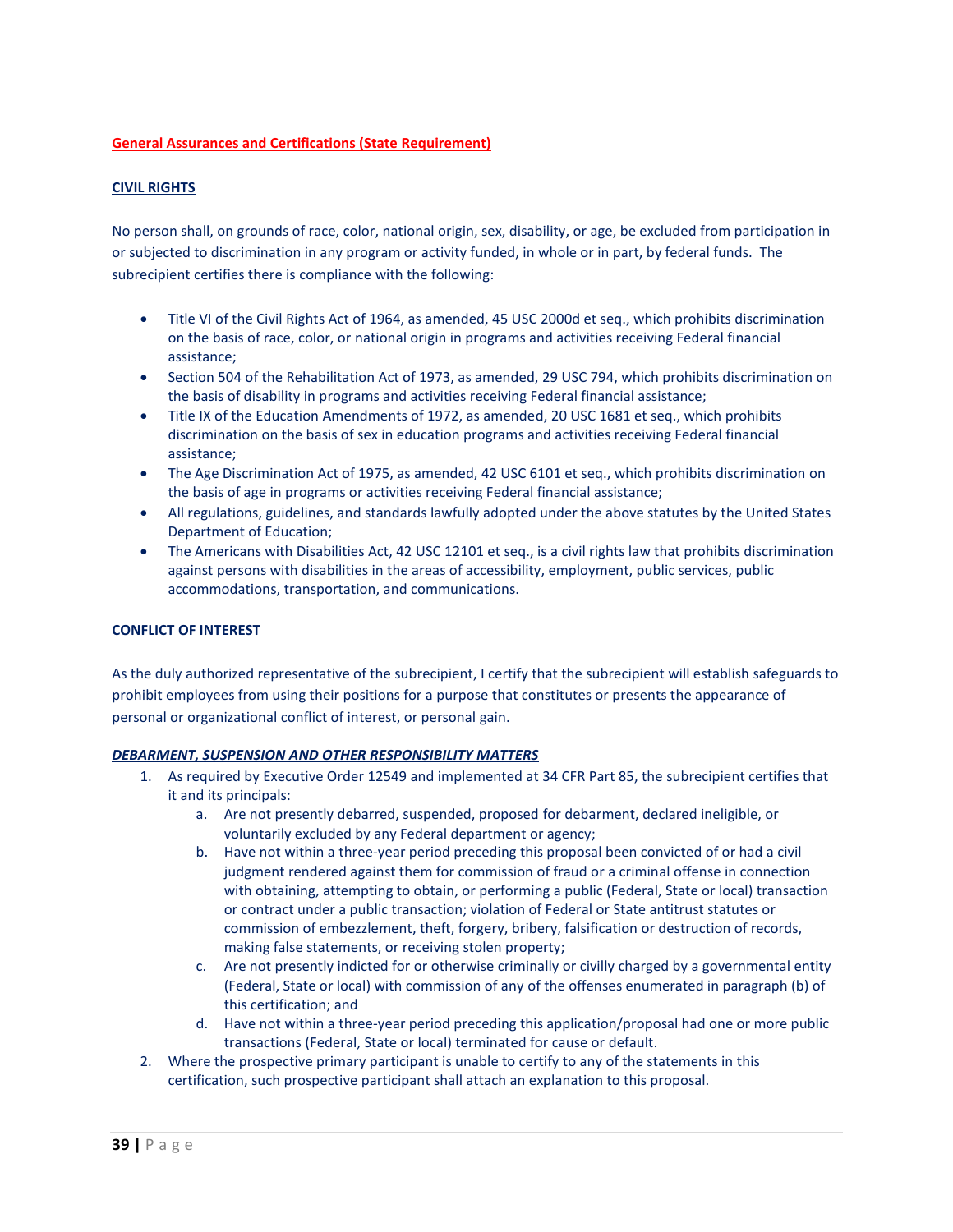# **General Assurances and Certifications (State Requirement)**

# **CIVIL RIGHTS**

No person shall, on grounds of race, color, national origin, sex, disability, or age, be excluded from participation in or subjected to discrimination in any program or activity funded, in whole or in part, by federal funds. The subrecipient certifies there is compliance with the following:

- Title VI of the Civil Rights Act of 1964, as amended, 45 USC 2000d et seq., which prohibits discrimination on the basis of race, color, or national origin in programs and activities receiving Federal financial assistance;
- Section 504 of the Rehabilitation Act of 1973, as amended, 29 USC 794, which prohibits discrimination on the basis of disability in programs and activities receiving Federal financial assistance;
- Title IX of the Education Amendments of 1972, as amended, 20 USC 1681 et seq., which prohibits discrimination on the basis of sex in education programs and activities receiving Federal financial assistance;
- The Age Discrimination Act of 1975, as amended, 42 USC 6101 et seq., which prohibits discrimination on the basis of age in programs or activities receiving Federal financial assistance;
- All regulations, guidelines, and standards lawfully adopted under the above statutes by the United States Department of Education;
- The Americans with Disabilities Act, 42 USC 12101 et seq., is a civil rights law that prohibits discrimination against persons with disabilities in the areas of accessibility, employment, public services, public accommodations, transportation, and communications.

# **CONFLICT OF INTEREST**

As the duly authorized representative of the subrecipient, I certify that the subrecipient will establish safeguards to prohibit employees from using their positions for a purpose that constitutes or presents the appearance of personal or organizational conflict of interest, or personal gain.

# *DEBARMENT, SUSPENSION AND OTHER RESPONSIBILITY MATTERS*

- 1. As required by Executive Order 12549 and implemented at 34 CFR Part 85, the subrecipient certifies that it and its principals:
	- a. Are not presently debarred, suspended, proposed for debarment, declared ineligible, or voluntarily excluded by any Federal department or agency;
	- b. Have not within a three-year period preceding this proposal been convicted of or had a civil judgment rendered against them for commission of fraud or a criminal offense in connection with obtaining, attempting to obtain, or performing a public (Federal, State or local) transaction or contract under a public transaction; violation of Federal or State antitrust statutes or commission of embezzlement, theft, forgery, bribery, falsification or destruction of records, making false statements, or receiving stolen property;
	- c. Are not presently indicted for or otherwise criminally or civilly charged by a governmental entity (Federal, State or local) with commission of any of the offenses enumerated in paragraph (b) of this certification; and
	- d. Have not within a three-year period preceding this application/proposal had one or more public transactions (Federal, State or local) terminated for cause or default.
- 2. Where the prospective primary participant is unable to certify to any of the statements in this certification, such prospective participant shall attach an explanation to this proposal.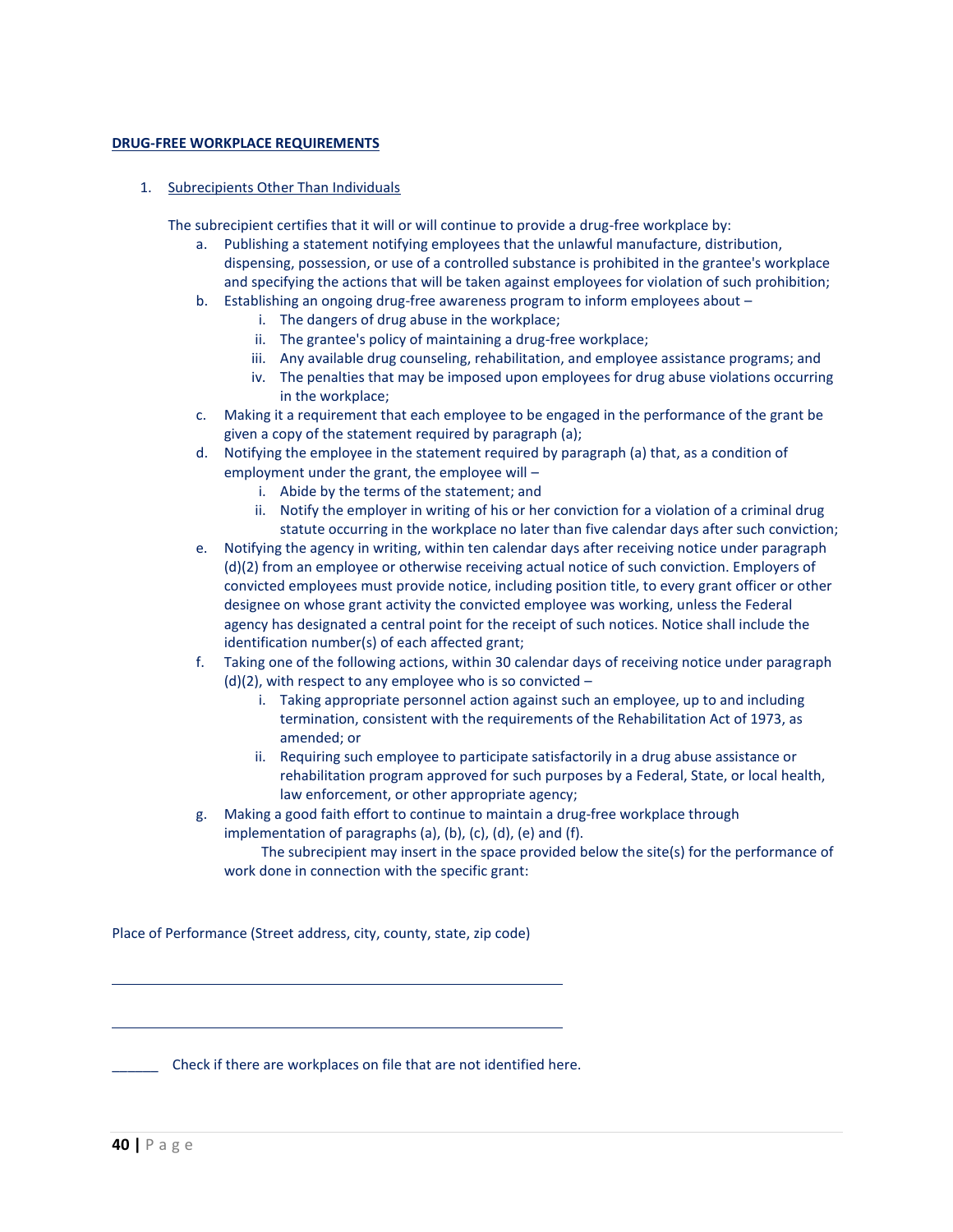# **DRUG-FREE WORKPLACE REQUIREMENTS**

# 1. Subrecipients Other Than Individuals

The subrecipient certifies that it will or will continue to provide a drug-free workplace by:

- a. Publishing a statement notifying employees that the unlawful manufacture, distribution, dispensing, possession, or use of a controlled substance is prohibited in the grantee's workplace and specifying the actions that will be taken against employees for violation of such prohibition;
- b. Establishing an ongoing drug-free awareness program to inform employees about
	- i. The dangers of drug abuse in the workplace;
	- ii. The grantee's policy of maintaining a drug-free workplace;
	- iii. Any available drug counseling, rehabilitation, and employee assistance programs; and
	- iv. The penalties that may be imposed upon employees for drug abuse violations occurring in the workplace;
- c. Making it a requirement that each employee to be engaged in the performance of the grant be given a copy of the statement required by paragraph (a);
- d. Notifying the employee in the statement required by paragraph (a) that, as a condition of employment under the grant, the employee will –
	- i. Abide by the terms of the statement; and
	- ii. Notify the employer in writing of his or her conviction for a violation of a criminal drug statute occurring in the workplace no later than five calendar days after such conviction;
- e. Notifying the agency in writing, within ten calendar days after receiving notice under paragraph (d)(2) from an employee or otherwise receiving actual notice of such conviction. Employers of convicted employees must provide notice, including position title, to every grant officer or other designee on whose grant activity the convicted employee was working, unless the Federal agency has designated a central point for the receipt of such notices. Notice shall include the identification number(s) of each affected grant;
- f. Taking one of the following actions, within 30 calendar days of receiving notice under paragraph  $(d)(2)$ , with respect to any employee who is so convicted  $$ 
	- i. Taking appropriate personnel action against such an employee, up to and including termination, consistent with the requirements of the Rehabilitation Act of 1973, as amended; or
	- ii. Requiring such employee to participate satisfactorily in a drug abuse assistance or rehabilitation program approved for such purposes by a Federal, State, or local health, law enforcement, or other appropriate agency;
- g. Making a good faith effort to continue to maintain a drug-free workplace through implementation of paragraphs (a), (b), (c), (d), (e) and (f).

The subrecipient may insert in the space provided below the site(s) for the performance of work done in connection with the specific grant:

Place of Performance (Street address, city, county, state, zip code)

\_\_\_\_\_\_ Check if there are workplaces on file that are not identified here.

 $\overline{a}$ 

 $\overline{a}$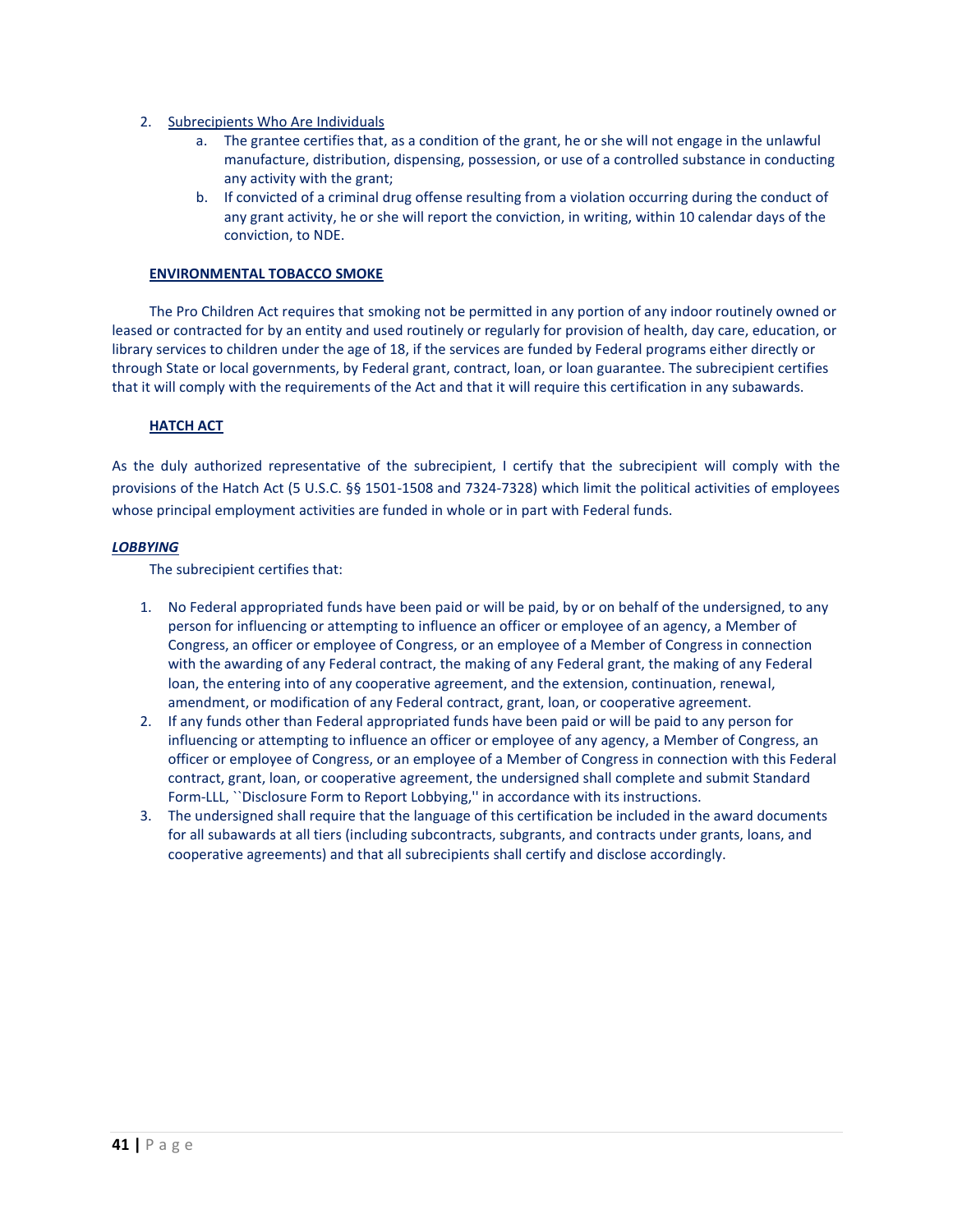- 2. Subrecipients Who Are Individuals
	- a. The grantee certifies that, as a condition of the grant, he or she will not engage in the unlawful manufacture, distribution, dispensing, possession, or use of a controlled substance in conducting any activity with the grant;
	- b. If convicted of a criminal drug offense resulting from a violation occurring during the conduct of any grant activity, he or she will report the conviction, in writing, within 10 calendar days of the conviction, to NDE.

# **ENVIRONMENTAL TOBACCO SMOKE**

The Pro Children Act requires that smoking not be permitted in any portion of any indoor routinely owned or leased or contracted for by an entity and used routinely or regularly for provision of health, day care, education, or library services to children under the age of 18, if the services are funded by Federal programs either directly or through State or local governments, by Federal grant, contract, loan, or loan guarantee. The subrecipient certifies that it will comply with the requirements of the Act and that it will require this certification in any subawards.

# **HATCH ACT**

As the duly authorized representative of the subrecipient, I certify that the subrecipient will comply with the provisions of the Hatch Act (5 U.S.C. §§ 1501-1508 and 7324-7328) which limit the political activities of employees whose principal employment activities are funded in whole or in part with Federal funds.

# *LOBBYING*

The subrecipient certifies that:

- 1. No Federal appropriated funds have been paid or will be paid, by or on behalf of the undersigned, to any person for influencing or attempting to influence an officer or employee of an agency, a Member of Congress, an officer or employee of Congress, or an employee of a Member of Congress in connection with the awarding of any Federal contract, the making of any Federal grant, the making of any Federal loan, the entering into of any cooperative agreement, and the extension, continuation, renewal, amendment, or modification of any Federal contract, grant, loan, or cooperative agreement.
- 2. If any funds other than Federal appropriated funds have been paid or will be paid to any person for influencing or attempting to influence an officer or employee of any agency, a Member of Congress, an officer or employee of Congress, or an employee of a Member of Congress in connection with this Federal contract, grant, loan, or cooperative agreement, the undersigned shall complete and submit Standard Form-LLL, ``Disclosure Form to Report Lobbying,'' in accordance with its instructions.
- 3. The undersigned shall require that the language of this certification be included in the award documents for all subawards at all tiers (including subcontracts, subgrants, and contracts under grants, loans, and cooperative agreements) and that all subrecipients shall certify and disclose accordingly.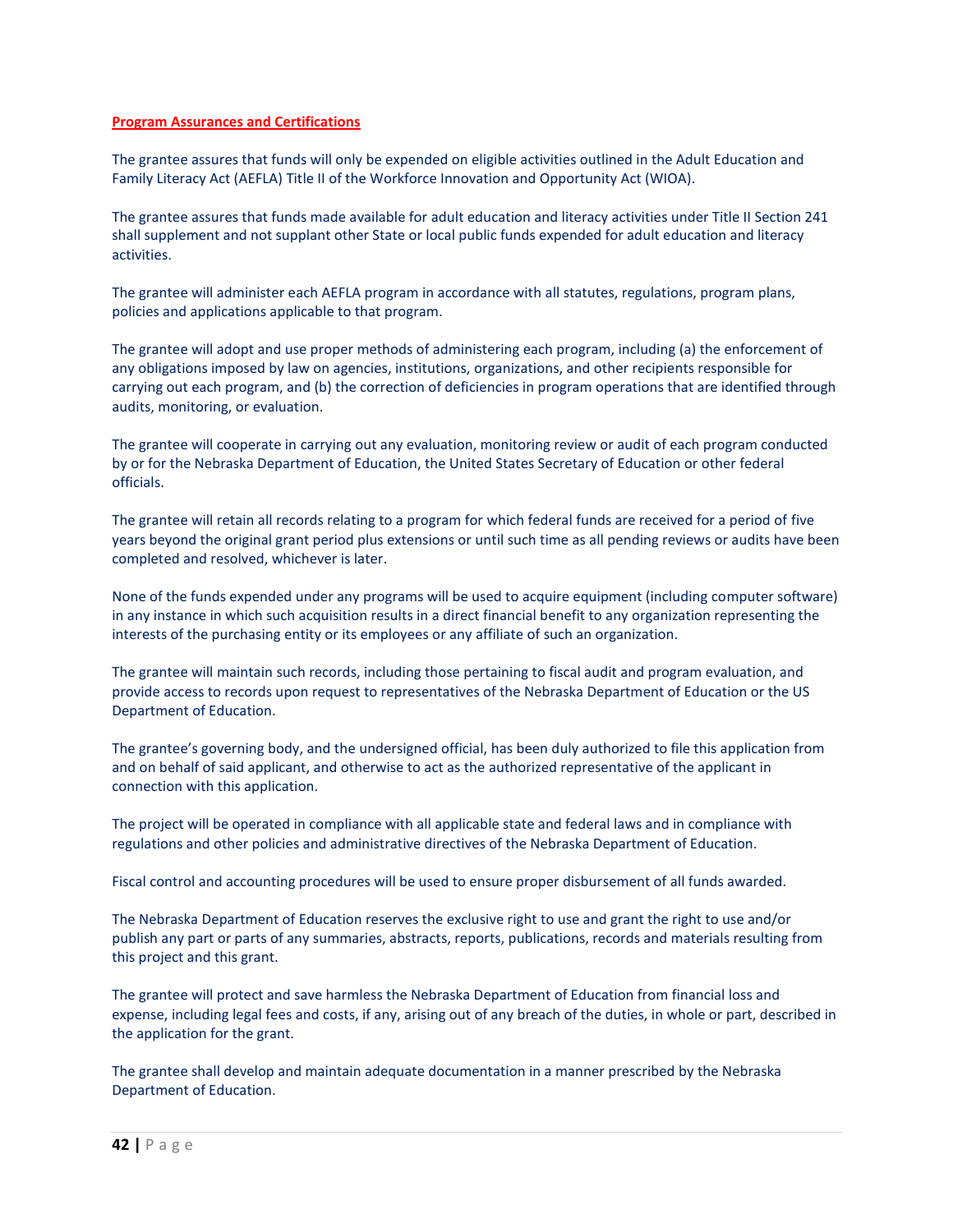## **Program Assurances and Certifications**

The grantee assures that funds will only be expended on eligible activities outlined in the Adult Education and Family Literacy Act (AEFLA) Title II of the Workforce Innovation and Opportunity Act (WIOA).

The grantee assures that funds made available for adult education and literacy activities under Title II Section 241 shall supplement and not supplant other State or local public funds expended for adult education and literacy activities.

The grantee will administer each AEFLA program in accordance with all statutes, regulations, program plans, policies and applications applicable to that program.

The grantee will adopt and use proper methods of administering each program, including (a) the enforcement of any obligations imposed by law on agencies, institutions, organizations, and other recipients responsible for carrying out each program, and (b) the correction of deficiencies in program operations that are identified through audits, monitoring, or evaluation.

The grantee will cooperate in carrying out any evaluation, monitoring review or audit of each program conducted by or for the Nebraska Department of Education, the United States Secretary of Education or other federal officials.

The grantee will retain all records relating to a program for which federal funds are received for a period of five years beyond the original grant period plus extensions or until such time as all pending reviews or audits have been completed and resolved, whichever is later.

None of the funds expended under any programs will be used to acquire equipment (including computer software) in any instance in which such acquisition results in a direct financial benefit to any organization representing the interests of the purchasing entity or its employees or any affiliate of such an organization.

The grantee will maintain such records, including those pertaining to fiscal audit and program evaluation, and provide access to records upon request to representatives of the Nebraska Department of Education or the US Department of Education.

The grantee's governing body, and the undersigned official, has been duly authorized to file this application from and on behalf of said applicant, and otherwise to act as the authorized representative of the applicant in connection with this application.

The project will be operated in compliance with all applicable state and federal laws and in compliance with regulations and other policies and administrative directives of the Nebraska Department of Education.

Fiscal control and accounting procedures will be used to ensure proper disbursement of all funds awarded.

The Nebraska Department of Education reserves the exclusive right to use and grant the right to use and/or publish any part or parts of any summaries, abstracts, reports, publications, records and materials resulting from this project and this grant.

The grantee will protect and save harmless the Nebraska Department of Education from financial loss and expense, including legal fees and costs, if any, arising out of any breach of the duties, in whole or part, described in the application for the grant.

The grantee shall develop and maintain adequate documentation in a manner prescribed by the Nebraska Department of Education.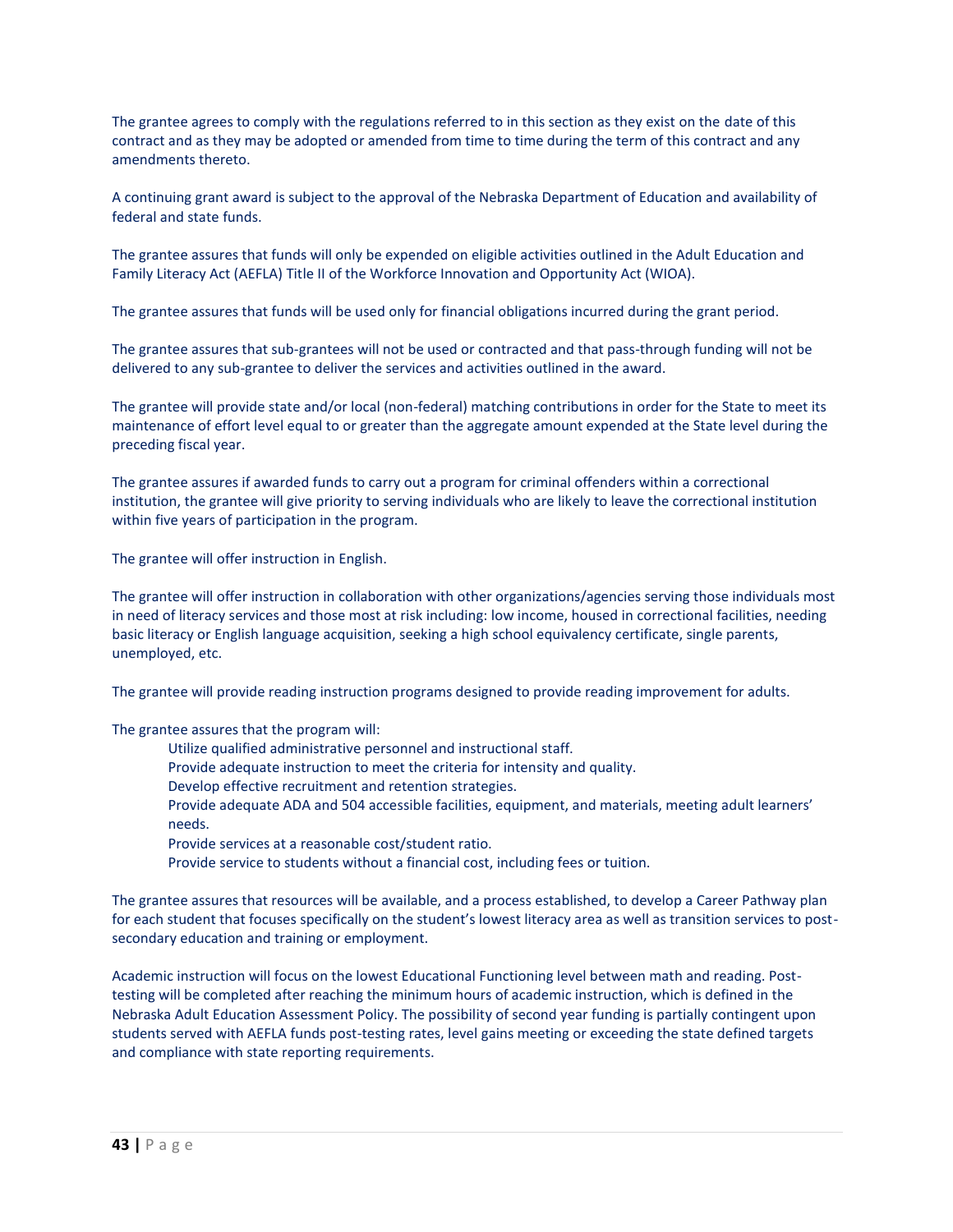The grantee agrees to comply with the regulations referred to in this section as they exist on the date of this contract and as they may be adopted or amended from time to time during the term of this contract and any amendments thereto.

A continuing grant award is subject to the approval of the Nebraska Department of Education and availability of federal and state funds.

The grantee assures that funds will only be expended on eligible activities outlined in the Adult Education and Family Literacy Act (AEFLA) Title II of the Workforce Innovation and Opportunity Act (WIOA).

The grantee assures that funds will be used only for financial obligations incurred during the grant period.

The grantee assures that sub-grantees will not be used or contracted and that pass-through funding will not be delivered to any sub-grantee to deliver the services and activities outlined in the award.

The grantee will provide state and/or local (non-federal) matching contributions in order for the State to meet its maintenance of effort level equal to or greater than the aggregate amount expended at the State level during the preceding fiscal year.

The grantee assures if awarded funds to carry out a program for criminal offenders within a correctional institution, the grantee will give priority to serving individuals who are likely to leave the correctional institution within five years of participation in the program.

The grantee will offer instruction in English.

The grantee will offer instruction in collaboration with other organizations/agencies serving those individuals most in need of literacy services and those most at risk including: low income, housed in correctional facilities, needing basic literacy or English language acquisition, seeking a high school equivalency certificate, single parents, unemployed, etc.

The grantee will provide reading instruction programs designed to provide reading improvement for adults.

The grantee assures that the program will:

- Utilize qualified administrative personnel and instructional staff.
- Provide adequate instruction to meet the criteria for intensity and quality.
- Develop effective recruitment and retention strategies.
- Provide adequate ADA and 504 accessible facilities, equipment, and materials, meeting adult learners' needs.
- Provide services at a reasonable cost/student ratio.
- Provide service to students without a financial cost, including fees or tuition.

The grantee assures that resources will be available, and a process established, to develop a Career Pathway plan for each student that focuses specifically on the student's lowest literacy area as well as transition services to postsecondary education and training or employment.

Academic instruction will focus on the lowest Educational Functioning level between math and reading. Posttesting will be completed after reaching the minimum hours of academic instruction, which is defined in the Nebraska Adult Education Assessment Policy. The possibility of second year funding is partially contingent upon students served with AEFLA funds post-testing rates, level gains meeting or exceeding the state defined targets and compliance with state reporting requirements.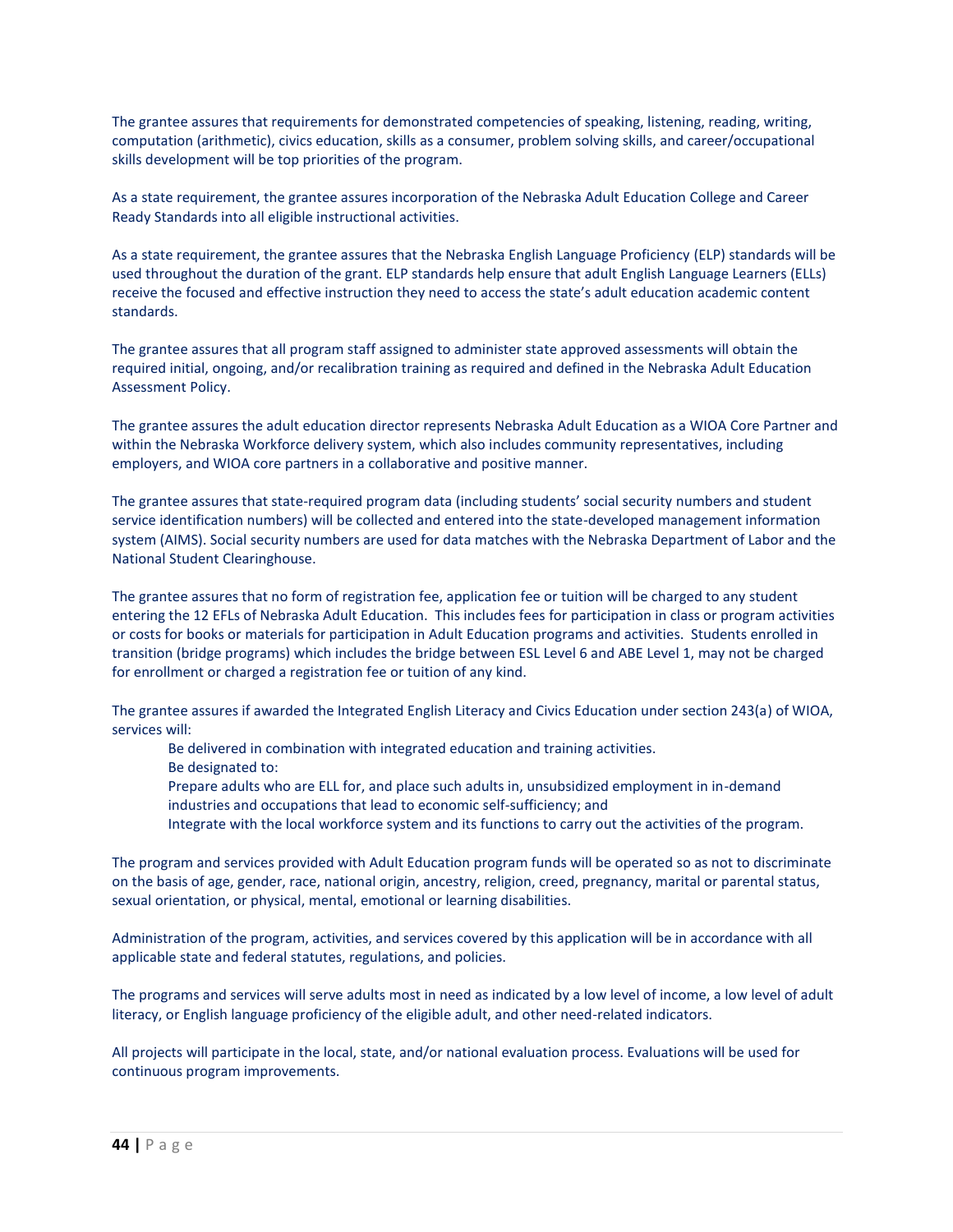The grantee assures that requirements for demonstrated competencies of speaking, listening, reading, writing, computation (arithmetic), civics education, skills as a consumer, problem solving skills, and career/occupational skills development will be top priorities of the program.

As a state requirement, the grantee assures incorporation of the Nebraska Adult Education College and Career Ready Standards into all eligible instructional activities.

As a state requirement, the grantee assures that the Nebraska English Language Proficiency (ELP) standards will be used throughout the duration of the grant. ELP standards help ensure that adult English Language Learners (ELLs) receive the focused and effective instruction they need to access the state's adult education academic content standards.

The grantee assures that all program staff assigned to administer state approved assessments will obtain the required initial, ongoing, and/or recalibration training as required and defined in the Nebraska Adult Education Assessment Policy.

The grantee assures the adult education director represents Nebraska Adult Education as a WIOA Core Partner and within the Nebraska Workforce delivery system, which also includes community representatives, including employers, and WIOA core partners in a collaborative and positive manner.

The grantee assures that state-required program data (including students' social security numbers and student service identification numbers) will be collected and entered into the state-developed management information system (AIMS). Social security numbers are used for data matches with the Nebraska Department of Labor and the National Student Clearinghouse.

The grantee assures that no form of registration fee, application fee or tuition will be charged to any student entering the 12 EFLs of Nebraska Adult Education. This includes fees for participation in class or program activities or costs for books or materials for participation in Adult Education programs and activities. Students enrolled in transition (bridge programs) which includes the bridge between ESL Level 6 and ABE Level 1, may not be charged for enrollment or charged a registration fee or tuition of any kind.

The grantee assures if awarded the Integrated English Literacy and Civics Education under section 243(a) of WIOA, services will:

- Be delivered in combination with integrated education and training activities.
- Be designated to:
- Prepare adults who are ELL for, and place such adults in, unsubsidized employment in in-demand
- industries and occupations that lead to economic self-sufficiency; and
- Integrate with the local workforce system and its functions to carry out the activities of the program.

The program and services provided with Adult Education program funds will be operated so as not to discriminate on the basis of age, gender, race, national origin, ancestry, religion, creed, pregnancy, marital or parental status, sexual orientation, or physical, mental, emotional or learning disabilities.

Administration of the program, activities, and services covered by this application will be in accordance with all applicable state and federal statutes, regulations, and policies.

The programs and services will serve adults most in need as indicated by a low level of income, a low level of adult literacy, or English language proficiency of the eligible adult, and other need-related indicators.

All projects will participate in the local, state, and/or national evaluation process. Evaluations will be used for continuous program improvements.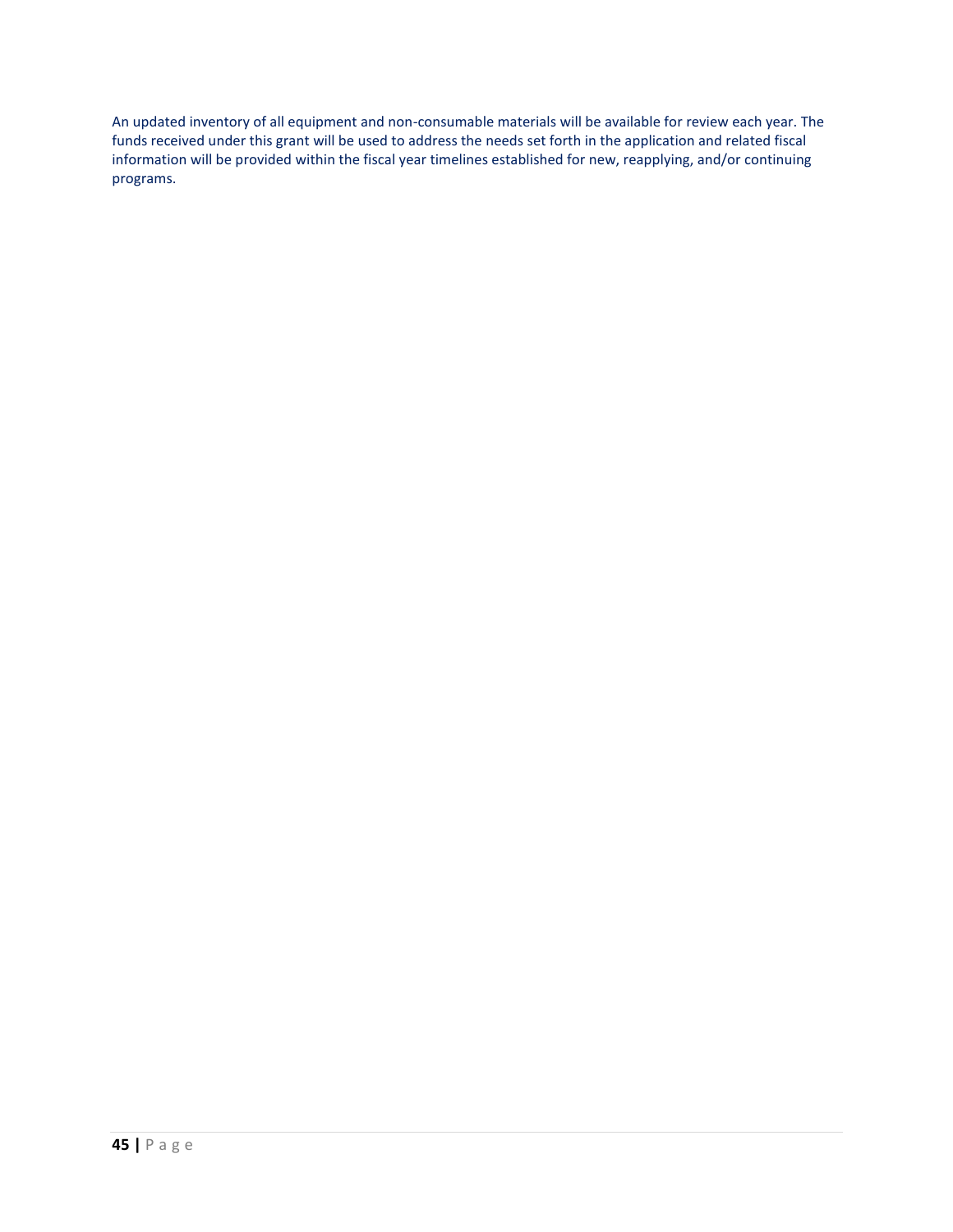An updated inventory of all equipment and non-consumable materials will be available for review each year. The funds received under this grant will be used to address the needs set forth in the application and related fiscal information will be provided within the fiscal year timelines established for new, reapplying, and/or continuing programs.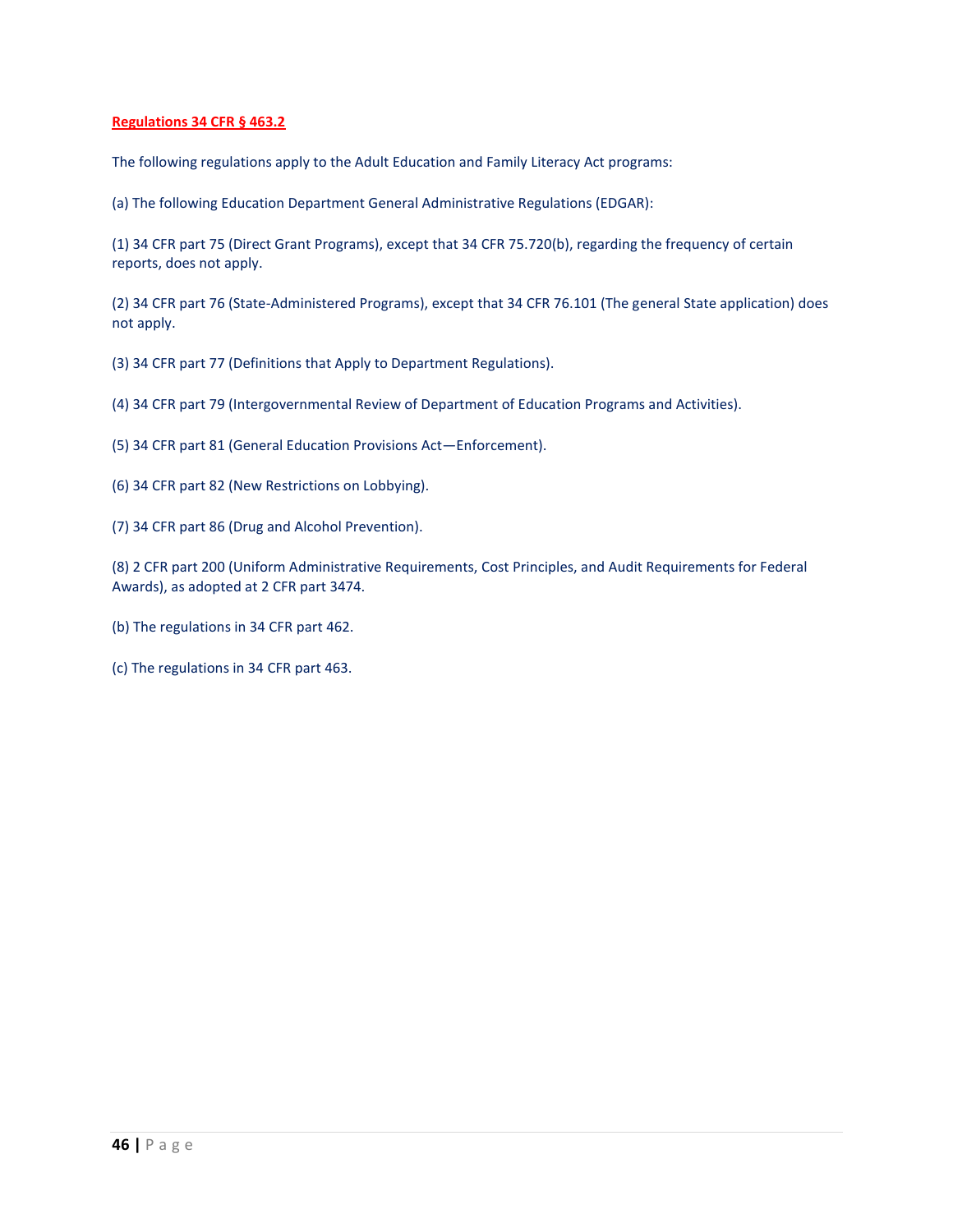# **Regulations 34 CFR § 463.2**

The following regulations apply to the Adult Education and Family Literacy Act programs:

(a) The following Education Department General Administrative Regulations (EDGAR):

(1) 34 CFR part 75 (Direct Grant Programs), except that 34 CFR 75.720(b), regarding the frequency of certain reports, does not apply.

(2) 34 CFR part 76 (State-Administered Programs), except that 34 CFR 76.101 (The general State application) does not apply.

(3) 34 CFR part 77 (Definitions that Apply to Department Regulations).

(4) 34 CFR part 79 (Intergovernmental Review of Department of Education Programs and Activities).

- (5) 34 CFR part 81 (General Education Provisions Act—Enforcement).
- (6) 34 CFR part 82 (New Restrictions on Lobbying).
- (7) 34 CFR part 86 (Drug and Alcohol Prevention).

(8) 2 CFR part 200 (Uniform Administrative Requirements, Cost Principles, and Audit Requirements for Federal Awards), as adopted at 2 CFR part 3474.

- (b) The regulations in 34 CFR part 462.
- (c) The regulations in 34 CFR part 463.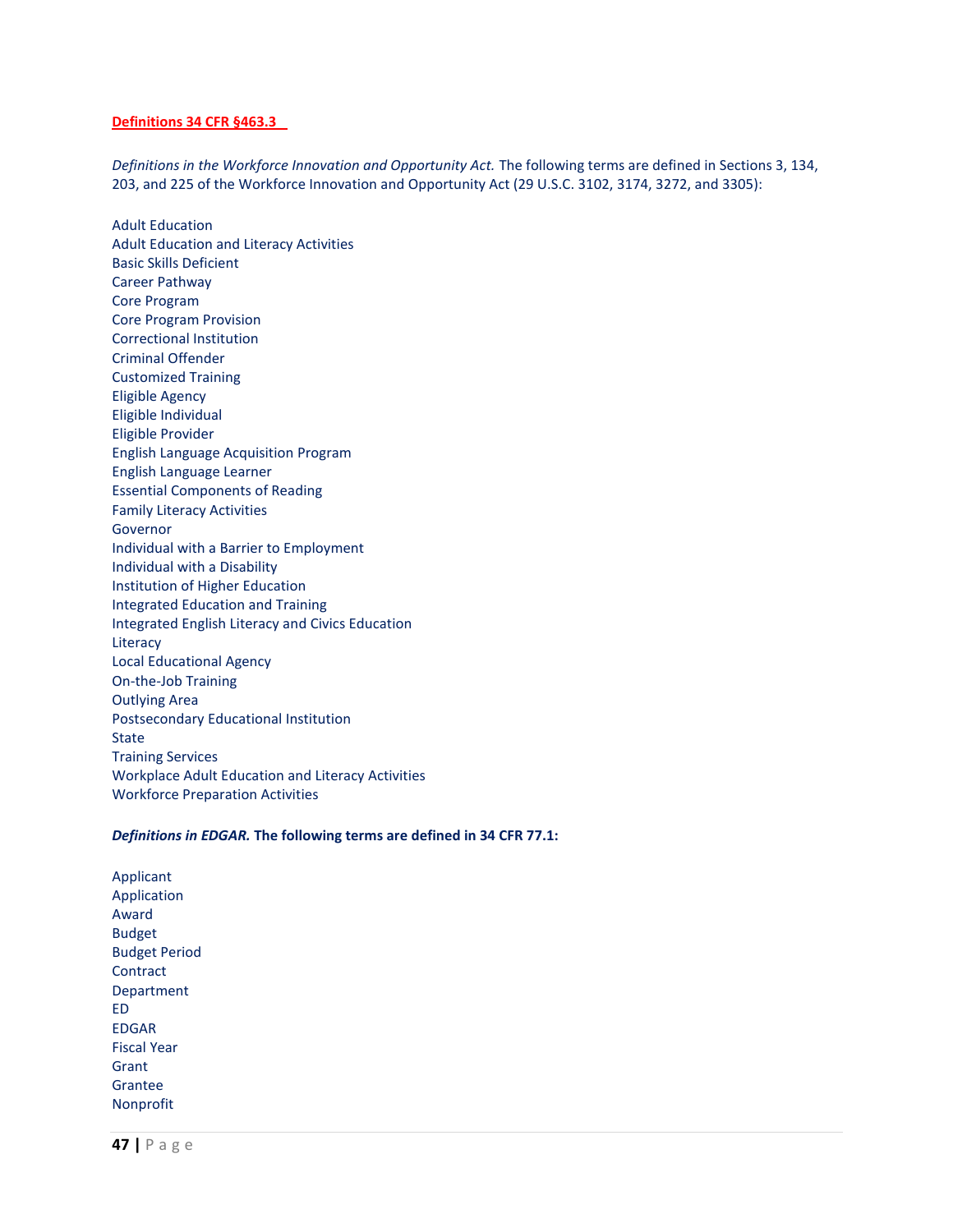#### **Definitions 34 CFR §463.3**

*Definitions in the Workforce Innovation and Opportunity Act.* The following terms are defined in Sections 3, 134, 203, and 225 of the Workforce Innovation and Opportunity Act (29 U.S.C. 3102, 3174, 3272, and 3305):

Adult Education Adult Education and Literacy Activities Basic Skills Deficient Career Pathway Core Program Core Program Provision Correctional Institution Criminal Offender Customized Training Eligible Agency Eligible Individual Eligible Provider English Language Acquisition Program English Language Learner Essential Components of Reading Family Literacy Activities Governor Individual with a Barrier to Employment Individual with a Disability Institution of Higher Education Integrated Education and Training Integrated English Literacy and Civics Education Literacy Local Educational Agency On-the-Job Training Outlying Area Postsecondary Educational Institution State Training Services Workplace Adult Education and Literacy Activities Workforce Preparation Activities

#### *Definitions in EDGAR.* **The following terms are defined in 34 CFR 77.1:**

Applicant Application Award Budget Budget Period **Contract** Department ED EDGAR Fiscal Year Grant Grantee Nonprofit